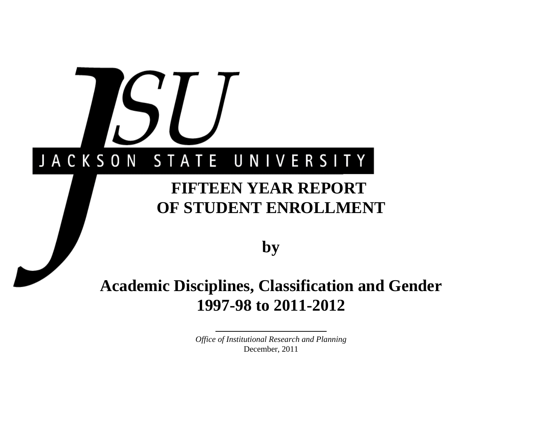# JACKSON STATE UNIVERSITY

# **FIFTEEN YEAR REPORT OF STUDENT ENROLLMENT**

**by**

# **Academic Disciplines, Classification and Gender 1997-98 to 2011-2012**

*Office of Institutional Research and Planning* December, 2011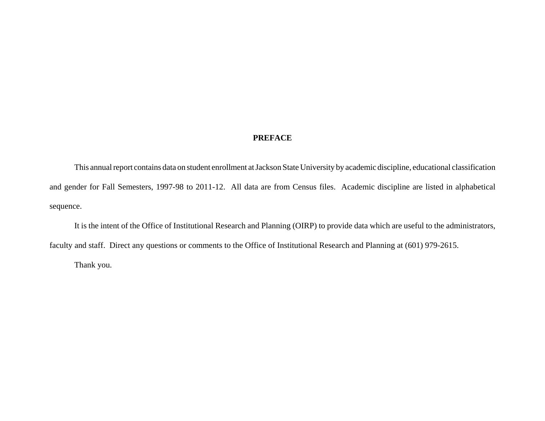### **PREFACE**

This annual report contains data on student enrollment at Jackson State University by academic discipline, educational classification and gender for Fall Semesters, 1997-98 to 2011-12. All data are from Census files. Academic discipline are listed in alphabetical sequence.

It is the intent of the Office of Institutional Research and Planning (OIRP) to provide data which are useful to the administrators, faculty and staff. Direct any questions or comments to the Office of Institutional Research and Planning at (601) 979-2615.

Thank you.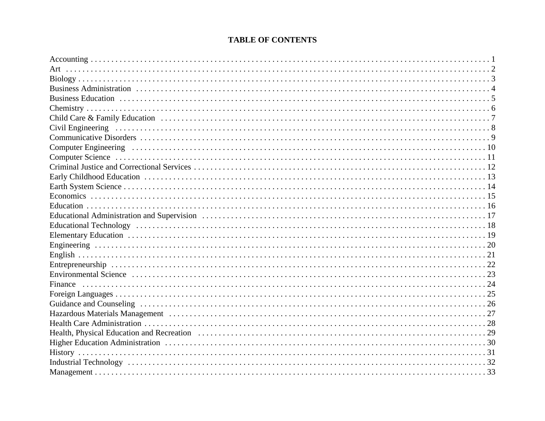# **TABLE OF CONTENTS**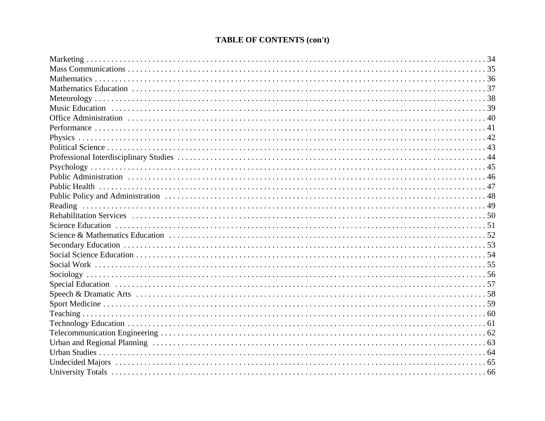# **TABLE OF CONTENTS (con't)**

| Reading |
|---------|
|         |
|         |
|         |
|         |
|         |
|         |
|         |
|         |
|         |
|         |
|         |
|         |
|         |
|         |
|         |
|         |
|         |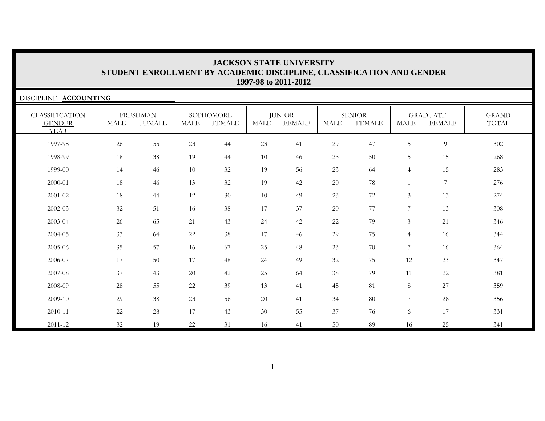| DISCIPLINE: ACCOUNTING                                |             |                                  |             |                            |        |                                |             |                                |                |                                  |                       |
|-------------------------------------------------------|-------------|----------------------------------|-------------|----------------------------|--------|--------------------------------|-------------|--------------------------------|----------------|----------------------------------|-----------------------|
| <b>CLASSIFICATION</b><br><b>GENDER</b><br><b>YEAR</b> | <b>MALE</b> | <b>FRESHMAN</b><br><b>FEMALE</b> | <b>MALE</b> | SOPHOMORE<br><b>FEMALE</b> | MALE   | <b>JUNIOR</b><br><b>FEMALE</b> | <b>MALE</b> | <b>SENIOR</b><br><b>FEMALE</b> | MALE           | <b>GRADUATE</b><br><b>FEMALE</b> | <b>GRAND</b><br>TOTAL |
| 1997-98                                               | $26\,$      | 55                               | 23          | 44                         | 23     | 41                             | 29          | 47                             | 5              | $\overline{9}$                   | 302                   |
| 1998-99                                               | 18          | 38                               | 19          | 44                         | 10     | 46                             | 23          | $50\,$                         | 5              | 15                               | 268                   |
| 1999-00                                               | 14          | 46                               | $10\,$      | 32                         | 19     | 56                             | 23          | 64                             | $\overline{4}$ | 15                               | 283                   |
| 2000-01                                               | 18          | 46                               | 13          | 32                         | 19     | 42                             | 20          | 78                             |                | $\overline{7}$                   | 276                   |
| 2001-02                                               | 18          | 44                               | 12          | 30                         | 10     | 49                             | 23          | $72\,$                         | 3              | 13                               | 274                   |
| 2002-03                                               | 32          | 51                               | 16          | 38                         | 17     | 37                             | 20          | 77                             | 7              | 13                               | 308                   |
| 2003-04                                               | 26          | 65                               | 21          | 43                         | 24     | 42                             | $22\,$      | 79                             | $\mathfrak{Z}$ | 21                               | 346                   |
| 2004-05                                               | 33          | 64                               | $22\,$      | 38                         | 17     | 46                             | 29          | $75\,$                         | $\overline{4}$ | 16                               | 344                   |
| 2005-06                                               | 35          | 57                               | 16          | 67                         | 25     | 48                             | 23          | 70                             | 7              | 16                               | 364                   |
| 2006-07                                               | 17          | $50\,$                           | 17          | 48                         | 24     | 49                             | 32          | 75                             | 12             | 23                               | 347                   |
| 2007-08                                               | 37          | 43                               | 20          | 42                         | $25\,$ | 64                             | $38\,$      | 79                             | 11             | 22                               | 381                   |
| 2008-09                                               | 28          | 55                               | 22          | 39                         | 13     | 41                             | 45          | 81                             | 8              | 27                               | 359                   |
| 2009-10                                               | 29          | $38\,$                           | 23          | 56                         | $20\,$ | 41                             | 34          | 80                             | $\overline{7}$ | 28                               | 356                   |
| 2010-11                                               | 22          | 28                               | 17          | 43                         | 30     | 55                             | 37          | 76                             | 6              | 17                               | 331                   |
| 2011-12                                               | 32          | 19                               | 22          | 31                         | 16     | 41                             | 50          | 89                             | 16             | 25                               | 341                   |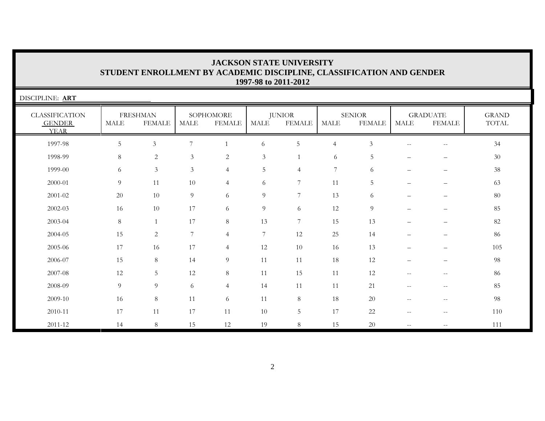| <b>JACKSON STATE UNIVERSITY</b>                                      |  |  |  |  |  |  |  |  |  |
|----------------------------------------------------------------------|--|--|--|--|--|--|--|--|--|
| STUDENT ENROLLMENT BY ACADEMIC DISCIPLINE, CLASSIFICATION AND GENDER |  |  |  |  |  |  |  |  |  |
| 1997-98 to 2011-2012                                                 |  |  |  |  |  |  |  |  |  |

| DISCIPLINE: ART                                       |             |                                  |                 |                            |                |                         |                |                         |                          |                                  |                       |  |
|-------------------------------------------------------|-------------|----------------------------------|-----------------|----------------------------|----------------|-------------------------|----------------|-------------------------|--------------------------|----------------------------------|-----------------------|--|
| <b>CLASSIFICATION</b><br><b>GENDER</b><br><b>YEAR</b> | <b>MALE</b> | <b>FRESHMAN</b><br><b>FEMALE</b> | MALE            | SOPHOMORE<br><b>FEMALE</b> | <b>MALE</b>    | <b>JUNIOR</b><br>FEMALE | MALE           | SENIOR<br><b>FEMALE</b> | MALE                     | <b>GRADUATE</b><br><b>FEMALE</b> | <b>GRAND</b><br>TOTAL |  |
| 1997-98                                               | 5           | $\mathfrak{Z}$                   | $\overline{7}$  |                            | 6              | 5                       | $\overline{4}$ | $\mathfrak{Z}$          |                          | $\sim$ $\sim$                    | 34                    |  |
| 1998-99                                               | $8\,$       | $\overline{2}$                   | $\mathfrak{Z}$  | $\overline{2}$             | $\mathfrak{Z}$ | $\mathbf{1}$            | -6             | 5                       |                          |                                  | 30                    |  |
| 1999-00                                               | 6           | $\mathfrak{Z}$                   | $\mathfrak{Z}$  | $\overline{4}$             | $\overline{5}$ | 4                       | 7              | 6                       | $\overline{\phantom{0}}$ |                                  | 38                    |  |
| 2000-01                                               | 9           | 11                               | 10              | $\overline{4}$             | 6              | 7                       | 11             | 5                       |                          | $\overline{\phantom{0}}$         | 63                    |  |
| $2001 - 02$                                           | 20          | 10                               | 9               | 6                          | 9              | 7                       | 13             | 6                       |                          | $\overline{\phantom{m}}$         | 80                    |  |
| $2002 - 03$                                           | 16          | 10                               | 17              | 6                          | $\overline{9}$ | 6                       | 12             | 9                       |                          |                                  | 85                    |  |
| 2003-04                                               | $8\,$       |                                  | 17              | $8\,$                      | 13             | 7                       | 15             | 13                      |                          |                                  | 82                    |  |
| 2004-05                                               | 15          | 2                                | $7\overline{ }$ | $\overline{4}$             | 7              | 12                      | 25             | 14                      | $-$                      |                                  | 86                    |  |
| 2005-06                                               | 17          | 16                               | 17              | $\overline{4}$             | 12             | 10                      | 16             | 13                      |                          |                                  | 105                   |  |
| 2006-07                                               | 15          | 8                                | 14              | $\overline{9}$             | 11             | 11                      | 18             | 12                      |                          |                                  | 98                    |  |
| 2007-08                                               | 12          | 5                                | 12              | $8\,$                      | 11             | 15                      | 11             | 12                      |                          |                                  | 86                    |  |
| 2008-09                                               | 9           | 9                                | 6               | $\overline{4}$             | 14             | 11                      | 11             | 21                      | $-$                      |                                  | 85                    |  |
| 2009-10                                               | 16          | 8                                | 11              | 6                          | 11             | $8\,$                   | 18             | 20                      | $\overline{\phantom{m}}$ | $\sim$                           | 98                    |  |
| 2010-11                                               | 17          | 11                               | 17              | 11                         | 10             | 5                       | 17             | $22\,$                  | $\sim$ $\sim$            | $\sim$ $\sim$                    | 110                   |  |
| $2011 - 12$                                           | 14          | 8                                | 15              | 12                         | 19             | 8                       | 1.5            | 20                      | $\overline{\phantom{m}}$ |                                  | 111                   |  |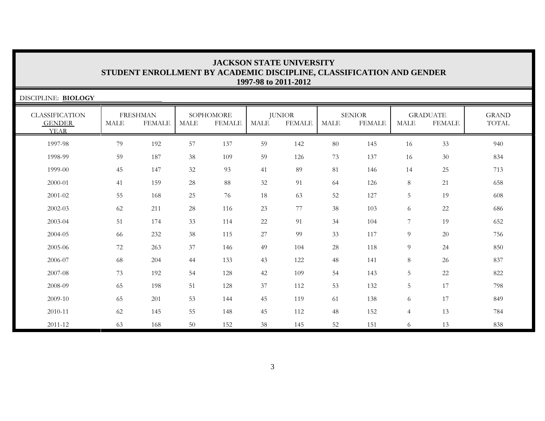| DISCIPLINE: BIOLOGY                                   |             |                                  |             |                            |      |                         |             |                                |                 |                                  |                       |  |
|-------------------------------------------------------|-------------|----------------------------------|-------------|----------------------------|------|-------------------------|-------------|--------------------------------|-----------------|----------------------------------|-----------------------|--|
| <b>CLASSIFICATION</b><br><b>GENDER</b><br><b>YEAR</b> | <b>MALE</b> | <b>FRESHMAN</b><br><b>FEMALE</b> | <b>MALE</b> | SOPHOMORE<br><b>FEMALE</b> | MALE | <b>JUNIOR</b><br>FEMALE | <b>MALE</b> | <b>SENIOR</b><br><b>FEMALE</b> | MALE            | <b>GRADUATE</b><br><b>FEMALE</b> | <b>GRAND</b><br>TOTAL |  |
| 1997-98                                               | 79          | 192                              | 57          | 137                        | 59   | 142                     | 80          | 145                            | 16              | 33                               | 940                   |  |
| 1998-99                                               | 59          | 187                              | 38          | 109                        | 59   | 126                     | 73          | 137                            | 16              | 30                               | 834                   |  |
| 1999-00                                               | 45          | 147                              | 32          | 93                         | 41   | 89                      | 81          | 146                            | 14              | 25                               | 713                   |  |
| 2000-01                                               | 41          | 159                              | 28          | 88                         | 32   | 91                      | 64          | 126                            | 8               | 21                               | 658                   |  |
| 2001-02                                               | 55          | 168                              | 25          | 76                         | 18   | 63                      | 52          | 127                            | 5               | 19                               | 608                   |  |
| 2002-03                                               | 62          | 211                              | 28          | 116                        | 23   | 77                      | 38          | 103                            | 6               | 22                               | 686                   |  |
| 2003-04                                               | 51          | 174                              | 33          | 114                        | 22   | 91                      | 34          | 104                            | 7               | 19                               | 652                   |  |
| 2004-05                                               | 66          | 232                              | 38          | 115                        | 27   | 99                      | 33          | 117                            | 9               | 20                               | 756                   |  |
| 2005-06                                               | 72          | 263                              | 37          | 146                        | 49   | 104                     | 28          | 118                            | $\overline{9}$  | 24                               | 850                   |  |
| 2006-07                                               | 68          | 204                              | 44          | 133                        | 43   | 122                     | 48          | 141                            | 8               | 26                               | 837                   |  |
| 2007-08                                               | 73          | 192                              | 54          | 128                        | 42   | 109                     | 54          | 143                            | 5               | 22                               | 822                   |  |
| 2008-09                                               | 65          | 198                              | 51          | 128                        | 37   | 112                     | 53          | 132                            | $5\phantom{.0}$ | 17                               | 798                   |  |
| 2009-10                                               | 65          | 201                              | 53          | 144                        | 45   | 119                     | 61          | 138                            | 6               | 17                               | 849                   |  |
| 2010-11                                               | 62          | 145                              | 55          | 148                        | 45   | 112                     | 48          | 152                            | $\overline{4}$  | 13                               | 784                   |  |
| 2011-12                                               | 63          | 168                              | 50          | 152                        | 38   | 145                     | 52          | 151                            | 6               | 13                               | 838                   |  |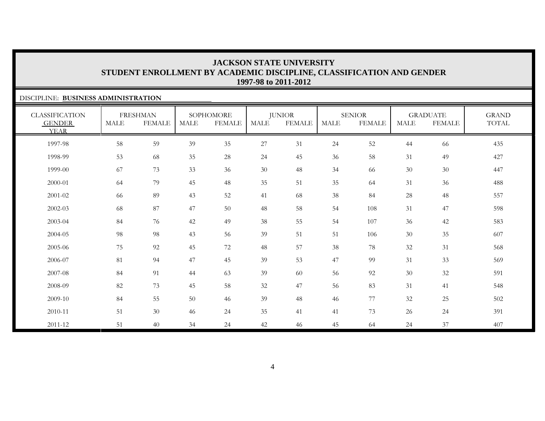GRAND TOTAL

6 77 32 25 502

### DISCIPLINE: **BUSINESS ADMINISTRATION**CLASSIFICATION GENDER YEARFRESHMAN MALE FEMALESOPHOMORE MALE FEMALEJUNIOR MALE FEMALESENIOR MALE FEMALEGRADUATE MALE FEMALE1997-98 58 59 39 35 27 31 24 52 44 66 435 1998-99 53 68 35 28 24 45 36 58 31 49 427 1999-00 67 73 33 36 30 48 34 66 30 30 447 2000-01 64 79 45 48 35 51 35 64 31 36 488 2001-02 66 89 43 52 41 68 38 84 28 48 557 2002-03 68 87 47 50 48 58 54 108 31 47 598 2003-04 84 76 42 49 38 55 54 107 36 42 583 2004-05 98 98 43 56 39 51 51 106 300 35 607 2005-06 75 92 45 72 48 57 38 78 32 31 568 2006-07 81 94 47 45 39 53 47 99 31 33 569 2007-08 84 91 44 63 39 60 56 92 30 32 591 2008-0982 73 45 58 32 47 56 83 31 41 548

84 55 50 46 39 48 46

2009-10

2010-11

2011-12

51 30 46 24 35 41 41 73 26 24 391

51 40 34 24 42 46 45 64 24 37 407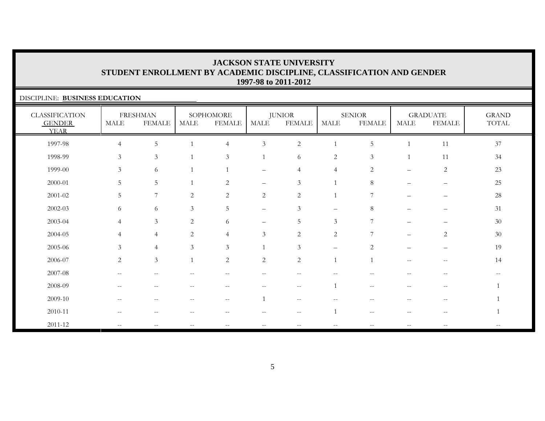### DISCIPLINE: **BUSINESS EDUCATION**CLASSIFICATION GENDER YEARFRESHMAN MALE FEMALESOPHOMORE MALE FEMALEJUNIOR MALE FEMALESENIOR MALE FEMALEGRADUATE MALE FEMALEGRAND TOTAL 1997-98 4 5 1 4 3 2 1 5 1 11 371998-99 3 3 1 3 1 6 2 3 1 11 34 34 1999-00 3 6 1 1 – 4 4 2 – 2 2323 2000-01 5 5 1 2 – 3 1 8 – – 2525 2001-02 5 7 2 2 2 2 1 7 – – 282002-03 6 6 3 5 – 3 – 8 – – 3131 2003-04 4 3 2 6 – 5 3 7 – – 3030 2004-05 4 4 2 4 3 2 2 7 – 2 3030 2005-06 3 4 3 3 1 3 – 2 – – 19 $2006-07$  2 3 1 2 2 2 1 1 -- - 14 14 2007-08 -- -- -- -- -- -- -- -- -- -- --2008-09 -- -- -- -- -- -- 1 -- -- -- 12009-10 -- -- -- -- 1 -- -- -- -- -- 12010-11 -- -- -- -- -- -- 1 -- -- -- 12011-12 -- -- -- -- -- -- -- -- -- -- --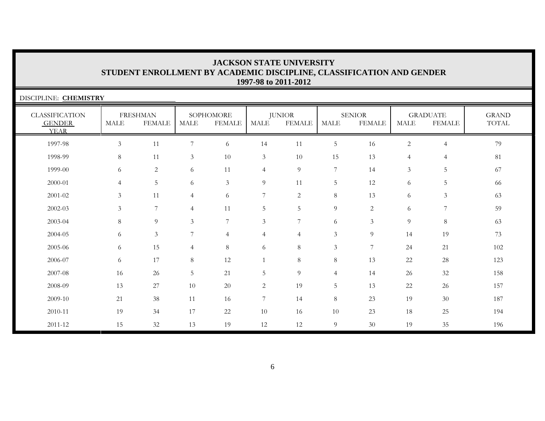| DISCIPLINE: CHEMISTRY                                 |                |                                  |                       |                            |                  |                                |                |                                |                |                                  |                       |  |
|-------------------------------------------------------|----------------|----------------------------------|-----------------------|----------------------------|------------------|--------------------------------|----------------|--------------------------------|----------------|----------------------------------|-----------------------|--|
| <b>CLASSIFICATION</b><br><b>GENDER</b><br><b>YEAR</b> | <b>MALE</b>    | <b>FRESHMAN</b><br><b>FEMALE</b> | $\operatorname{MALE}$ | SOPHOMORE<br><b>FEMALE</b> | <b>MALE</b>      | <b>JUNIOR</b><br><b>FEMALE</b> | <b>MALE</b>    | <b>SENIOR</b><br><b>FEMALE</b> | MALE           | <b>GRADUATE</b><br><b>FEMALE</b> | <b>GRAND</b><br>TOTAL |  |
| 1997-98                                               | $\mathfrak{Z}$ | 11                               | $\overline{7}$        | 6                          | 14               | 11                             | $\overline{5}$ | 16                             | $\overline{c}$ | $\overline{4}$                   | 79                    |  |
| 1998-99                                               | 8              | 11                               | $\mathfrak{Z}$        | 10                         | $\mathfrak{Z}$   | 10                             | 15             | 13                             | $\overline{4}$ | 4                                | 81                    |  |
| 1999-00                                               | 6              | $\overline{c}$                   | 6                     | 11                         | $\overline{4}$   | 9                              | 7              | 14                             | $\mathfrak{Z}$ | 5                                | 67                    |  |
| 2000-01                                               | $\overline{4}$ | 5                                | 6                     | $\mathfrak{Z}$             | 9                | 11                             | 5              | 12                             | 6              | 5                                | 66                    |  |
| 2001-02                                               | 3              | 11                               | $\overline{4}$        | 6                          | 7                | $\overline{c}$                 | 8              | 13                             | 6              | 3                                | 63                    |  |
| 2002-03                                               | 3              | $\overline{7}$                   | $\overline{4}$        | 11                         | 5                | 5                              | $\overline{9}$ | 2                              | 6              | $\overline{7}$                   | 59                    |  |
| 2003-04                                               | 8              | 9                                | 3                     | $\overline{7}$             | $\mathfrak{Z}$   | 7                              | 6              | 3                              | 9              | $8\,$                            | 63                    |  |
| 2004-05                                               | 6              | $\mathfrak{Z}$                   | 7                     | $\overline{4}$             | $\overline{4}$   | $\overline{4}$                 | $\mathfrak{Z}$ | 9                              | 14             | 19                               | 73                    |  |
| 2005-06                                               | 6              | 15                               | $\overline{4}$        | 8                          | 6                | $8\,$                          | $\mathfrak{Z}$ | $7\phantom{.0}$                | 24             | 21                               | 102                   |  |
| 2006-07                                               | 6              | 17                               | 8                     | 12                         | $\mathbf{1}$     | 8                              | 8              | 13                             | 22             | $28\,$                           | 123                   |  |
| 2007-08                                               | 16             | $26\,$                           | 5                     | 21                         | $\overline{5}$   | 9                              | $\overline{4}$ | 14                             | 26             | 32                               | 158                   |  |
| 2008-09                                               | 13             | 27                               | 10                    | 20                         | $\overline{2}$   | 19                             | 5              | 13                             | 22             | 26                               | 157                   |  |
| 2009-10                                               | 21             | 38                               | 11                    | 16                         | $\boldsymbol{7}$ | 14                             | $8\,$          | 23                             | 19             | 30                               | 187                   |  |
| 2010-11                                               | 19             | 34                               | 17                    | 22                         | $10\,$           | 16                             | $10\,$         | 23                             | 18             | 25                               | 194                   |  |
| 2011-12                                               | 15             | 32                               | 13                    | 19                         | 12               | 12                             | 9              | 30                             | 19             | 35                               | 196                   |  |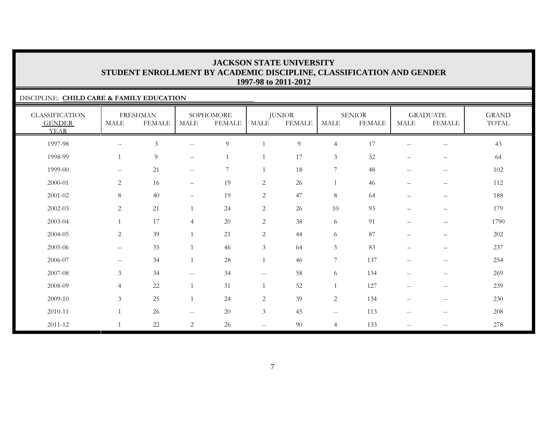### DISCIPLINE: **CHILD CARE & FAMILY EDUCATION**

| <b>CLASSIFICATION</b><br><b>GENDER</b><br><b>YEAR</b> | <b>MALE</b>                 | <b>FRESHMAN</b><br><b>FEMALE</b> | <b>MALE</b>                                         | SOPHOMORE<br><b>FEMALE</b> | <b>MALE</b>              | <b>JUNIOR</b><br><b>FEMALE</b> | <b>MALE</b>       | <b>SENIOR</b><br><b>FEMALE</b> | <b>MALE</b>                                         | <b>GRADUATE</b><br><b>FEMALE</b>      | <b>GRAND</b><br>TOTAL |
|-------------------------------------------------------|-----------------------------|----------------------------------|-----------------------------------------------------|----------------------------|--------------------------|--------------------------------|-------------------|--------------------------------|-----------------------------------------------------|---------------------------------------|-----------------------|
| 1997-98                                               | $\mathcal{L} = \mathcal{L}$ | $\mathfrak{Z}$                   | $\sim$ $\sim$                                       | $\overline{9}$             |                          | 9                              | $\overline{4}$    | 17                             | $\hspace{0.05cm} -\hspace{0.05cm} -\hspace{0.05cm}$ | $-\,-$                                | 43                    |
| 1998-99                                               | $\mathbf{1}$                | $\overline{9}$                   | $\overline{\phantom{m}}$                            | $\overline{1}$             |                          | 17                             | $\mathfrak{Z}$    | 32                             | $\qquad \qquad -$                                   | $\qquad \qquad -$                     | 64                    |
| 1999-00                                               | $--$                        | 21                               | $\mathcal{L}=\mathcal{L}$                           | 7                          |                          | 18                             | 7                 | 48                             | $\hspace{0.05cm} -\hspace{0.05cm} -\hspace{0.05cm}$ | $\hspace{0.05cm}$ – $\hspace{0.05cm}$ | $102\,$               |
| 2000-01                                               | 2                           | 16                               | $\overline{\phantom{a}}$                            | 19                         | 2                        | 26                             | 1                 | 46                             | $\overline{\phantom{m}}$                            | $\overline{\phantom{m}}$              | 112                   |
| $2001 - 02$                                           | $8\,$                       | 40                               | $\overline{\phantom{m}}$                            | 19                         | $\mathbf{2}$             | 47                             | $\,8\,$           | 64                             | $\qquad \qquad -$                                   | $\overline{\phantom{m}}$              | 188                   |
| 2002-03                                               | $\overline{2}$              | 21                               | $\mathbf{1}$                                        | 24                         | $\mathbf{2}$             | 26                             | 10                | 93                             | $\qquad \qquad -$                                   | $\qquad \qquad -$                     | 179                   |
| 2003-04                                               |                             | 17                               | $\overline{4}$                                      | 20                         | $\sqrt{2}$               | 38                             | 6                 | 91                             | $\qquad \qquad -$                                   | $\overline{\phantom{0}}$              | 1790                  |
| 2004-05                                               | 2                           | 39                               | $\mathbf{1}$                                        | 21                         | 2                        | 44                             | $\sqrt{6}$        | 87                             | $\qquad \qquad -$                                   | $\overline{\phantom{m}}$              | 202                   |
| 2005-06                                               | $\overline{\phantom{m}}$    | 35                               | $\mathbf{1}$                                        | 46                         | $\mathfrak{Z}$           | 64                             | $\overline{5}$    | 83                             | $\qquad \qquad -$                                   | $\overline{\phantom{0}}$              | 237                   |
| 2006-07                                               | $--$                        | 34                               | $\mathbf{1}$                                        | $28\,$                     |                          | 46                             | $\boldsymbol{7}$  | 137                            | $\hspace{0.05cm} -\hspace{0.05cm} -\hspace{0.05cm}$ | $-\,-$                                | 254                   |
| 2007-08                                               | $\mathfrak{Z}$              | 34                               | $\mathcal{L}=\mathcal{L}$                           | 34                         | $\overline{\phantom{m}}$ | 58                             | 6                 | 134                            | $\hspace{0.05cm} -\hspace{0.05cm} -\hspace{0.05cm}$ | $\overline{\phantom{m}}$              | 269                   |
| 2008-09                                               | $\overline{4}$              | 22                               | $\overline{1}$                                      | 31                         | $\mathbf{1}$             | 52                             | $\mathbf{1}$      | 127                            | $\hspace{0.05cm} -\hspace{0.05cm} -\hspace{0.05cm}$ | $\overline{\phantom{m}}$              | 239                   |
| 2009-10                                               | $\mathfrak{Z}$              | 25                               | $\overline{1}$                                      | 24                         | 2                        | 39                             | $\overline{c}$    | 134                            | $\hspace{0.05cm} -\hspace{0.05cm} -\hspace{0.05cm}$ | $-\,-$                                | 230                   |
| 2010-11                                               |                             | 26                               | $\hspace{0.05cm} -\hspace{0.05cm} -\hspace{0.05cm}$ | 20                         | 3                        | 45                             | $\qquad \qquad -$ | 113                            | $\hspace{0.05cm} -\hspace{0.05cm} -\hspace{0.05cm}$ | $-\,-$                                | 208                   |
| $2011 - 12$                                           |                             | 22                               | $\overline{2}$                                      | 26                         | $- -$                    | 90                             | $\overline{4}$    | 133                            | $\hspace{0.05cm} -\hspace{0.05cm} -\hspace{0.05cm}$ | $\hspace{0.05cm} -$                   | 278                   |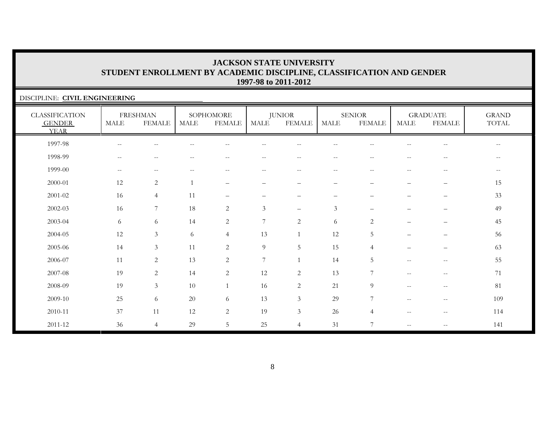| DISCIPLINE: CIVIL ENGINEERING                         |                          |                                                     |             |                                                     |                |                                |                          |                                |                                                     |                                                       |                       |  |
|-------------------------------------------------------|--------------------------|-----------------------------------------------------|-------------|-----------------------------------------------------|----------------|--------------------------------|--------------------------|--------------------------------|-----------------------------------------------------|-------------------------------------------------------|-----------------------|--|
| <b>CLASSIFICATION</b><br><b>GENDER</b><br><b>YEAR</b> | <b>MALE</b>              | <b>FRESHMAN</b><br><b>FEMALE</b>                    | <b>MALE</b> | SOPHOMORE<br><b>FEMALE</b>                          | <b>MALE</b>    | <b>JUNIOR</b><br><b>FEMALE</b> | <b>MALE</b>              | <b>SENIOR</b><br><b>FEMALE</b> | <b>MALE</b>                                         | <b>GRADUATE</b><br><b>FEMALE</b>                      | <b>GRAND</b><br>TOTAL |  |
| 1997-98                                               | $-$                      |                                                     |             |                                                     |                |                                |                          |                                |                                                     |                                                       | $- -$                 |  |
| 1998-99                                               | $\overline{\phantom{m}}$ | --                                                  |             |                                                     |                | $- -$                          | н.                       |                                | --                                                  | --                                                    | $-\,-$                |  |
| 1999-00                                               | $--$                     | $\hspace{0.05cm} -\hspace{0.05cm} -\hspace{0.05cm}$ | $-$         | $\hspace{0.05cm} -\hspace{0.05cm} -\hspace{0.05cm}$ | $- -$          | $\qquad \qquad -$              | $\overline{\phantom{a}}$ | $- -$                          | $\hspace{0.05cm} -\hspace{0.05cm} -\hspace{0.05cm}$ | $\hspace{0.05cm} - \hspace{0.05cm} - \hspace{0.05cm}$ | $--$                  |  |
| 2000-01                                               | 12                       | 2                                                   |             | $\overline{\phantom{0}}$                            |                |                                |                          |                                |                                                     | $\qquad \qquad -$                                     | 15                    |  |
| 2001-02                                               | 16                       | $\overline{4}$                                      | 11          | $\overline{\phantom{0}}$                            |                |                                |                          |                                |                                                     | —                                                     | 33                    |  |
| $2002 - 03$                                           | 16                       | 7                                                   | 18          | $\overline{2}$                                      | $\mathfrak{Z}$ | $\frac{1}{2}$                  | 3                        |                                |                                                     | $-$                                                   | 49                    |  |
| 2003-04                                               | 6                        | 6                                                   | 14          | 2                                                   | 7              | $\overline{2}$                 | 6                        | 2                              |                                                     | $\overline{\phantom{0}}$                              | 45                    |  |
| 2004-05                                               | 12                       | $\mathfrak{Z}$                                      | 6           | $\overline{4}$                                      | 13             |                                | 12                       | 5                              |                                                     |                                                       | 56                    |  |
| 2005-06                                               | 14                       | $\overline{3}$                                      | 11          | $\sqrt{2}$                                          | $\overline{9}$ | 5                              | 15                       | $\overline{4}$                 | $\overline{\phantom{0}}$                            | —                                                     | 63                    |  |
| 2006-07                                               | 11                       | 2                                                   | 13          | 2                                                   | 7              |                                | 14                       | 5                              | $\mathbf{u}$                                        | $\sim$ $\sim$                                         | 55                    |  |
| 2007-08                                               | 19                       | 2                                                   | 14          | $\mathbf{2}$                                        | 12             | $\overline{2}$                 | 13                       | 7                              | $-$                                                 | $-\,-$                                                | 71                    |  |
| 2008-09                                               | 19                       | $\mathfrak{Z}$                                      | 10          | 1                                                   | 16             | $\overline{2}$                 | 21                       | 9                              | $\sim$ $-$                                          | $\mathbf{u}$                                          | 81                    |  |
| 2009-10                                               | 25                       | 6                                                   | $20\,$      | 6                                                   | 13             | $\mathfrak{Z}$                 | 29                       | $\overline{7}$                 | $-$                                                 | $\hspace{0.05cm} -\hspace{0.05cm} -\hspace{0.05cm}$   | 109                   |  |
| 2010-11                                               | 37                       | 11                                                  | 12          | $\overline{2}$                                      | 19             | $\mathfrak{Z}$                 | 26                       | $\overline{4}$                 | $\hspace{0.05cm} -\hspace{0.05cm} -\hspace{0.05cm}$ | $\hspace{0.05cm} -$                                   | 114                   |  |
| $2011 - 12$                                           | 36                       | $\overline{4}$                                      | 29          | 5                                                   | 25             | $\overline{4}$                 | 31                       | $\overline{7}$                 | $\overline{\phantom{m}}$                            | $\hspace{0.05cm} -\hspace{0.05cm} -\hspace{0.05cm}$   | 141                   |  |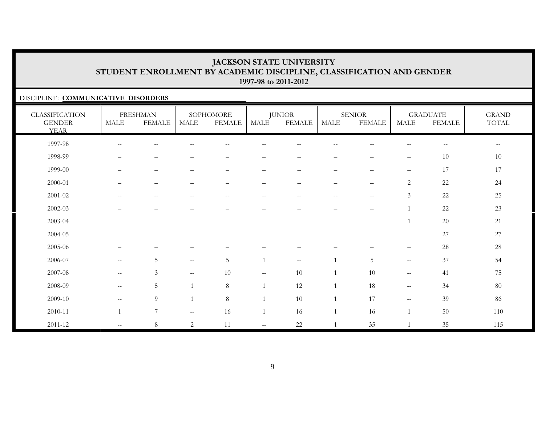### DISCIPLINE: **COMMUNICATIVE DISORDERS**

| <b>CLASSIFICATION</b><br><b>GENDER</b><br><b>YEAR</b> | MALE                                                | <b>FRESHMAN</b><br><b>FEMALE</b> | <b>MALE</b>              | SOPHOMORE<br><b>FEMALE</b> | <b>MALE</b>                                   | <b>JUNIOR</b><br><b>FEMALE</b> | MALE                                                | <b>SENIOR</b><br><b>FEMALE</b> | MALE                                                | <b>GRADUATE</b><br><b>FEMALE</b> | <b>GRAND</b><br>TOTAL                               |
|-------------------------------------------------------|-----------------------------------------------------|----------------------------------|--------------------------|----------------------------|-----------------------------------------------|--------------------------------|-----------------------------------------------------|--------------------------------|-----------------------------------------------------|----------------------------------|-----------------------------------------------------|
| 1997-98                                               | $\hspace{0.05cm} -\hspace{0.05cm} -\hspace{0.05cm}$ | $--$                             | $\overline{\phantom{m}}$ | $\sim$ $-$                 | $- -$                                         | $- -$                          | $\hspace{0.05cm} -\hspace{0.05cm} -\hspace{0.05cm}$ | $-\,-$                         | $\hspace{0.05cm} -\hspace{0.05cm} -\hspace{0.05cm}$ | $-\, -$                          | $\hspace{0.05cm} -\hspace{0.05cm} -\hspace{0.05cm}$ |
| 1998-99                                               | $\overline{\phantom{m}}$                            | $\overline{\phantom{0}}$         | $\overline{\phantom{0}}$ |                            | -                                             | $\qquad \qquad -$              | $\qquad \qquad \longleftarrow$                      | -                              | $\qquad \qquad -$                                   | $10\,$                           | 10                                                  |
| 1999-00                                               | $\overline{\phantom{m}}$                            | $\qquad \qquad -$                | $\overline{\phantom{0}}$ | $\overline{\phantom{0}}$   |                                               | $\qquad \qquad -$              |                                                     | $\overline{\phantom{0}}$       | $\overline{\phantom{m}}$                            | 17                               | 17                                                  |
| 2000-01                                               | $\overline{\phantom{0}}$                            | $\qquad \qquad -$                |                          |                            |                                               | -                              |                                                     | -                              | $\mathbf{2}$                                        | 22                               | 24                                                  |
| $2001 - 02$                                           | $\hspace{0.05cm} -\hspace{0.05cm} -\hspace{0.05cm}$ | $--$                             | $-$                      | $\sim$ $-$                 | $- -$                                         | $-$                            | $\hspace{0.05cm} -\hspace{0.05cm} -\hspace{0.05cm}$ | $-\,-$                         | 3                                                   | 22                               | $25\,$                                              |
| 2002-03                                               | $\overline{\phantom{m}}$                            | $\overline{\phantom{m}}$         | $\overline{\phantom{0}}$ | $\overline{\phantom{a}}$   | —                                             | $\overline{\phantom{0}}$       | $\qquad \qquad -$                                   | $\qquad \qquad -$              |                                                     | 22                               | 23                                                  |
| 2003-04                                               |                                                     |                                  |                          |                            |                                               | -                              | -                                                   | $\overline{\phantom{0}}$       |                                                     | $20\,$                           | $21\,$                                              |
| 2004-05                                               |                                                     |                                  |                          |                            |                                               | -                              |                                                     |                                | $\overline{\phantom{0}}$                            | 27                               | 27                                                  |
| 2005-06                                               |                                                     |                                  |                          |                            |                                               |                                |                                                     |                                |                                                     | 28                               | $28\,$                                              |
| 2006-07                                               | $--$                                                | $\overline{5}$                   | $--$                     | 5                          |                                               | $\overline{\phantom{m}}$       | $\mathbf{1}$                                        | 5                              | $--$                                                | 37                               | 54                                                  |
| 2007-08                                               | $\hspace{0.05cm} -\hspace{0.05cm} -\hspace{0.05cm}$ | $\mathfrak{Z}$                   | $\overline{\phantom{m}}$ | 10                         | $\mathord{\hspace{1pt}\text{--}\hspace{1pt}}$ | $10\,$                         | $\overline{1}$                                      | 10                             | $\hspace{0.05cm} -\hspace{0.05cm} -\hspace{0.05cm}$ | 41                               | 75                                                  |
| 2008-09                                               | $--$                                                | $5\phantom{.0}$                  | $\overline{1}$           | 8                          |                                               | 12                             | $\overline{1}$                                      | 18                             | $--$                                                | 34                               | $80\,$                                              |
| 2009-10                                               | $\overline{\phantom{m}}$                            | 9                                | $\overline{1}$           | $8\,$                      |                                               | 10                             | $\mathbf{1}$                                        | 17                             | $--$                                                | 39                               | 86                                                  |
| 2010-11                                               |                                                     | 7                                | $- -$                    | 16                         |                                               | 16                             | $\overline{1}$                                      | 16                             |                                                     | $50\,$                           | 110                                                 |
| 2011-12                                               | $--$                                                | $\,8\,$                          | $\overline{2}$           | 11                         | $\sim$ $\sim$                                 | 22                             | $\overline{1}$                                      | 35                             |                                                     | 35                               | 115                                                 |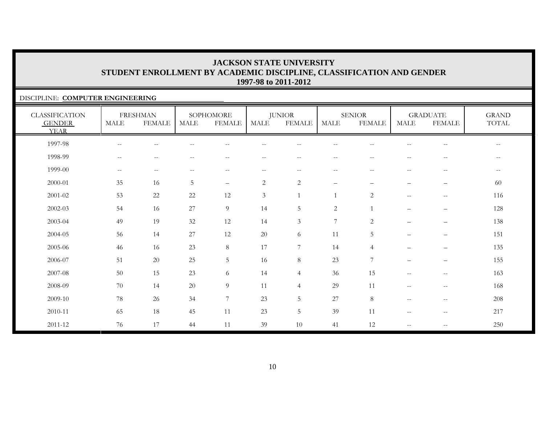### DISCIPLINE: **COMPUTER ENGINEERING**

| <b>CLASSIFICATION</b><br><b>GENDER</b><br><b>YEAR</b> | <b>MALE</b>              | <b>FRESHMAN</b><br><b>FEMALE</b>                    | <b>MALE</b>                                    | SOPHOMORE<br><b>FEMALE</b> | MALE                     | <b>JUNIOR</b><br><b>FEMALE</b> | <b>MALE</b>              | <b>SENIOR</b><br><b>FEMALE</b> | <b>MALE</b>                                         | <b>GRADUATE</b><br><b>FEMALE</b>                      | <b>GRAND</b><br>TOTAL |
|-------------------------------------------------------|--------------------------|-----------------------------------------------------|------------------------------------------------|----------------------------|--------------------------|--------------------------------|--------------------------|--------------------------------|-----------------------------------------------------|-------------------------------------------------------|-----------------------|
| 1997-98                                               | $\overline{\phantom{m}}$ | $-$                                                 |                                                | $-$                        |                          | $- -$                          | $\overline{\phantom{m}}$ | $-$                            |                                                     | $\overline{\phantom{m}}$                              | $- -$                 |
| 1998-99                                               | $\overline{\phantom{m}}$ | $\overline{\phantom{m}}$                            | $ -$                                           | $-$                        | --                       | $- -$                          | $\overline{\phantom{m}}$ | --                             |                                                     | $\overline{\phantom{a}}$                              | $- -$                 |
| 1999-00                                               | $--$                     | $\hspace{0.05cm} -\hspace{0.05cm} -\hspace{0.05cm}$ | $\hspace{0.1mm}-\hspace{0.1mm}-\hspace{0.1mm}$ | $\qquad \qquad -$          | $\overline{\phantom{m}}$ | $- -$                          | $--$                     | $\hspace{0.05cm} -$            | $- -$                                               | $\hspace{0.05cm} - \hspace{0.05cm} - \hspace{0.05cm}$ | $- -$                 |
| 2000-01                                               | 35                       | 16                                                  | 5                                              | $\qquad \qquad -$          | 2                        | $\overline{c}$                 | $\overline{\phantom{m}}$ | $\qquad \qquad -$              | $-$                                                 | $\overline{\phantom{m}}$                              | 60                    |
| $2001 - 02$                                           | 53                       | 22                                                  | 22                                             | 12                         | $\mathfrak{Z}$           | $\mathbf{1}$                   |                          | $\overline{2}$                 | $\hspace{0.05cm} -\hspace{0.05cm} -\hspace{0.05cm}$ | $\overline{\phantom{m}}$                              | 116                   |
| $2002 - 03$                                           | 54                       | 16                                                  | 27                                             | 9                          | 14                       | 5                              | 2                        |                                |                                                     | $\overline{\phantom{m}}$                              | 128                   |
| 2003-04                                               | 49                       | 19                                                  | 32                                             | 12                         | 14                       | 3                              | $\overline{7}$           | $\overline{2}$                 | $\qquad \qquad -$                                   | $\qquad \qquad -$                                     | 138                   |
| 2004-05                                               | 56                       | 14                                                  | 27                                             | 12                         | $20\,$                   | 6                              | 11                       | 5                              | $-$                                                 | $\qquad \qquad -$                                     | 151                   |
| 2005-06                                               | 46                       | 16                                                  | 23                                             | $8\,$                      | 17                       | 7                              | 14                       | $\overline{4}$                 | —                                                   | $\qquad \qquad -$                                     | 135                   |
| 2006-07                                               | 51                       | 20                                                  | 25                                             | 5                          | 16                       | 8                              | 23                       | 7                              | $\qquad \qquad -$                                   | $\qquad \qquad -$                                     | 155                   |
| 2007-08                                               | 50                       | 15                                                  | 23                                             | 6                          | 14                       | $\overline{4}$                 | 36                       | 15                             | $\hspace{0.05cm} -\hspace{0.05cm} -\hspace{0.05cm}$ | $-\,-$                                                | 163                   |
| 2008-09                                               | 70                       | 14                                                  | 20                                             | 9                          | 11                       | $\overline{4}$                 | 29                       | 11                             | $\mathcal{L}=\mathcal{L}$                           | $\overline{\phantom{m}}$                              | 168                   |
| 2009-10                                               | 78                       | 26                                                  | 34                                             | $\overline{7}$             | 23                       | 5                              | 27                       | 8                              | $\mathcal{L}=\mathcal{L}$                           | $\overline{\phantom{m}}$                              | 208                   |
| 2010-11                                               | 65                       | 18                                                  | 45                                             | 11                         | 23                       | 5                              | 39                       | 11                             | $\hspace{0.05cm} -\hspace{0.05cm} -\hspace{0.05cm}$ | $-\,-$                                                | 217                   |
| 2011-12                                               | 76                       | 17                                                  | 44                                             | 11                         | 39                       | 10                             | 41                       | 12                             | $\overline{\phantom{a}}$                            | $\mathord{\hspace{1pt}\text{--}\hspace{1pt}}$         | 250                   |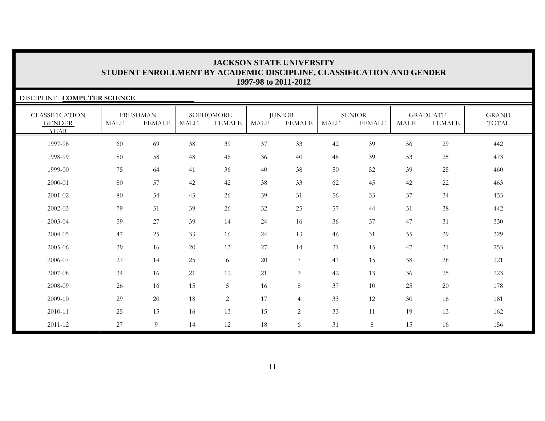| DISCIPLINE: COMPUTER SCIENCE                          |             |                                  |      |                            |             |                                |             |                                |             |                                  |                       |  |
|-------------------------------------------------------|-------------|----------------------------------|------|----------------------------|-------------|--------------------------------|-------------|--------------------------------|-------------|----------------------------------|-----------------------|--|
| <b>CLASSIFICATION</b><br><b>GENDER</b><br><b>YEAR</b> | <b>MALE</b> | <b>FRESHMAN</b><br><b>FEMALE</b> | MALE | SOPHOMORE<br><b>FEMALE</b> | <b>MALE</b> | <b>JUNIOR</b><br><b>FEMALE</b> | <b>MALE</b> | <b>SENIOR</b><br><b>FEMALE</b> | <b>MALE</b> | <b>GRADUATE</b><br><b>FEMALE</b> | <b>GRAND</b><br>TOTAL |  |
| 1997-98                                               | 60          | 69                               | 38   | 39                         | 37          | 33                             | 42          | 39                             | 56          | 29                               | 442                   |  |
| 1998-99                                               | 80          | 58                               | 48   | 46                         | 36          | 40                             | 48          | 39                             | 53          | 25                               | 473                   |  |
| 1999-00                                               | 75          | 64                               | 41   | 36                         | 40          | 38                             | 50          | 52                             | 39          | 25                               | 460                   |  |
| 2000-01                                               | 80          | 57                               | 42   | 42                         | 38          | 33                             | 62          | 45                             | 42          | 22                               | 463                   |  |
| 2001-02                                               | 80          | 54                               | 43   | 26                         | 39          | 31                             | 56          | 33                             | 37          | 34                               | 433                   |  |
| 2002-03                                               | 79          | 51                               | 39   | 26                         | 32          | 25                             | 57          | 44                             | 51          | 38                               | 442                   |  |
| 2003-04                                               | 59          | 27                               | 39   | 14                         | 24          | 16                             | 36          | 37                             | 47          | 31                               | 330                   |  |
| 2004-05                                               | 47          | 25                               | 33   | 16                         | 24          | 13                             | 46          | 31                             | 55          | 39                               | 329                   |  |
| 2005-06                                               | 39          | 16                               | 20   | 13                         | 27          | 14                             | 31          | 15                             | 47          | 31                               | 253                   |  |
| 2006-07                                               | 27          | 14                               | 25   | 6                          | $20\,$      | $\tau$                         | 41          | 15                             | 38          | 28                               | 221                   |  |
| 2007-08                                               | 34          | 16                               | 21   | 12                         | 21          | 3                              | 42          | 13                             | 36          | 25                               | 223                   |  |
| 2008-09                                               | 26          | 16                               | 15   | 5                          | 16          | 8                              | 37          | 10                             | 25          | 20                               | 178                   |  |
| 2009-10                                               | 29          | 20                               | 18   | $\overline{c}$             | 17          | $\overline{4}$                 | 33          | 12                             | 30          | 16                               | 181                   |  |
| 2010-11                                               | 25          | 15                               | 16   | 13                         | 15          | $\overline{c}$                 | 33          | 11                             | 19          | 13                               | 162                   |  |
| 2011-12                                               | 27          | 9                                | 14   | 12                         | 18          | 6                              | 31          | 8                              | 15          | 16                               | 156                   |  |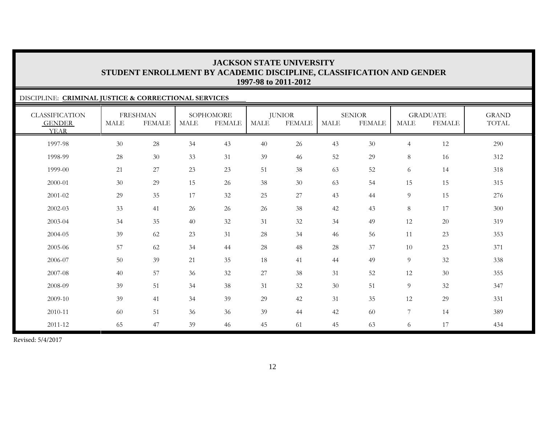### DISCIPLINE: **CRIMINAL JUSTICE & CORRECTIONAL SERVICES** CLASSIFICATION GENDER YEARFRESHMAN MALE FEMALESOPHOMORE MALE FEMALEJUNIOR MALE FEMALESENIORMALE FEMALEGRADUATE MALE FEMALEGRAND TOTAL 1997-98 30 28 34 43 40 26 43 30 4 12 290 1998-99 28 30 33 31 39 46 52 29 8 16 312 1999-00 $\begin{array}{ccccccccccc} 0 & 21 & 27 & 23 & 23 & 51 & 38 & 63 & 52 & 6 & 14 & 318 \end{array}$ 2000-01 30 29 15 26 38 30 63 54 15 15 315 2001-02 29 35 17 32 25 27 43 44 9 15 276 2002-03 33 41 26 26 26 38 42 43 8 17 300 2003-04 34 35 40 32 31 32 34 49 12 20 319 2004-05 39 62 23 31 28 34 46 566 11 23 353 2005-06 57 62 34 44 28 48 28 37 10 23 371 2006-07 50 39 21 35 188 41 44 49 9 32 338 2007-08 40 57 36 32 27 38 311 52 12 30 355 2008-09 39 51 34 38 31 32 30 51 9 32 347 2009-10 39 41 34 39 29 42 31 35 12 29 331 2010-11 60 51 36 36 39 44 42 60 7 14 389 2011-12 65 47 39 46<sup>45</sup> <sup>61</sup> <sup>45</sup> <sup>63</sup> <sup>6</sup> <sup>17</sup> <sup>43</sup><sup>4</sup>

Revised: 5/4/2017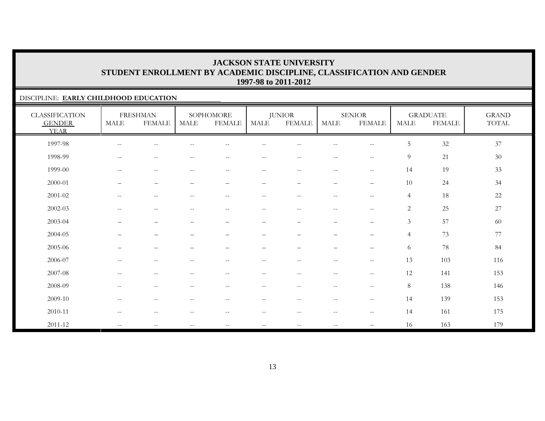### DISCIPLINE: **EARLY CHILDHOOD EDUCATION**

| <b>CLASSIFICATION</b><br><b>GENDER</b><br><b>YEAR</b> | <b>MALE</b>                                         | <b>FRESHMAN</b><br><b>FEMALE</b> | <b>MALE</b>                                         | SOPHOMORE<br><b>FEMALE</b>                     | MALE                     | <b>JUNIOR</b><br><b>FEMALE</b>  | <b>MALE</b>              | <b>SENIOR</b><br><b>FEMALE</b>   | <b>MALE</b>    | <b>GRADUATE</b><br><b>FEMALE</b> | <b>GRAND</b><br>$\operatorname{TOTAL}$ |
|-------------------------------------------------------|-----------------------------------------------------|----------------------------------|-----------------------------------------------------|------------------------------------------------|--------------------------|---------------------------------|--------------------------|----------------------------------|----------------|----------------------------------|----------------------------------------|
| 1997-98                                               | $\sim$ $-$                                          | $-$                              |                                                     |                                                |                          |                                 | $-$                      | $\qquad \qquad -$                | 5              | $32\,$                           | 37                                     |
| 1998-99                                               | $\hspace{0.05cm} -\hspace{0.05cm} -\hspace{0.05cm}$ | $\qquad \qquad -$                | $\sim$ $-$                                          | $\qquad \qquad -$                              | $- -$                    | $\sim$ $\sim$                   | $- -$                    | $-\,-$                           | 9              | 21                               | 30                                     |
| 1999-00                                               | $\hspace{0.1mm}-\hspace{0.1mm}-\hspace{0.1mm}$      | $\overline{\phantom{m}}$         | $\hspace{0.05cm}$ – $\hspace{0.05cm}$               | $\hspace{0.1mm}-\hspace{0.1mm}-\hspace{0.1mm}$ | $\overline{\phantom{a}}$ | $--$                            | $--$                     | $\overline{\phantom{m}}$         | 14             | 19                               | 33                                     |
| 2000-01                                               |                                                     | $\qquad \qquad -$                | $\qquad \qquad -$                                   |                                                | $\qquad \qquad -$        | $\overline{\phantom{0}}$        | $\qquad \qquad -$        | $\overline{\phantom{m}}$         | 10             | 24                               | 34                                     |
| $2001 - 02$                                           | $\hspace{0.05cm} -\hspace{0.05cm} -\hspace{0.05cm}$ | $\overline{\phantom{m}}$         | $\hspace{0.05cm} -\hspace{0.05cm} -\hspace{0.05cm}$ | $\overline{\phantom{m}}$                       | $- -$                    | $--$                            | $--$                     | $\overline{\phantom{m}}$         | $\overline{4}$ | $18\,$                           | 22                                     |
| $2002 - 03$                                           | $\hspace{0.05cm} -\hspace{0.05cm} -\hspace{0.05cm}$ | $\qquad \qquad -$                | $\sim$ $-$                                          | $\qquad \qquad -$                              | $- -$                    | $\sim$ $-$                      | $--$                     | $\sim$ $\sim$                    | $\overline{2}$ | 25                               | 27                                     |
| 2003-04                                               | $\qquad \qquad -$                                   | $\overbrace{\phantom{12322111}}$ |                                                     | $\qquad \qquad -$                              | -                        | $\overline{\phantom{0}}$        | $\qquad \qquad -$        | $\overline{\phantom{0}}$         | $\mathfrak{Z}$ | 57                               | 60                                     |
| 2004-05                                               | $\overline{\phantom{0}}$                            | $\qquad \qquad -$                |                                                     | $\qquad \qquad -$                              | $\overline{\phantom{0}}$ | $\overbrace{\phantom{1232211}}$ | $\qquad \qquad -$        | $\qquad \qquad -$                | 4              | 73                               | 77                                     |
| 2005-06                                               | —                                                   | $\overbrace{\phantom{12322111}}$ |                                                     | -                                              | $\overline{\phantom{0}}$ |                                 | $\qquad \qquad -$        | $\overbrace{\phantom{12322111}}$ | 6              | $78\,$                           | 84                                     |
| 2006-07                                               | $\overline{\phantom{m}}$                            | $-$                              |                                                     | $-$                                            | $-$                      | $- -$                           | $\overline{\phantom{a}}$ | $-\,-$                           | 13             | 103                              | 116                                    |
| 2007-08                                               | $\hspace{0.05cm} -\hspace{0.05cm} -\hspace{0.05cm}$ | $-\,-$                           | $-$                                                 | $\overline{\phantom{m}}$                       | $- -$                    | $-\,-$                          | $- -$                    | $-\,-$                           | 12             | 141                              | 153                                    |
| 2008-09                                               | $\hspace{0.1mm}-\hspace{0.1mm}-\hspace{0.1mm}$      | $\overline{\phantom{m}}$         | $\hspace{0.05cm} -\hspace{0.05cm} -\hspace{0.05cm}$ | $--$                                           | $\overline{\phantom{a}}$ | $--$                            | $--$                     | $\overline{\phantom{m}}$         | 8              | 138                              | 146                                    |
| 2009-10                                               | $\sim$ $\sim$                                       | $\overline{\phantom{m}}$         | $\hspace{0.05cm} -$                                 | $- -$                                          | $- -$                    | $--$                            | $--$                     | $\mathbf{u}$                     | 14             | 139                              | 153                                    |
| 2010-11                                               | $\hspace{0.05cm} -\hspace{0.05cm} -\hspace{0.05cm}$ | $\overline{\phantom{m}}$         | $\hspace{0.05cm}$ – $\hspace{0.05cm}$               | $\overline{\phantom{m}}$                       | $- -$                    | $--$                            | $--$                     | $-\,-$                           | 14             | 161                              | 175                                    |
| $2011 - 12$                                           | $\mathcal{L}=\mathcal{L}$                           | $-$                              | $\hspace{0.05cm} -\hspace{0.05cm} -\hspace{0.05cm}$ | $\qquad \qquad -$                              | $-\,-$                   | $\overline{\phantom{m}}$        | $\overline{\phantom{m}}$ |                                  | 16             | 163                              | 179                                    |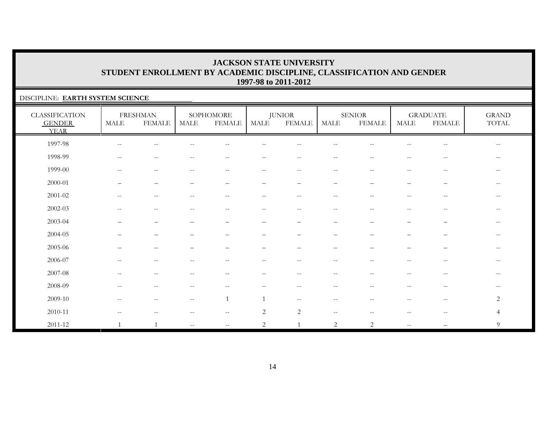### DISCIPLINE: **EARTH SYSTEM SCIENCE**

| <b>CLASSIFICATION</b><br><b>GENDER</b><br><b>YEAR</b> | <b>MALE</b>              | <b>FRESHMAN</b><br><b>FEMALE</b> | MALE                                                | SOPHOMORE<br><b>FEMALE</b>                            | MALE                     | <b>JUNIOR</b><br><b>FEMALE</b>                        | MALE                     | <b>SENIOR</b><br><b>FEMALE</b>                        | <b>MALE</b>              | <b>GRADUATE</b><br><b>FEMALE</b>                      | <b>GRAND</b><br>TOTAL |
|-------------------------------------------------------|--------------------------|----------------------------------|-----------------------------------------------------|-------------------------------------------------------|--------------------------|-------------------------------------------------------|--------------------------|-------------------------------------------------------|--------------------------|-------------------------------------------------------|-----------------------|
| 1997-98                                               | $\overline{\phantom{m}}$ | $\sim$ $-$                       |                                                     | $-$                                                   |                          |                                                       |                          |                                                       | --                       | $\overline{\phantom{m}}$                              | $--$                  |
| 1998-99                                               | $\overline{\phantom{m}}$ | $\sim$ $-$                       | $- -$                                               | $\hspace{0.05cm} - \hspace{0.05cm} - \hspace{0.05cm}$ | $\overline{\phantom{m}}$ | $\hspace{0.05cm} - \hspace{0.05cm} - \hspace{0.05cm}$ | $\overline{\phantom{m}}$ | $\sim$ $\sim$                                         | $\overline{\phantom{m}}$ | $-\,-$                                                | $--$                  |
| 1999-00                                               | $\overline{\phantom{m}}$ | $\sim$ $-$                       |                                                     | $\qquad \qquad -$                                     | $- -$                    | $\overline{\phantom{m}}$                              | $\overline{\phantom{m}}$ | $-$                                                   | $\overline{\phantom{m}}$ | $\mathord{\hspace{1pt}\text{--}\hspace{1pt}}$         |                       |
| 2000-01                                               |                          | $\overline{\phantom{0}}$         |                                                     |                                                       | $\overline{\phantom{m}}$ | $\overline{\phantom{m}}$                              | $\qquad \qquad -$        | $\overline{\phantom{m}}$                              | —                        | —                                                     | $\qquad \qquad -$     |
| $2001 - 02$                                           | --                       | $\sim$ $-$                       |                                                     | $- -$                                                 | $\overline{\phantom{m}}$ | $\overline{\phantom{m}}$                              | $\sim$ $-$               | $\overline{\phantom{a}}$                              | --                       | $\hspace{0.05cm} - \hspace{0.05cm} - \hspace{0.05cm}$ | $\qquad \qquad -$     |
| $2002 - 03$                                           |                          | --                               |                                                     |                                                       | $- -$                    |                                                       | $-$                      |                                                       |                          | $ -$                                                  | $- -$                 |
| 2003-04                                               |                          | $\overline{\phantom{0}}$         |                                                     |                                                       | $\qquad \qquad -$        |                                                       | $\overline{\phantom{0}}$ |                                                       | —                        | —                                                     | $-\,-$                |
| 2004-05                                               |                          |                                  |                                                     |                                                       |                          |                                                       |                          |                                                       |                          |                                                       |                       |
| 2005-06                                               |                          |                                  |                                                     |                                                       |                          |                                                       |                          |                                                       |                          |                                                       | $-$                   |
| 2006-07                                               | $-$                      | $- -$                            |                                                     | $ -$                                                  | $ -$                     | $\sim$                                                | $-$                      |                                                       | --                       | $\hspace{0.05cm} - \hspace{0.05cm} - \hspace{0.05cm}$ | $- -$                 |
| 2007-08                                               | $\overline{\phantom{a}}$ | $\overline{\phantom{m}}$         | $- -$                                               | $\overline{\phantom{m}}$                              | $\overline{\phantom{m}}$ | $- -$                                                 | $\overline{\phantom{m}}$ | $\hspace{0.05cm} - \hspace{0.05cm} - \hspace{0.05cm}$ | $\qquad \qquad -$        | $\hspace{0.05cm} - \hspace{0.05cm} - \hspace{0.05cm}$ | $\qquad \qquad -$     |
| 2008-09                                               | $-$                      | $-$                              |                                                     | --                                                    | $-$                      | $ -$                                                  | $-$                      | $-$                                                   | --                       | $\hspace{0.05cm} - \hspace{0.05cm} - \hspace{0.05cm}$ | $- -$                 |
| 2009-10                                               | $\overline{\phantom{m}}$ | $\sim$ $-$                       | $\hspace{0.05cm} -\hspace{0.05cm} -\hspace{0.05cm}$ |                                                       |                          | $\hspace{0.05cm} -\hspace{0.05cm} -\hspace{0.05cm}$   | $\overline{\phantom{m}}$ | $-$                                                   | $- -$                    | $\hspace{0.05cm} -\hspace{0.05cm} -\hspace{0.05cm}$   | 2                     |
| 2010-11                                               | $\overline{\phantom{m}}$ | $-$                              | $-$                                                 | $--$                                                  | 2                        | 2                                                     | $\mathbf{u}$             |                                                       | $-$                      | $\overline{\phantom{m}}$                              | $\overline{4}$        |
| $2011 - 12$                                           | $\mathbf{1}$             |                                  | $\overline{\phantom{a}}$                            | $--$                                                  | $\overline{2}$           |                                                       | 2                        | 2                                                     | $\overline{\phantom{a}}$ |                                                       | 9                     |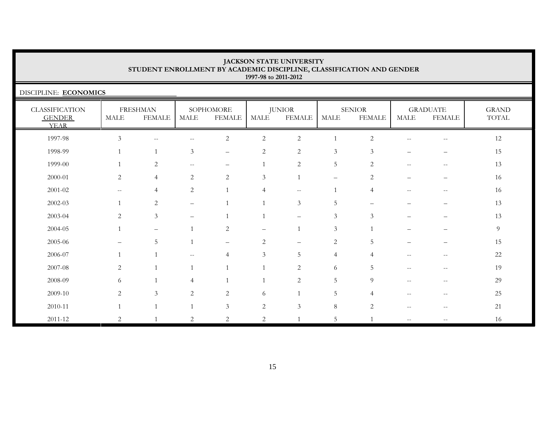DISCIPLINE: **ECONOMICS**

| <b>CLASSIFICATION</b><br><b>GENDER</b><br><b>YEAR</b> | <b>MALE</b>                                         | <b>FRESHMAN</b><br><b>FEMALE</b> | <b>MALE</b>              | SOPHOMORE<br><b>FEMALE</b> | MALE                     | <b>JUNIOR</b><br><b>FEMALE</b> | MALE                     | <b>SENIOR</b><br><b>FEMALE</b> | MALE                     | <b>GRADUATE</b><br><b>FEMALE</b> | <b>GRAND</b><br>TOTAL |
|-------------------------------------------------------|-----------------------------------------------------|----------------------------------|--------------------------|----------------------------|--------------------------|--------------------------------|--------------------------|--------------------------------|--------------------------|----------------------------------|-----------------------|
| 1997-98                                               | $\mathfrak{Z}$                                      | $\mathbf{u}$                     | --                       | $\sqrt{2}$                 | $\sqrt{2}$               | $\sqrt{2}$                     |                          | $\overline{2}$                 | $\mathrel{{-}{-}}$       | $- -$                            | 12                    |
| 1998-99                                               |                                                     |                                  | 3                        | $\overline{\phantom{m}}$   | 2                        | $\sqrt{2}$                     | 3                        | 3                              | -                        | -                                | 15                    |
| 1999-00                                               |                                                     | $\overline{2}$                   |                          |                            |                          | $\sqrt{2}$                     | $\overline{5}$           | $\mathbf{2}$                   | $-$                      | --                               | 13                    |
| 2000-01                                               | $\overline{c}$                                      | $\overline{4}$                   | 2                        | $\overline{c}$             | 3                        |                                | $\overline{\phantom{m}}$ | $\overline{2}$                 | —                        |                                  | 16                    |
| $2001 - 02$                                           | $\hspace{0.05cm} -\hspace{0.05cm} -\hspace{0.05cm}$ | $\overline{4}$                   | 2                        |                            |                          | $-\,-$                         |                          | $\overline{4}$                 | $\overline{\phantom{m}}$ | $-\,-$                           | 16                    |
| 2002-03                                               |                                                     | 2                                | $\overline{\phantom{0}}$ |                            |                          | 3                              | 5                        |                                |                          | —                                | 13                    |
| 2003-04                                               | $\overline{2}$                                      | $\mathfrak{Z}$                   |                          |                            |                          | $\overline{\phantom{m}}$       | $\mathfrak{Z}$           | 3                              | ▃                        |                                  | 13                    |
| 2004-05                                               |                                                     | $\overline{\phantom{m}}$         |                          | $\overline{c}$             | $\overline{\phantom{m}}$ |                                | $\mathfrak{Z}$           |                                |                          | —                                | 9                     |
| 2005-06                                               |                                                     | 5                                | 1                        | $\qquad \qquad -$          | 2                        |                                | $\overline{c}$           | 5                              |                          |                                  | 15                    |
| 2006-07                                               | 1                                                   |                                  | $\overline{\phantom{m}}$ | 4                          | $\mathfrak{Z}$           | 5                              | $\overline{4}$           | $\overline{4}$                 | $\qquad \qquad -$        | --                               | $22\,$                |
| 2007-08                                               | $\overline{c}$                                      |                                  | $\mathbf{1}$             |                            |                          | $\sqrt{2}$                     | 6                        | $\overline{5}$                 | $\overline{\phantom{m}}$ | $\overline{\phantom{m}}$         | 19                    |
| 2008-09                                               | 6                                                   |                                  | $\overline{4}$           |                            |                          | 2                              | $\overline{5}$           | 9                              | $- -$                    | $- -$                            | 29                    |
| 2009-10                                               | 2                                                   | $\mathfrak{Z}$                   | 2                        | 2                          | 6                        |                                | 5                        | $\overline{4}$                 | --                       | --                               | $25\,$                |
| 2010-11                                               |                                                     |                                  |                          | $\mathfrak{Z}$             | $\overline{2}$           | $\mathfrak{Z}$                 | $8\,$                    | $\overline{2}$                 | $\qquad \qquad -$        | $-\,-$                           | 21                    |
| 2011-12                                               | $\overline{2}$                                      |                                  | 2                        | 2                          | $\sqrt{2}$               |                                | 5                        |                                | $\qquad \qquad -$        | $- -$                            | 16                    |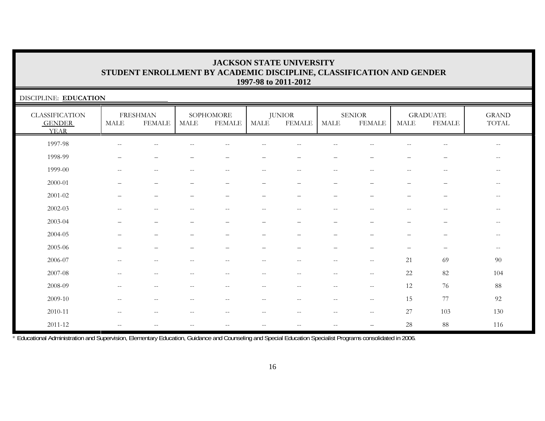| DISCIPLINE: EDUCATION                                 |                          |                                  |                                                     |                                                     |                   |                                                       |                          |                                |                          |                                  |                                                       |
|-------------------------------------------------------|--------------------------|----------------------------------|-----------------------------------------------------|-----------------------------------------------------|-------------------|-------------------------------------------------------|--------------------------|--------------------------------|--------------------------|----------------------------------|-------------------------------------------------------|
| <b>CLASSIFICATION</b><br><b>GENDER</b><br><b>YEAR</b> | <b>MALE</b>              | <b>FRESHMAN</b><br><b>FEMALE</b> | <b>MALE</b>                                         | SOPHOMORE<br><b>FEMALE</b>                          | MALE              | <b>JUNIOR</b><br>FEMALE                               | <b>MALE</b>              | <b>SENIOR</b><br><b>FEMALE</b> | <b>MALE</b>              | <b>GRADUATE</b><br><b>FEMALE</b> | <b>GRAND</b><br>TOTAL                                 |
| 1997-98                                               | $\sim$                   |                                  |                                                     |                                                     |                   |                                                       |                          |                                |                          | $-$                              | $\overline{\phantom{m}}$                              |
| 1998-99                                               |                          |                                  |                                                     |                                                     |                   |                                                       |                          |                                |                          |                                  | $\qquad \qquad -$                                     |
| 1999-00                                               |                          |                                  |                                                     | $\qquad \qquad -$                                   |                   |                                                       |                          |                                |                          |                                  | $-\,-$                                                |
| 2000-01                                               |                          |                                  |                                                     |                                                     | -                 |                                                       |                          |                                |                          | $\qquad \qquad -$                | $\hspace{0.05cm} - \hspace{0.05cm} - \hspace{0.05cm}$ |
| 2001-02                                               |                          | $\overline{\phantom{m}}$         | -                                                   | $\qquad \qquad -$                                   | $\qquad \qquad -$ | —                                                     | $\overline{\phantom{0}}$ |                                | —                        | $\overline{\phantom{m}}$         | $-\,-$                                                |
| 2002-03                                               | $-$                      | $- -$                            | --                                                  | $\qquad \qquad -$                                   | $\qquad \qquad -$ | $-$                                                   | $-$                      |                                | $\qquad \qquad -$        | $-$                              | $\overline{\phantom{a}}$                              |
| 2003-04                                               |                          | $\overline{\phantom{0}}$         |                                                     | -                                                   | $\qquad \qquad -$ | -                                                     |                          |                                |                          | $\qquad \qquad -$                | $-\,-$                                                |
| 2004-05                                               |                          | $\qquad \qquad -$                |                                                     |                                                     |                   |                                                       |                          |                                |                          |                                  | $-\,-$                                                |
| 2005-06                                               |                          | $\overline{\phantom{0}}$         |                                                     | -                                                   | -                 |                                                       |                          | $\overline{\phantom{0}}$       | $\overline{\phantom{0}}$ |                                  | $\hspace{0.05cm} -\hspace{0.05cm} -\hspace{0.05cm}$   |
| 2006-07                                               |                          | $- -$                            | --                                                  | $-$                                                 | $-$               | $-$                                                   |                          | $--$                           | 21                       | 69                               | $90\,$                                                |
| $2007 - 08$                                           | $-$                      | $\overline{\phantom{m}}$         | --                                                  | $\overline{\phantom{m}}$                            | $\qquad \qquad -$ | $\hspace{0.05cm} - \hspace{0.05cm} - \hspace{0.05cm}$ | $\sim$ $\sim$            | $--$                           | 22                       | 82                               | 104                                                   |
| 2008-09                                               | $\overline{\phantom{m}}$ | $--$                             | $\hspace{0.05cm} -\hspace{0.05cm} -\hspace{0.05cm}$ | $\hspace{0.05cm} -\hspace{0.05cm} -\hspace{0.05cm}$ | $- -$             | $--$                                                  | $\sim$ $-$               | $\mathbf{u}$                   | 12                       | 76                               | $88\,$                                                |
| 2009-10                                               | $\overline{\phantom{m}}$ | $- -$                            | --                                                  | $\overline{\phantom{m}}$                            | $- -$             | $- -$                                                 | $-$                      | $\mathbf{u}$                   | 15                       | 77                               | 92                                                    |
| 2010-11                                               | $-$                      | $--$                             | $\hspace{0.05cm} -\hspace{0.05cm} -\hspace{0.05cm}$ | $\hspace{0.05cm} -\hspace{0.05cm} -\hspace{0.05cm}$ | $- -$             | $--$                                                  | $\overline{\phantom{m}}$ | $--$                           | 27                       | 103                              | 130                                                   |
| $2011 - 12$                                           | $\overline{\phantom{m}}$ | $- -$                            | --                                                  | $-\,-$                                              | $- -$             | $\qquad \qquad -$                                     | $\sim$                   |                                | $28\,$                   | $88\,$                           | 116                                                   |

\* Educational Administration and Supervision, Elementary Education, Guidance and Counseling and Special Education Specialist Programs consolidated in 2006.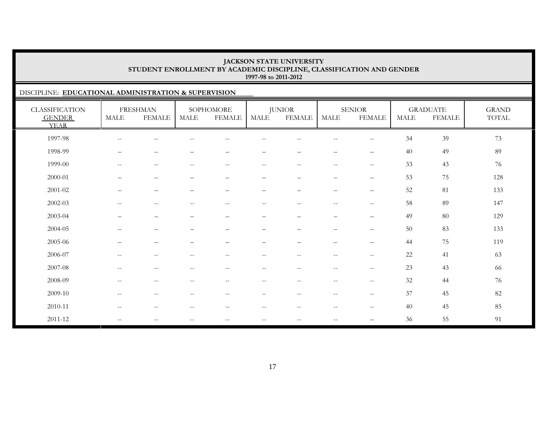### DISCIPLINE: **EDUCATIONAL ADMINISTRATION & SUPERVISION**

| <b>CLASSIFICATION</b><br><b>GENDER</b><br><b>YEAR</b> | <b>MALE</b>              | <b>FRESHMAN</b><br><b>FEMALE</b>                      | <b>MALE</b>              | SOPHOMORE<br><b>FEMALE</b>                          | <b>MALE</b>              | <b>JUNIOR</b><br><b>FEMALE</b>                        | <b>MALE</b>                                           | <b>SENIOR</b><br><b>FEMALE</b>        | <b>MALE</b> | <b>GRADUATE</b><br><b>FEMALE</b> | <b>GRAND</b><br>TOTAL |
|-------------------------------------------------------|--------------------------|-------------------------------------------------------|--------------------------|-----------------------------------------------------|--------------------------|-------------------------------------------------------|-------------------------------------------------------|---------------------------------------|-------------|----------------------------------|-----------------------|
| 1997-98                                               | $\overline{\phantom{m}}$ | $\overline{\phantom{m}}$                              | --                       |                                                     |                          |                                                       | $- -$                                                 | $-$                                   | 34          | 39                               | 73                    |
| 1998-99                                               | $\overline{\phantom{0}}$ | $\qquad \qquad -$                                     |                          |                                                     | —                        | -                                                     | $\qquad \qquad -$                                     | $\qquad \qquad -$                     | 40          | 49                               | 89                    |
| 1999-00                                               | $\overline{\phantom{a}}$ | $--$                                                  | $-$                      | $\hspace{0.05cm} -\hspace{0.05cm} -\hspace{0.05cm}$ | $- -$                    | $\overline{\phantom{m}}$                              | $\qquad \qquad -$                                     | $\mathbf{u}$                          | 33          | 43                               | 76                    |
| 2000-01                                               |                          | $\overline{\phantom{0}}$                              |                          |                                                     |                          |                                                       | $\overline{\phantom{0}}$                              | $\overbrace{\phantom{12322111}}$      | 53          | 75                               | 128                   |
| 2001-02                                               | $\qquad \qquad$          | $\overline{\phantom{m}}$                              | $\qquad \qquad -$        | $\overline{\phantom{m}}$                            | $\overline{\phantom{0}}$ | $\overline{\phantom{0}}$                              | $\qquad \qquad -$                                     | $\overline{\phantom{m}}$              | 52          | 81                               | 133                   |
| 2002-03                                               | $\overline{\phantom{a}}$ | $--$                                                  | $\overline{\phantom{m}}$ | $\hspace{0.05cm} -\hspace{0.05cm} -\hspace{0.05cm}$ | $--$                     | $\overline{\phantom{m}}$                              | $--$                                                  | $-\,-$                                | 58          | 89                               | 147                   |
| 2003-04                                               | $\overline{\phantom{0}}$ | $\qquad \qquad -$                                     | $\qquad \qquad -$        | $\overline{\phantom{m}}$                            | $\overline{\phantom{0}}$ | $\overline{\phantom{0}}$                              | $\qquad \qquad -$                                     | $\overline{\phantom{m}}$              | 49          | 80                               | 129                   |
| 2004-05                                               |                          | $\overline{\phantom{m}}$                              |                          |                                                     | —                        |                                                       | $\overline{\phantom{0}}$                              | $\overline{\phantom{0}}$              | 50          | 83                               | 133                   |
| 2005-06                                               | $\qquad \qquad -$        | $\qquad \qquad -$                                     | $\overline{\phantom{0}}$ | $\overline{\phantom{m}}$                            | $\overline{\phantom{0}}$ | $\overline{\phantom{0}}$                              | $\overline{\phantom{0}}$                              | $\qquad \qquad -$                     | 44          | 75                               | 119                   |
| 2006-07                                               | $\overline{\phantom{m}}$ | $\hspace{0.05cm} - \hspace{0.05cm} - \hspace{0.05cm}$ | $- -$                    | $\sim$ $-$                                          | $- -$                    | $\hspace{0.05cm} - \hspace{0.05cm} - \hspace{0.05cm}$ | $\hspace{0.05cm} - \hspace{0.05cm} - \hspace{0.05cm}$ | $\hspace{0.05cm}$ – $\hspace{0.05cm}$ | 22          | 41                               | 63                    |
| 2007-08                                               | $-$                      | $\qquad \qquad -$                                     | --                       | $-$                                                 |                          | --                                                    | $\qquad \qquad -$                                     | $\hspace{0.05cm} -$                   | 23          | 43                               | 66                    |
| 2008-09                                               | $\overline{\phantom{m}}$ | $\hspace{0.05cm} - \hspace{0.05cm} - \hspace{0.05cm}$ | --                       |                                                     |                          | --                                                    | $\qquad \qquad -$                                     | $\hspace{0.05cm} -$                   | 32          | 44                               | 76                    |
| 2009-10                                               | $\overline{\phantom{a}}$ | $\overline{\phantom{m}}$                              | $\sim$ $-$               | $\hspace{0.05cm}$ – $\hspace{0.05cm}$               | $- -$                    | $\overline{\phantom{m}}$                              | $\overline{\phantom{m}}$                              | $\overline{\phantom{m}}$              | 37          | 45                               | 82                    |
| 2010-11                                               | $\overline{\phantom{a}}$ | $--$                                                  | $\overline{\phantom{m}}$ | $\hspace{0.05cm}$ – $\hspace{0.05cm}$               | $- -$                    | $\overline{\phantom{m}}$                              | $--$                                                  | $\hspace{0.05cm} -$                   | 40          | 45                               | 85                    |
| 2011-12                                               | $\overline{\phantom{m}}$ | $\overline{\phantom{m}}$                              | $- -$                    | $\sim$ $-$                                          | $- -$                    | --                                                    | $- -$                                                 | $\overline{\phantom{0}}$              | 36          | 55                               | 91                    |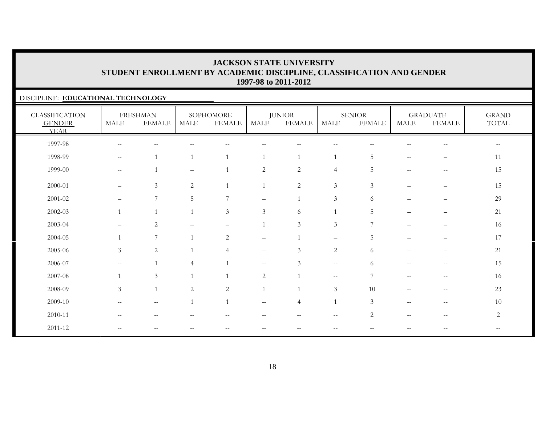### DISCIPLINE: **EDUCATIONAL TECHNOLOGY**

| <b>CLASSIFICATION</b><br><b>GENDER</b><br><b>YEAR</b> | <b>MALE</b>              | <b>FRESHMAN</b><br><b>FEMALE</b>                      | MALE           | SOPHOMORE<br><b>FEMALE</b> | <b>MALE</b>              | <b>JUNIOR</b><br><b>FEMALE</b> | <b>MALE</b>              | <b>SENIOR</b><br><b>FEMALE</b> | MALE                                                | <b>GRADUATE</b><br><b>FEMALE</b>                      | <b>GRAND</b><br>$\operatorname{TOTAL}$ |
|-------------------------------------------------------|--------------------------|-------------------------------------------------------|----------------|----------------------------|--------------------------|--------------------------------|--------------------------|--------------------------------|-----------------------------------------------------|-------------------------------------------------------|----------------------------------------|
| 1997-98                                               | $\mathbf{u}$             | $\qquad \qquad -$                                     |                |                            |                          |                                |                          |                                |                                                     | $-$                                                   | $--$                                   |
| 1998-99                                               | $- -$                    |                                                       | $\mathbf{1}$   |                            |                          |                                | $\mathbf{1}$             | $\overline{5}$                 | $\hspace{0.05cm} -\hspace{0.05cm} -\hspace{0.05cm}$ | $\overline{\phantom{0}}$                              | 11                                     |
| 1999-00                                               | $--$                     |                                                       |                |                            | $\overline{c}$           | $\sqrt{2}$                     | $\overline{4}$           | 5                              | $\sim$ $-$                                          | $\sim$ $\sim$                                         | 15                                     |
| 2000-01                                               | $\overline{\phantom{m}}$ | $\mathfrak{Z}$                                        | $\overline{c}$ |                            |                          | $\sqrt{2}$                     | $\mathfrak{Z}$           | 3                              |                                                     |                                                       | 15                                     |
| $2001 - 02$                                           | $\overline{\phantom{m}}$ | $7\phantom{.0}$                                       | 5              | $\overline{7}$             | $\overline{\phantom{0}}$ |                                | $\mathfrak{Z}$           | 6                              | $\qquad \qquad -$                                   | $\qquad \qquad -$                                     | 29                                     |
| $2002 - 03$                                           |                          |                                                       | $\overline{1}$ | $\mathfrak{Z}$             | 3                        | 6                              |                          | 5                              |                                                     | $\overline{\phantom{m}}$                              | 21                                     |
| 2003-04                                               |                          | $\overline{2}$                                        |                |                            |                          | $\mathfrak{Z}$                 | $\mathfrak{Z}$           | $\overline{7}$                 |                                                     | $\qquad \qquad -$                                     | 16                                     |
| 2004-05                                               |                          | 7                                                     | $\overline{1}$ | 2                          | $\qquad \qquad -$        |                                | $\overline{\phantom{0}}$ | 5                              |                                                     |                                                       | 17                                     |
| 2005-06                                               | $\mathfrak{Z}$           | $\overline{2}$                                        |                | $\overline{4}$             | $\qquad \qquad -$        | $\mathfrak{Z}$                 | $\overline{2}$           | 6                              |                                                     | $\overline{\phantom{0}}$                              | 21                                     |
| 2006-07                                               | $\qquad \qquad -$        |                                                       | 4              |                            | $\overline{\phantom{m}}$ | 3                              | $\sim$ $-$               | 6                              | $\sim$ $-$                                          | $\hspace{0.05cm} -$                                   | 15                                     |
| 2007-08                                               |                          | 3                                                     | $\overline{1}$ |                            | $\sqrt{2}$               |                                | $--$                     | $7\phantom{.0}$                | $\sim$ $\sim$                                       | $\sim$ $\sim$                                         | 16                                     |
| 2008-09                                               | $\mathfrak{Z}$           | $\mathbf{1}$                                          | $\overline{c}$ | $\overline{2}$             |                          |                                | $\mathfrak{Z}$           | 10                             | $\mathcal{L}=\mathcal{L}$                           | $\hspace{0.05cm} -\hspace{0.05cm} -\hspace{0.05cm}$   | 23                                     |
| 2009-10                                               | $\qquad \qquad -$        | $\mathcal{L}=\mathcal{L}$                             | $\overline{1}$ |                            | $\mathbf{u}$             | $\overline{4}$                 | $\mathbf{1}$             | 3                              | $\mathcal{L}=\mathcal{L}$                           | $- -$                                                 | 10                                     |
| 2010-11                                               | $\overline{\phantom{a}}$ | $-$                                                   |                | $-$                        | --                       | $\overline{\phantom{a}}$       | $\overline{\phantom{a}}$ | $\overline{2}$                 | $\hspace{0.05cm} -\hspace{0.05cm} -\hspace{0.05cm}$ | $\hspace{0.05cm} - \hspace{0.05cm} - \hspace{0.05cm}$ | 2                                      |
| 2011-12                                               | $\qquad \qquad -$        | $\hspace{0.05cm} - \hspace{0.05cm} - \hspace{0.05cm}$ | --             | $- -$                      | $- -$                    | $- -$                          | $\qquad \qquad -$        | --                             | $- -$                                               | $-$                                                   | $- -$                                  |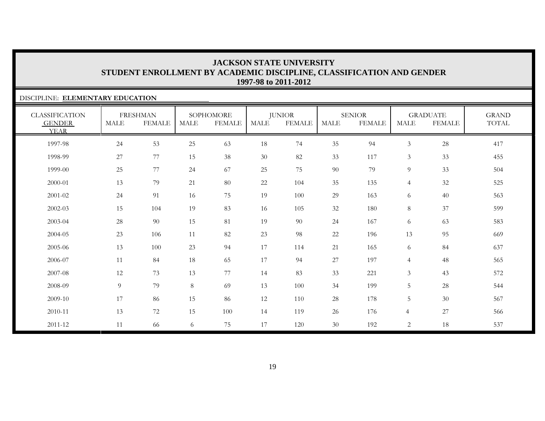# DISCIPLINE: **ELEMENTARY EDUCATION**

| <b>CLASSIFICATION</b><br><b>GENDER</b><br><b>YEAR</b> | <b>MALE</b>    | <b>FRESHMAN</b><br><b>FEMALE</b> | <b>MALE</b> | SOPHOMORE<br><b>FEMALE</b> | MALE   | <b>JUNIOR</b><br><b>FEMALE</b> | <b>MALE</b> | <b>SENIOR</b><br><b>FEMALE</b> | <b>MALE</b>    | <b>GRADUATE</b><br><b>FEMALE</b> | <b>GRAND</b><br>TOTAL |
|-------------------------------------------------------|----------------|----------------------------------|-------------|----------------------------|--------|--------------------------------|-------------|--------------------------------|----------------|----------------------------------|-----------------------|
| 1997-98                                               | 24             | 53                               | 25          | 63                         | 18     | 74                             | 35          | 94                             | $\mathfrak{Z}$ | 28                               | 417                   |
| 1998-99                                               | 27             | 77                               | 15          | 38                         | $30\,$ | 82                             | 33          | 117                            | $\mathfrak{Z}$ | 33                               | 455                   |
| 1999-00                                               | 25             | 77                               | 24          | 67                         | 25     | 75                             | 90          | 79                             | 9              | 33                               | 504                   |
| 2000-01                                               | 13             | 79                               | 21          | 80                         | 22     | 104                            | 35          | 135                            | $\overline{4}$ | 32                               | 525                   |
| 2001-02                                               | 24             | 91                               | 16          | 75                         | 19     | 100                            | 29          | 163                            | 6              | 40                               | 563                   |
| 2002-03                                               | 15             | 104                              | 19          | 83                         | 16     | 105                            | 32          | 180                            | 8              | 37                               | 599                   |
| 2003-04                                               | 28             | 90                               | 15          | 81                         | 19     | 90                             | 24          | 167                            | 6              | 63                               | 583                   |
| 2004-05                                               | 23             | 106                              | 11          | 82                         | 23     | 98                             | 22          | 196                            | 13             | 95                               | 669                   |
| 2005-06                                               | 13             | 100                              | 23          | 94                         | 17     | 114                            | 21          | 165                            | 6              | 84                               | 637                   |
| 2006-07                                               | 11             | 84                               | 18          | 65                         | 17     | 94                             | $27\,$      | 197                            | $\overline{4}$ | 48                               | 565                   |
| 2007-08                                               | 12             | 73                               | 13          | 77                         | 14     | 83                             | 33          | 221                            | $\mathfrak{Z}$ | 43                               | 572                   |
| 2008-09                                               | $\overline{9}$ | 79                               | 8           | 69                         | 13     | 100                            | 34          | 199                            | 5              | 28                               | 544                   |
| 2009-10                                               | 17             | 86                               | 15          | 86                         | 12     | 110                            | 28          | 178                            | 5              | 30                               | 567                   |
| 2010-11                                               | 13             | 72                               | 15          | 100                        | 14     | 119                            | 26          | 176                            | $\overline{4}$ | 27                               | 566                   |
| $2011 - 12$                                           | 11             | 66                               | 6           | 75                         | 17     | 120                            | 30          | 192                            | $\sqrt{2}$     | 18                               | 537                   |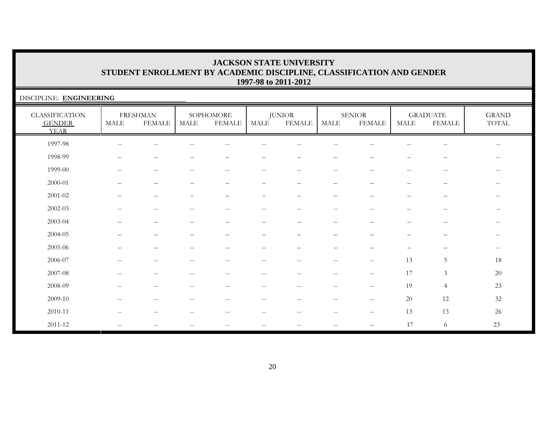| DISCIPLINE: ENGINEERING                               |                          |                                  |                          |                            |                                                       |                                |                          |                                                     |                       |                                  |                                                       |
|-------------------------------------------------------|--------------------------|----------------------------------|--------------------------|----------------------------|-------------------------------------------------------|--------------------------------|--------------------------|-----------------------------------------------------|-----------------------|----------------------------------|-------------------------------------------------------|
| <b>CLASSIFICATION</b><br><b>GENDER</b><br><b>YEAR</b> | <b>MALE</b>              | <b>FRESHMAN</b><br><b>FEMALE</b> | <b>MALE</b>              | SOPHOMORE<br><b>FEMALE</b> | MALE                                                  | <b>JUNIOR</b><br><b>FEMALE</b> | <b>MALE</b>              | <b>SENIOR</b><br><b>FEMALE</b>                      | $\operatorname{MALE}$ | <b>GRADUATE</b><br><b>FEMALE</b> | $\operatorname{GRAND}$<br>TOTAL                       |
| 1997-98                                               |                          |                                  |                          |                            |                                                       |                                |                          |                                                     |                       | $-\,-$                           | $\overline{\phantom{m}}$                              |
| 1998-99                                               |                          |                                  |                          |                            |                                                       |                                |                          |                                                     |                       |                                  | $ -$                                                  |
| 1999-00                                               |                          |                                  |                          |                            |                                                       |                                |                          |                                                     |                       | --                               | $\hspace{0.05cm} - \hspace{0.05cm} - \hspace{0.05cm}$ |
| 2000-01                                               |                          |                                  |                          |                            | $\qquad \qquad -$                                     |                                |                          |                                                     |                       | $\overline{\phantom{m}}$         | $\overline{\phantom{m}}$                              |
| $2001 - 02$                                           |                          |                                  | -                        | $\overline{\phantom{0}}$   | $\overline{\phantom{0}}$                              |                                |                          |                                                     |                       | $\overline{\phantom{m}}$         | $--$                                                  |
| 2002-03                                               | $-$                      |                                  | --                       | $\overline{\phantom{m}}$   | $\overline{\phantom{m}}$                              | $- -$                          |                          | $- -$                                               | $- -$                 | $\hspace{0.05cm} -$              | $\overline{\phantom{m}}$                              |
| 2003-04                                               |                          |                                  | -                        | $\overline{\phantom{0}}$   | $\overline{\phantom{0}}$                              | $\overline{\phantom{0}}$       |                          |                                                     | -                     | -                                | $-\,-$                                                |
| 2004-05                                               |                          |                                  |                          |                            |                                                       |                                |                          |                                                     |                       | $\overline{\phantom{0}}$         | $-\,-$                                                |
| $2005 - 06$                                           |                          |                                  |                          |                            |                                                       |                                |                          |                                                     | -                     | $\overline{\phantom{0}}$         | $\overline{\phantom{m}}$                              |
| 2006-07                                               |                          |                                  |                          |                            |                                                       |                                |                          | $- -$                                               | 13                    | 5                                | 18                                                    |
| 2007-08                                               | $\sim$                   |                                  |                          | $\sim$                     | $-$                                                   |                                |                          | $ -$                                                | 17                    | $\mathfrak{Z}$                   | $20\,$                                                |
| 2008-09                                               | $\sim$                   | $-$                              | $-$                      | $\overline{\phantom{m}}$   | $\overline{\phantom{m}}$                              | $-$                            | $\sim$                   | $\mathbf{u}$                                        | 19                    | $\overline{4}$                   | 23                                                    |
| 2009-10                                               | $\overline{\phantom{a}}$ |                                  | --                       | $-$                        | $\hspace{0.05cm} - \hspace{0.05cm} - \hspace{0.05cm}$ |                                |                          | $\hspace{0.05cm} -\hspace{0.05cm} -\hspace{0.05cm}$ | 20                    | 12                               | $32\,$                                                |
| 2010-11                                               | $-$                      | $-$                              | $\overline{\phantom{m}}$ | $-$                        | $--$                                                  |                                | $\sim$ $\sim$            | $\overline{\phantom{a}}$                            | 13                    | 13                               | $26\,$                                                |
| $2011 - 12$                                           | $\overline{\phantom{m}}$ | $\qquad \qquad -$                | $\overline{\phantom{m}}$ | $\overline{\phantom{m}}$   | $\overline{\phantom{m}}$                              | $\overline{\phantom{m}}$       | $\overline{\phantom{m}}$ | —                                                   | 17                    | 6                                | 23                                                    |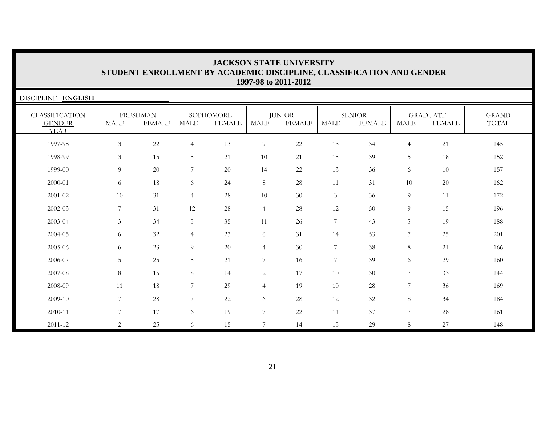| DISCIPLINE: ENGLISH                                   |                |                                  |                |                            |                  |                                |                 |                                |                |                                  |                       |
|-------------------------------------------------------|----------------|----------------------------------|----------------|----------------------------|------------------|--------------------------------|-----------------|--------------------------------|----------------|----------------------------------|-----------------------|
| <b>CLASSIFICATION</b><br><b>GENDER</b><br><b>YEAR</b> | <b>MALE</b>    | <b>FRESHMAN</b><br><b>FEMALE</b> | MALE           | SOPHOMORE<br><b>FEMALE</b> | MALE             | <b>JUNIOR</b><br><b>FEMALE</b> | <b>MALE</b>     | <b>SENIOR</b><br><b>FEMALE</b> | <b>MALE</b>    | <b>GRADUATE</b><br><b>FEMALE</b> | <b>GRAND</b><br>TOTAL |
| 1997-98                                               | 3              | $22\,$                           | $\overline{4}$ | 13                         | $\overline{9}$   | $22\,$                         | 13              | 34                             | $\overline{4}$ | 21                               | 145                   |
| 1998-99                                               | $\mathfrak{Z}$ | 15                               | 5              | 21                         | 10               | 21                             | 15              | 39                             | 5              | 18                               | 152                   |
| 1999-00                                               | 9              | 20                               | 7              | 20                         | 14               | 22                             | 13              | 36                             | 6              | 10                               | 157                   |
| 2000-01                                               | 6              | 18                               | 6              | 24                         | $8\,$            | 28                             | 11              | 31                             | 10             | 20                               | 162                   |
| 2001-02                                               | 10             | 31                               | $\overline{4}$ | 28                         | 10               | 30                             | $\mathfrak{Z}$  | 36                             | 9              | 11                               | 172                   |
| 2002-03                                               | 7              | 31                               | 12             | 28                         | $\overline{4}$   | 28                             | 12              | 50                             | 9              | 15                               | 196                   |
| 2003-04                                               | $\mathfrak{Z}$ | 34                               | 5              | 35                         | 11               | 26                             | $7\phantom{.0}$ | 43                             | 5              | 19                               | 188                   |
| 2004-05                                               | 6              | 32                               | $\overline{4}$ | 23                         | 6                | 31                             | 14              | 53                             | 7              | 25                               | 201                   |
| 2005-06                                               | 6              | 23                               | 9              | 20                         | $\overline{4}$   | 30                             | 7               | 38                             | $\,8\,$        | 21                               | 166                   |
| 2006-07                                               | 5              | 25                               | 5              | 21                         | $\overline{7}$   | 16                             | $\overline{7}$  | 39                             | 6              | 29                               | 160                   |
| 2007-08                                               | 8              | 15                               | 8              | 14                         | $\overline{c}$   | 17                             | 10              | 30                             | 7              | 33                               | 144                   |
| 2008-09                                               | 11             | 18                               | $\overline{7}$ | 29                         | $\overline{4}$   | 19                             | 10              | 28                             | 7              | 36                               | 169                   |
| 2009-10                                               | 7              | 28                               | $\overline{7}$ | 22                         | 6                | 28                             | 12              | 32                             | 8              | 34                               | 184                   |
| 2010-11                                               | 7              | 17                               | 6              | 19                         | $\boldsymbol{7}$ | 22                             | 11              | 37                             | $\overline{7}$ | $28\,$                           | 161                   |
| 2011-12                                               | 2              | 25                               | 6              | 15                         | 7                | 14                             | 15              | 29                             | 8              | 27                               | 148                   |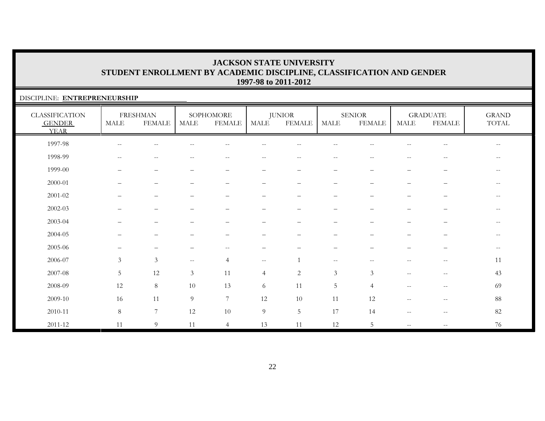### DISCIPLINE: **ENTREPRENEURSHIP**

| <b>CLASSIFICATION</b><br><b>GENDER</b><br><b>YEAR</b> | <b>MALE</b>                                         | <b>FRESHMAN</b><br><b>FEMALE</b>                    | <b>MALE</b>    | SOPHOMORE<br><b>FEMALE</b> | MALE                     | <b>JUNIOR</b><br><b>FEMALE</b> | MALE                     | <b>SENIOR</b><br><b>FEMALE</b>                      | <b>MALE</b>              | <b>GRADUATE</b><br><b>FEMALE</b>                      | <b>GRAND</b><br>TOTAL |
|-------------------------------------------------------|-----------------------------------------------------|-----------------------------------------------------|----------------|----------------------------|--------------------------|--------------------------------|--------------------------|-----------------------------------------------------|--------------------------|-------------------------------------------------------|-----------------------|
| 1997-98                                               | $\hspace{0.05cm} -\hspace{0.05cm} -\hspace{0.05cm}$ | $-$                                                 |                | $\overline{\phantom{m}}$   |                          |                                |                          |                                                     | $\qquad \qquad -$        | $-\,-$                                                | $--$                  |
| 1998-99                                               | $- -$                                               | $\hspace{0.05cm} -\hspace{0.05cm} -\hspace{0.05cm}$ | $- -$          | $- -$                      | $\overline{\phantom{m}}$ | $--$                           | $\overline{\phantom{m}}$ | $-$                                                 | $\overline{\phantom{a}}$ | $-\,-$                                                | $- -$                 |
| 1999-00                                               | $\overline{\phantom{0}}$                            | $\overline{\phantom{0}}$                            |                | $\qquad \qquad -$          | -                        | $\overline{\phantom{0}}$       | $\overline{\phantom{m}}$ |                                                     | $\qquad \qquad -$        | $\overline{\phantom{0}}$                              |                       |
| 2000-01                                               | $\overline{\phantom{0}}$                            | $\overbrace{\phantom{1232211}}$                     |                | $\qquad \qquad -$          | $\qquad \qquad -$        | $\qquad \qquad -$              | $\qquad \qquad -$        |                                                     | $\qquad \qquad -$        | $\qquad \qquad$                                       | $- -$                 |
| 2001-02                                               |                                                     | $\overline{\phantom{0}}$                            |                | -                          |                          |                                |                          |                                                     | -                        |                                                       | $\qquad \qquad -$     |
| 2002-03                                               |                                                     | $\overline{\phantom{m}}$                            |                | -                          | —                        |                                | —                        |                                                     | $\overline{\phantom{0}}$ | —                                                     | $\qquad \qquad -$     |
| 2003-04                                               |                                                     | $\overline{\phantom{0}}$                            |                | $\overline{\phantom{0}}$   | $\overline{\phantom{0}}$ |                                | $\qquad \qquad -$        |                                                     | $\overline{\phantom{0}}$ | —                                                     | $\qquad \qquad -$     |
| 2004-05                                               |                                                     |                                                     |                |                            |                          |                                |                          |                                                     |                          |                                                       | $-$                   |
| 2005-06                                               |                                                     |                                                     |                | $\frac{1}{2}$              |                          |                                |                          |                                                     |                          |                                                       | $\qquad \qquad -$     |
| 2006-07                                               | $\mathfrak{Z}$                                      | $\mathfrak{Z}$                                      | $--$           | $\overline{4}$             | $--$                     |                                | $--$                     | $\hspace{0.05cm} -\hspace{0.05cm} -\hspace{0.05cm}$ | $\overline{\phantom{a}}$ | $\hspace{0.05cm} - \hspace{0.05cm} - \hspace{0.05cm}$ | 11                    |
| 2007-08                                               | $5\overline{)}$                                     | 12                                                  | $\mathfrak{Z}$ | 11                         | $\overline{4}$           | $\overline{2}$                 | $\mathfrak{Z}$           | 3                                                   | $\overline{\phantom{a}}$ | $\hspace{0.05cm} -\hspace{0.05cm} -\hspace{0.05cm}$   | 43                    |
| 2008-09                                               | 12                                                  | $8\,$                                               | 10             | 13                         | 6                        | 11                             | $\overline{5}$           | $\overline{4}$                                      | $\overline{\phantom{m}}$ | $\hspace{0.05cm} -\hspace{0.05cm} -\hspace{0.05cm}$   | 69                    |
| 2009-10                                               | 16                                                  | 11                                                  | 9              | $7\phantom{.0}$            | 12                       | 10                             | 11                       | 12                                                  | $\qquad \qquad -$        | $\overline{\phantom{m}}$                              | 88                    |
| 2010-11                                               | $8\,$                                               | $\overline{7}$                                      | 12             | 10                         | $\overline{9}$           | $5\phantom{.}$                 | 17                       | 14                                                  | $\overline{\phantom{a}}$ | $\hspace{0.05cm} - \hspace{0.05cm} - \hspace{0.05cm}$ | 82                    |
| $2011 - 12$                                           | 11                                                  | 9                                                   | 11             | $\overline{4}$             | 13                       | 11                             | 12                       | 5                                                   | $\frac{1}{2}$            | $- -$                                                 | 76                    |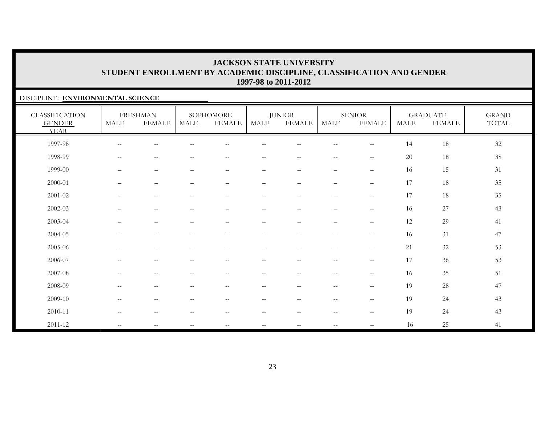### DISCIPLINE: **ENVIRONMENTAL SCIENCE**

| <b>CLASSIFICATION</b><br><b>GENDER</b><br><b>YEAR</b> | <b>MALE</b>              | <b>FRESHMAN</b><br><b>FEMALE</b> | MALE                     | SOPHOMORE<br><b>FEMALE</b>                            | MALE                     | <b>JUNIOR</b><br><b>FEMALE</b> | MALE                                                | <b>SENIOR</b><br><b>FEMALE</b>                      | MALE | <b>GRADUATE</b><br><b>FEMALE</b> | <b>GRAND</b><br>TOTAL |
|-------------------------------------------------------|--------------------------|----------------------------------|--------------------------|-------------------------------------------------------|--------------------------|--------------------------------|-----------------------------------------------------|-----------------------------------------------------|------|----------------------------------|-----------------------|
| 1997-98                                               | $\overline{\phantom{m}}$ | $\overline{\phantom{m}}$         |                          | $- -$                                                 | --                       | $\overline{\phantom{m}}$       | $\overline{\phantom{m}}$                            | $-\,-$                                              | 14   | $18\,$                           | $32\,$                |
| 1998-99                                               | $\overline{\phantom{m}}$ | $\overline{\phantom{m}}$         | $-$                      | $- -$                                                 | $\qquad \qquad -$        | $\overline{\phantom{m}}$       | $\overline{\phantom{m}}$                            | $\overline{\phantom{m}}$                            | 20   | 18                               | $38\,$                |
| 1999-00                                               | $\qquad \qquad -$        | $\overline{\phantom{m}}$         | $\overline{\phantom{0}}$ | $\qquad \qquad -$                                     | $\qquad \qquad -$        | $\overline{\phantom{m}}$       | $\qquad \qquad -$                                   | $\overline{\phantom{m}}$                            | 16   | 15                               | 31                    |
| 2000-01                                               |                          | $\overline{\phantom{m}}$         | $\overline{\phantom{0}}$ |                                                       | $\qquad \qquad -$        | $\overline{\phantom{m}}$       | $\qquad \qquad -$                                   | $\overline{\phantom{m}}$                            | 17   | 18                               | 35                    |
| 2001-02                                               | $\overline{\phantom{0}}$ | $\overline{\phantom{m}}$         |                          | $\qquad \qquad -$                                     | $\qquad \qquad -$        | $\overline{\phantom{m}}$       | $\overline{\phantom{m}}$                            | $\overline{\phantom{m}}$                            | 17   | 18                               | 35                    |
| 2002-03                                               |                          | $\overline{\phantom{0}}$         |                          |                                                       | $\overline{\phantom{0}}$ |                                |                                                     | $\overline{\phantom{0}}$                            | 16   | 27                               | 43                    |
| 2003-04                                               | $\overline{\phantom{0}}$ | $\overline{\phantom{m}}$         |                          | $\qquad \qquad -$                                     | $\qquad \qquad -$        | $\overline{\phantom{m}}$       | $\qquad \qquad -$                                   | $\overline{\phantom{m}}$                            | 12   | 29                               | 41                    |
| 2004-05                                               |                          | $\overline{\phantom{0}}$         |                          |                                                       | $\overline{\phantom{0}}$ |                                | -                                                   | $\overline{\phantom{m}}$                            | 16   | 31                               | 47                    |
| 2005-06                                               |                          | $\overline{\phantom{0}}$         |                          | $\overline{\phantom{0}}$                              | $\qquad \qquad -$        | $\overline{\phantom{m}}$       | $\overline{\phantom{m}}$                            | $\overline{\phantom{0}}$                            | 21   | 32                               | 53                    |
| 2006-07                                               | $\overline{\phantom{m}}$ | $\sim$ $-$                       | $-$                      | $\overline{\phantom{m}}$                              | $- -$                    | $\overline{\phantom{m}}$       | $--$                                                | $-\,-$                                              | 17   | 36                               | 53                    |
| 2007-08                                               | $\overline{\phantom{m}}$ | $\overline{\phantom{m}}$         | $\overline{\phantom{m}}$ | $\hspace{0.05cm} - \hspace{0.05cm} - \hspace{0.05cm}$ | $\overline{\phantom{m}}$ | $- -$                          | $--$                                                | $\overline{\phantom{m}}$                            | 16   | 35                               | 51                    |
| 2008-09                                               | $\overline{\phantom{m}}$ | $\sim$ $-$                       | $\overline{\phantom{a}}$ | $\overline{\phantom{m}}$                              | $- -$                    | $- -$                          | $\hspace{0.05cm} -\hspace{0.05cm} -\hspace{0.05cm}$ | $-\,-$                                              | 19   | 28                               | 47                    |
| 2009-10                                               | $\overline{\phantom{m}}$ | $-\, -$                          | $\qquad \qquad -$        | $-\,-$                                                | $-\,-$                   | $\overline{\phantom{m}}$       | $--$                                                | $\overline{\phantom{m}}$                            | 19   | 24                               | 43                    |
| 2010-11                                               | $- -$                    | $\sim$ $-$                       |                          | $-$                                                   | $- -$                    | $\overline{\phantom{m}}$       | $-$                                                 | $\hspace{0.05cm} -\hspace{0.05cm} -\hspace{0.05cm}$ | 19   | 24                               | 43                    |
| 2011-12                                               | $\mathbf{u}$             | $\mathbf{u}$                     | $\qquad \qquad -$        | $--$                                                  | $\overline{\phantom{m}}$ | $\overline{\phantom{m}}$       | $--$                                                |                                                     | 16   | 25                               | 41                    |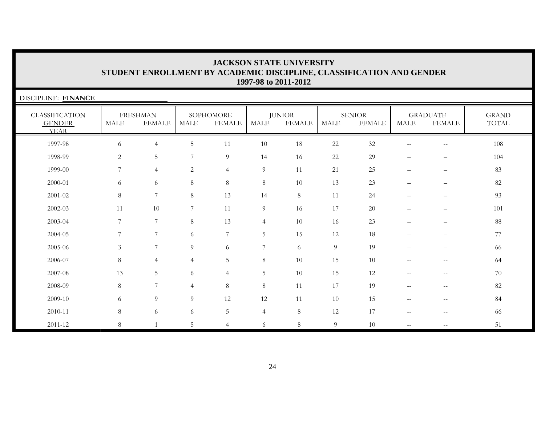| DISCIPLINE: FINANCE                                   |                |                                  |                |                            |                |                                |             |                                |                                                     |                                  |                       |
|-------------------------------------------------------|----------------|----------------------------------|----------------|----------------------------|----------------|--------------------------------|-------------|--------------------------------|-----------------------------------------------------|----------------------------------|-----------------------|
| <b>CLASSIFICATION</b><br><b>GENDER</b><br><b>YEAR</b> | <b>MALE</b>    | <b>FRESHMAN</b><br><b>FEMALE</b> | <b>MALE</b>    | SOPHOMORE<br><b>FEMALE</b> | MALE           | <b>JUNIOR</b><br><b>FEMALE</b> | <b>MALE</b> | <b>SENIOR</b><br><b>FEMALE</b> | <b>MALE</b>                                         | <b>GRADUATE</b><br><b>FEMALE</b> | <b>GRAND</b><br>TOTAL |
| 1997-98                                               | 6              | $\overline{4}$                   | 5              | 11                         | 10             | 18                             | $22\,$      | 32                             | $\hspace{0.05cm} -\hspace{0.05cm} -\hspace{0.05cm}$ | $- -$                            | 108                   |
| 1998-99                                               | 2              | 5                                | 7              | 9                          | 14             | 16                             | 22          | 29                             | $\overline{\phantom{m}}$                            | $\qquad \qquad -$                | 104                   |
| 1999-00                                               | 7              | $\overline{4}$                   | 2              | $\overline{4}$             | 9              | 11                             | 21          | 25                             | $\overbrace{\phantom{1232211}}$                     | $\qquad \qquad -$                | 83                    |
| 2000-01                                               | 6              | 6                                | 8              | $\,8\,$                    | $8\,$          | 10                             | 13          | 23                             | $\overline{\phantom{0}}$                            | $\qquad \qquad -$                | 82                    |
| 2001-02                                               | 8              | 7                                | 8              | 13                         | 14             | 8                              | 11          | 24                             |                                                     | $\overline{\phantom{0}}$         | 93                    |
| 2002-03                                               | 11             | 10                               | $\overline{7}$ | 11                         | $\overline{9}$ | 16                             | 17          | 20                             | $\overline{\phantom{0}}$                            | $\qquad \qquad -$                | 101                   |
| 2003-04                                               | $\overline{7}$ | 7                                | 8              | 13                         | $\overline{4}$ | 10                             | 16          | 23                             |                                                     |                                  | 88                    |
| 2004-05                                               | 7              | $7\phantom{.0}$                  | 6              | 7                          | 5 <sub>1</sub> | 15                             | 12          | 18                             |                                                     |                                  | 77                    |
| 2005-06                                               | $\mathfrak{Z}$ | 7                                | 9              | 6                          | $\overline{7}$ | 6                              | 9           | 19                             |                                                     |                                  | 66                    |
| 2006-07                                               | 8              | $\overline{4}$                   | $\overline{4}$ | 5                          | $\,8\,$        | 10                             | 15          | 10                             | $\overline{\phantom{a}}$                            | $\overline{\phantom{m}}$         | 64                    |
| 2007-08                                               | 13             | 5                                | 6              | $\overline{4}$             | 5              | 10                             | 15          | 12                             | $\overline{\phantom{m}}$                            | $\qquad \qquad -$                | 70                    |
| 2008-09                                               | $8\,$          | 7                                | 4              | 8                          | $8\,$          | 11                             | 17          | 19                             | $\overline{\phantom{a}}$                            | $- -$                            | 82                    |
| 2009-10                                               | 6              | 9                                | 9              | 12                         | 12             | 11                             | 10          | 15                             | $\hspace{0.05cm} -\hspace{0.05cm} -\hspace{0.05cm}$ | $\qquad \qquad -$                | 84                    |
| 2010-11                                               | 8              | 6                                | 6              | $5\,$                      | $\overline{4}$ | 8                              | 12          | 17                             | $\overline{\phantom{a}}$                            | $\qquad \qquad -$                | 66                    |
| 2011-12                                               | 8              |                                  | 5              | $\overline{4}$             | 6              | $8\,$                          | 9           | 10                             | $\overline{\phantom{a}}$                            | $- -$                            | 51                    |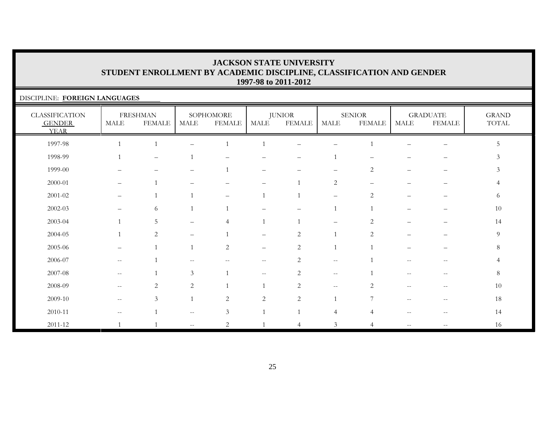| DISCIPLINE: FOREIGN LANGUAGES                         |      |                                  |      |                            |                          |                         |                          |                                |             |                                  |                       |
|-------------------------------------------------------|------|----------------------------------|------|----------------------------|--------------------------|-------------------------|--------------------------|--------------------------------|-------------|----------------------------------|-----------------------|
| <b>CLASSIFICATION</b><br><b>GENDER</b><br><b>YEAR</b> | MALE | <b>FRESHMAN</b><br><b>FEMALE</b> | MALE | SOPHOMORE<br><b>FEMALE</b> | MALE                     | <b>JUNIOR</b><br>FEMALE | MALE                     | <b>SENIOR</b><br><b>FEMALE</b> | <b>MALE</b> | <b>GRADUATE</b><br><b>FEMALE</b> | <b>GRAND</b><br>TOTAL |
| 1997-98                                               |      |                                  |      |                            |                          |                         |                          |                                |             | $\overline{\phantom{m}}$         | 5                     |
| 1998-99                                               |      | $\qquad \qquad -$                |      |                            |                          |                         |                          |                                |             |                                  | 3                     |
| 1999-00                                               |      |                                  |      |                            |                          |                         |                          | 2                              |             |                                  | 3                     |
| 2000-01                                               |      |                                  |      |                            |                          |                         | 2                        |                                |             |                                  | 4                     |
| $2001 - 02$                                           |      |                                  |      |                            |                          |                         |                          | 2                              |             |                                  | 6                     |
| $2002 - 03$                                           |      | 6                                |      |                            |                          |                         |                          |                                |             |                                  | 10                    |
| 2003-04                                               |      | 5                                |      | $\overline{4}$             |                          |                         |                          | 2                              |             |                                  | 14                    |
| 2004-05                                               |      | 2                                |      |                            |                          | 2                       |                          | $\mathfrak{D}$                 |             |                                  | 9                     |
| 2005-06                                               |      |                                  |      | $\overline{c}$             | $\overline{\phantom{m}}$ | $\overline{2}$          |                          |                                |             |                                  | 8                     |
| 2006-07                                               |      |                                  |      |                            | $- -$                    | 2                       | $\overline{\phantom{a}}$ |                                |             | $- -$                            | $\overline{4}$        |
| 2007-08                                               |      |                                  | 3    |                            | $- -$                    | 2                       | $\sim$ $-$               |                                |             |                                  | 8                     |
| 2008-09                                               |      | 2                                | 2    |                            |                          | 2                       | $\sim$ $-$               | $\mathfrak{D}$                 |             |                                  | 10                    |
| 2009-10                                               |      | $\mathfrak{Z}$                   |      | 2                          | 2                        | $\overline{2}$          |                          |                                |             | --                               | 18                    |
| 2010-11                                               |      |                                  |      | 3                          |                          |                         | $\overline{4}$           |                                |             |                                  | 14                    |
| 2011-12                                               |      |                                  |      | $\mathfrak{D}$             |                          |                         | 3                        |                                |             |                                  | 16                    |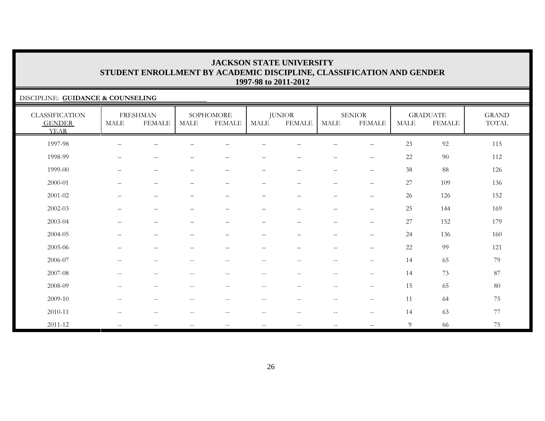### DISCIPLINE: **GUIDANCE & COUNSELING**

| <b>CLASSIFICATION</b><br><b>GENDER</b><br><b>YEAR</b> | <b>MALE</b>                                           | <b>FRESHMAN</b><br><b>FEMALE</b> | MALE                     | SOPHOMORE<br><b>FEMALE</b> | MALE                     | <b>JUNIOR</b><br><b>FEMALE</b> | <b>MALE</b>                                           | <b>SENIOR</b><br><b>FEMALE</b>                      | <b>MALE</b> | <b>GRADUATE</b><br><b>FEMALE</b> | <b>GRAND</b><br>TOTAL |
|-------------------------------------------------------|-------------------------------------------------------|----------------------------------|--------------------------|----------------------------|--------------------------|--------------------------------|-------------------------------------------------------|-----------------------------------------------------|-------------|----------------------------------|-----------------------|
| 1997-98                                               |                                                       |                                  |                          |                            |                          |                                |                                                       |                                                     | 23          | 92                               | 115                   |
| 1998-99                                               |                                                       |                                  |                          |                            |                          |                                |                                                       |                                                     | 22          | 90                               | 112                   |
| 1999-00                                               | $\qquad \qquad -$                                     | $\qquad \qquad -$                | $\overline{\phantom{0}}$ | $\qquad \qquad -$          | $\qquad \qquad -$        | $\overline{\phantom{0}}$       | $\qquad \qquad -$                                     | $\qquad \qquad -$                                   | 38          | 88                               | 126                   |
| 2000-01                                               |                                                       | $\overline{\phantom{m}}$         |                          | $\overline{\phantom{m}}$   | $\qquad \qquad -$        | $\overline{\phantom{m}}$       | $\overline{\phantom{m}}$                              | $\qquad \qquad -$                                   | 27          | 109                              | 136                   |
| 2001-02                                               | $\qquad \qquad -$                                     | $\qquad \qquad -$                | $\qquad \qquad -$        | $\qquad \qquad -$          | $\qquad \qquad -$        | $\qquad \qquad -$              | $\qquad \qquad -$                                     | $\qquad \qquad -$                                   | 26          | 126                              | 152                   |
| 2002-03                                               |                                                       | $\overline{\phantom{m}}$         | $\overline{\phantom{0}}$ | $\overline{\phantom{0}}$   | —                        | $\qquad \qquad -$              | $\overline{\phantom{m}}$                              | $\qquad \qquad -$                                   | 25          | 144                              | 169                   |
| 2003-04                                               | $\overline{\phantom{0}}$                              | $\overline{\phantom{m}}$         | $\overline{\phantom{0}}$ | $\qquad \qquad -$          | $\qquad \qquad -$        | $\overline{\phantom{0}}$       | $\overline{\phantom{m}}$                              | $\qquad \qquad -$                                   | 27          | 152                              | 179                   |
| 2004-05                                               |                                                       | $\overline{\phantom{0}}$         | -                        | $\overline{\phantom{0}}$   | —                        |                                | $\overline{\phantom{0}}$                              | $\qquad \qquad -$                                   | 24          | 136                              | 160                   |
| 2005-06                                               | $\overline{\phantom{0}}$                              | $\overbrace{\phantom{1232211}}$  |                          | $\overline{\phantom{0}}$   | —                        |                                | $\overline{\phantom{0}}$                              | $\qquad \qquad -$                                   | 22          | 99                               | 121                   |
| 2006-07                                               | $-$                                                   | $\sim$ $\sim$                    |                          | $\overline{\phantom{m}}$   | --                       |                                | $\sim$ $-$                                            | $\overline{\phantom{m}}$                            | 14          | 65                               | 79                    |
| 2007-08                                               | $\overline{\phantom{m}}$                              | $\overline{\phantom{m}}$         | $\qquad \qquad -$        | $\overline{\phantom{m}}$   | $ -$                     | $- -$                          | $\mathrel{{-}{-}}$                                    | $\hspace{0.05cm} -\hspace{0.05cm} -\hspace{0.05cm}$ | 14          | 73                               | 87                    |
| 2008-09                                               | $\hspace{0.05cm} - \hspace{0.05cm} - \hspace{0.05cm}$ | $\sim$ $-$                       | $\qquad \qquad -$        | $\qquad \qquad -$          | $\qquad \qquad -$        | $\overline{\phantom{m}}$       | $\hspace{0.05cm} - \hspace{0.05cm} - \hspace{0.05cm}$ | $\hspace{0.05cm} -\hspace{0.05cm} -\hspace{0.05cm}$ | 15          | 65                               | 80                    |
| 2009-10                                               | $\overline{\phantom{m}}$                              | $\sim$ $-$                       | $--$                     | $\overline{\phantom{a}}$   | $\overline{\phantom{m}}$ | $--$                           | $\overline{\phantom{m}}$                              | $-\,-$                                              | 11          | 64                               | 75                    |
| 2010-11                                               | $--$                                                  | $\sim$ $-$                       | $\qquad \qquad -$        | $\overline{\phantom{a}}$   | $ -$                     | $--$                           | $\mathrel{{-}{-}}$                                    | $--$                                                | 14          | 63                               | 77                    |
| 2011-12                                               | $\mathbf{u}$                                          | $\mathbf{u}$                     | $--$                     | $\mathbf{u}$               | $\sim$ $\sim$            | $\sim$ $\sim$                  | $\mathbf{u}$                                          |                                                     | 9           | 66                               | 75                    |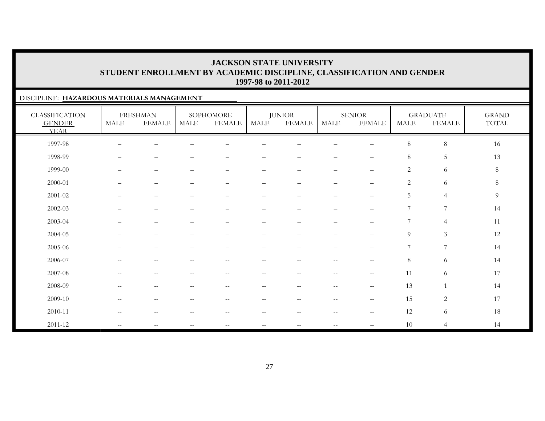### DISCIPLINE: **HAZARDOUS MATERIALS MANAGEMENT**

| <b>CLASSIFICATION</b><br><b>GENDER</b><br><b>YEAR</b> | <b>MALE</b>                                         | <b>FRESHMAN</b><br><b>FEMALE</b> | <b>MALE</b> | SOPHOMORE<br><b>FEMALE</b> | MALE                     | <b>JUNIOR</b><br><b>FEMALE</b> | <b>MALE</b>              | <b>SENIOR</b><br><b>FEMALE</b> | <b>MALE</b>    | <b>GRADUATE</b><br><b>FEMALE</b> | <b>GRAND</b><br>TOTAL |
|-------------------------------------------------------|-----------------------------------------------------|----------------------------------|-------------|----------------------------|--------------------------|--------------------------------|--------------------------|--------------------------------|----------------|----------------------------------|-----------------------|
| 1997-98                                               |                                                     |                                  |             |                            |                          |                                |                          |                                | $\,8\,$        | $\,8\,$                          | 16                    |
| 1998-99                                               |                                                     |                                  |             |                            |                          |                                |                          | $\qquad \qquad -$              | 8              | $\mathbf 5$                      | 13                    |
| 1999-00                                               | —                                                   | $\overline{\phantom{m}}$         |             | $\qquad \qquad -$          | -                        | -                              | $\overline{\phantom{0}}$ | $\qquad \qquad -$              | $\overline{c}$ | 6                                | $8\,$                 |
| 2000-01                                               |                                                     | $\overbrace{\phantom{1232211}}$  |             | $\qquad \qquad -$          | -                        |                                | $\overline{\phantom{0}}$ | $\qquad \qquad -$              | $\mathbf{2}$   | 6                                | $8\,$                 |
| $2001 - 02$                                           |                                                     | $\overline{\phantom{0}}$         |             |                            |                          |                                | $\overline{\phantom{0}}$ | $\overline{\phantom{0}}$       | 5              | $\overline{4}$                   | $\overline{9}$        |
| 2002-03                                               |                                                     | -                                |             |                            |                          |                                |                          |                                | 7              | $\overline{7}$                   | 14                    |
| 2003-04                                               |                                                     | $\overline{\phantom{0}}$         |             | $\overline{\phantom{0}}$   | $\overline{\phantom{0}}$ | $\overline{\phantom{0}}$       | $\qquad \qquad -$        | $\qquad \qquad -$              | 7              | $\overline{4}$                   | 11                    |
| 2004-05                                               |                                                     |                                  |             |                            |                          |                                |                          |                                | $\overline{9}$ | $\mathfrak{Z}$                   | 12                    |
| 2005-06                                               |                                                     |                                  |             |                            |                          |                                |                          |                                | $\overline{7}$ | $\overline{7}$                   | 14                    |
| 2006-07                                               | $\overline{\phantom{m}}$                            |                                  |             |                            |                          |                                | н.                       | $--$                           | 8              | 6                                | 14                    |
| 2007-08                                               | $\hspace{0.05cm} -\hspace{0.05cm} -\hspace{0.05cm}$ | $\overline{\phantom{m}}$         | $-$         | $\overline{\phantom{m}}$   | $\overline{\phantom{m}}$ | $\overline{\phantom{m}}$       | $\overline{\phantom{m}}$ | $\mathcal{L} = \mathcal{L}$    | 11             | 6                                | 17                    |
| 2008-09                                               | $-$                                                 | $-$                              | --          | $-$                        | $-$                      | $\overline{\phantom{a}}$       | $\frac{1}{2}$            | $--$                           | 13             | $\overline{1}$                   | 14                    |
| 2009-10                                               | $-$                                                 | $\sim$                           |             | $-$                        | $-$                      | $-$                            | $\qquad \qquad -$        | $--$                           | 15             | $\sqrt{2}$                       | 17                    |
| 2010-11                                               | $-$                                                 | $-$                              |             | $-$                        |                          | --                             | $\qquad \qquad -$        | $--$                           | 12             | 6                                | 18                    |
| 2011-12                                               | $\mathbf{u}$                                        | $\sim$ $\sim$                    | $- -$       | $\sim$ $-$                 | $\overline{\phantom{m}}$ | $- -$                          | $\mathbf{u}$             | $\overline{\phantom{0}}$       | 10             | $\overline{4}$                   | 14                    |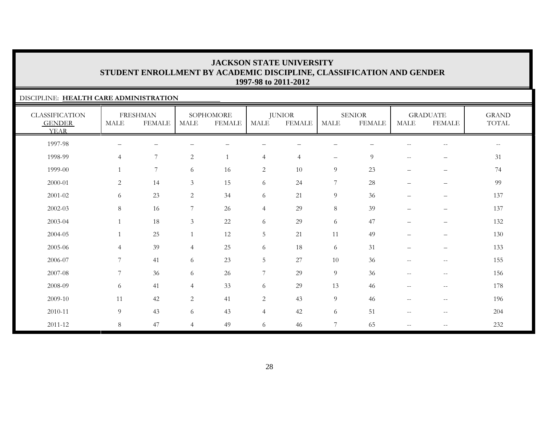### DISCIPLINE: **HEALTH CARE ADMINISTRATION**

| <b>CLASSIFICATION</b><br><b>GENDER</b><br><b>YEAR</b> | <b>MALE</b>    | <b>FRESHMAN</b><br><b>FEMALE</b> | <b>MALE</b>     | SOPHOMORE<br><b>FEMALE</b> | MALE           | <b>JUNIOR</b><br><b>FEMALE</b> | <b>MALE</b>       | <b>SENIOR</b><br><b>FEMALE</b> | <b>MALE</b>                                         | <b>GRADUATE</b><br><b>FEMALE</b>                      | <b>GRAND</b><br>TOTAL |
|-------------------------------------------------------|----------------|----------------------------------|-----------------|----------------------------|----------------|--------------------------------|-------------------|--------------------------------|-----------------------------------------------------|-------------------------------------------------------|-----------------------|
| 1997-98                                               |                |                                  |                 |                            |                |                                |                   |                                |                                                     |                                                       | --                    |
| 1998-99                                               | $\overline{4}$ | $\boldsymbol{7}$                 | $\mathbf{2}$    | 1                          | $\overline{4}$ | $\overline{4}$                 | $\qquad \qquad -$ | 9                              | $\mathbf{u}$                                        | $\overline{\phantom{0}}$                              | 31                    |
| 1999-00                                               | $\mathbf{1}$   | $\overline{7}$                   | 6               | 16                         | $\overline{2}$ | 10                             | 9                 | 23                             | $\qquad \qquad -$                                   | $\overline{\phantom{m}}$                              | 74                    |
| 2000-01                                               | $\overline{2}$ | 14                               | 3               | 15                         | 6              | 24                             | $\overline{7}$    | 28                             | $\qquad \qquad -$                                   | $\qquad \qquad -$                                     | 99                    |
| $2001 - 02$                                           | 6              | 23                               | 2               | 34                         | 6              | 21                             | $\overline{9}$    | 36                             | $\overline{\phantom{0}}$                            | $\qquad \qquad -$                                     | 137                   |
| $2002 - 03$                                           | $8\,$          | 16                               | $7\phantom{.0}$ | 26                         | $\overline{4}$ | 29                             | $8\,$             | 39                             | $\overline{\phantom{0}}$                            | $\overline{\phantom{0}}$                              | 137                   |
| 2003-04                                               | $\mathbf{1}$   | 18                               | 3               | $22\,$                     | 6              | 29                             | 6                 | 47                             | $\overline{\phantom{0}}$                            | $\qquad \qquad -$                                     | 132                   |
| 2004-05                                               |                | 25                               |                 | 12                         | $\sqrt{5}$     | 21                             | 11                | 49                             | $\overline{\phantom{0}}$                            | $\overline{\phantom{0}}$                              | 130                   |
| 2005-06                                               | $\overline{4}$ | 39                               | $\overline{4}$  | 25                         | 6              | 18                             | 6                 | 31                             | —                                                   | $\qquad \qquad -$                                     | 133                   |
| 2006-07                                               | $\overline{7}$ | 41                               | 6               | 23                         | 5              | 27                             | 10                | 36                             | $\hspace{0.05cm} -\hspace{0.05cm} -\hspace{0.05cm}$ | $\hspace{0.05cm} -$                                   | 155                   |
| 2007-08                                               | $\overline{7}$ | 36                               | 6               | 26                         | 7              | 29                             | $\overline{9}$    | 36                             | $\hspace{0.05cm} -\hspace{0.05cm} -\hspace{0.05cm}$ | $\overline{\phantom{m}}$                              | 156                   |
| 2008-09                                               | 6              | 41                               | $\overline{4}$  | 33                         | 6              | 29                             | 13                | 46                             | $--$                                                | $\hspace{0.05cm} - \hspace{0.05cm} - \hspace{0.05cm}$ | 178                   |
| 2009-10                                               | 11             | 42                               | 2               | 41                         | $\overline{2}$ | 43                             | $\overline{9}$    | 46                             | $\mathbf{u}$                                        | $\hspace{0.05cm} -\hspace{0.05cm} -\hspace{0.05cm}$   | 196                   |
| 2010-11                                               | $\overline{9}$ | 43                               | 6               | 43                         | $\overline{4}$ | 42                             | 6                 | 51                             | $--$                                                | $\hspace{0.05cm} -\hspace{0.05cm} -\hspace{0.05cm}$   | 204                   |
| $2011 - 12$                                           | $8\,$          | 47                               | $\overline{4}$  | 49                         | 6              | 46                             | $\overline{7}$    | 65                             | $\hspace{0.05cm} -\hspace{0.05cm} -\hspace{0.05cm}$ | $\hspace{0.05cm} -$                                   | 232                   |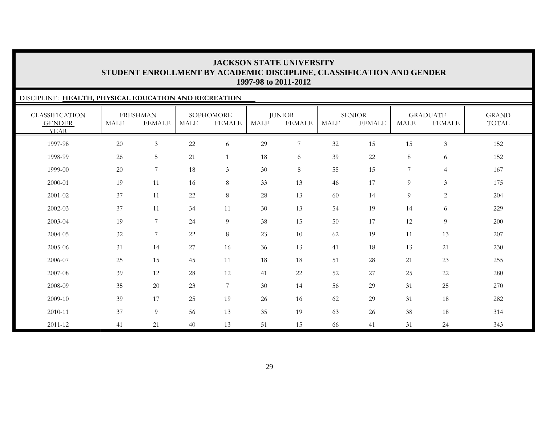| DISCIPLINE: HEALTH, PHYSICAL EDUCATION AND RECREATION |        |                                  |             |                            |             |                                |             |                                |                |                                  |                       |
|-------------------------------------------------------|--------|----------------------------------|-------------|----------------------------|-------------|--------------------------------|-------------|--------------------------------|----------------|----------------------------------|-----------------------|
| <b>CLASSIFICATION</b><br><b>GENDER</b><br><b>YEAR</b> | MALE   | <b>FRESHMAN</b><br><b>FEMALE</b> | <b>MALE</b> | SOPHOMORE<br><b>FEMALE</b> | <b>MALE</b> | <b>JUNIOR</b><br><b>FEMALE</b> | <b>MALE</b> | <b>SENIOR</b><br><b>FEMALE</b> | <b>MALE</b>    | <b>GRADUATE</b><br><b>FEMALE</b> | <b>GRAND</b><br>TOTAL |
| 1997-98                                               | $20\,$ | $\mathfrak{Z}$                   | 22          | 6                          | 29          | $\boldsymbol{7}$               | 32          | 15                             | 15             | $\mathfrak{Z}$                   | 152                   |
| 1998-99                                               | 26     | 5                                | 21          | $\mathbf{1}$               | 18          | 6                              | 39          | 22                             | $8\,$          | 6                                | 152                   |
| 1999-00                                               | 20     | $7\phantom{.0}$                  | 18          | $\mathfrak{Z}$             | 30          | $8\,$                          | 55          | 15                             | $\overline{7}$ | $\overline{4}$                   | 167                   |
| 2000-01                                               | 19     | 11                               | 16          | 8                          | 33          | 13                             | 46          | 17                             | 9              | $\mathfrak{Z}$                   | 175                   |
| 2001-02                                               | 37     | 11                               | 22          | $8\,$                      | $28\,$      | 13                             | 60          | 14                             | 9              | $\overline{c}$                   | 204                   |
| 2002-03                                               | 37     | 11                               | 34          | 11                         | 30          | 13                             | 54          | 19                             | 14             | 6                                | 229                   |
| 2003-04                                               | 19     | 7                                | 24          | 9                          | 38          | 15                             | 50          | 17                             | 12             | 9                                | 200                   |
| 2004-05                                               | 32     | $7\phantom{.0}$                  | 22          | 8                          | 23          | 10                             | 62          | 19                             | 11             | 13                               | 207                   |
| 2005-06                                               | 31     | 14                               | 27          | 16                         | 36          | 13                             | 41          | 18                             | 13             | 21                               | 230                   |
| 2006-07                                               | 25     | 15                               | 45          | 11                         | 18          | 18                             | 51          | $28\,$                         | 21             | 23                               | 255                   |
| 2007-08                                               | 39     | 12                               | 28          | 12                         | 41          | 22                             | 52          | 27                             | 25             | 22                               | 280                   |
| 2008-09                                               | 35     | 20                               | 23          | $\overline{7}$             | 30          | 14                             | 56          | 29                             | 31             | 25                               | 270                   |
| 2009-10                                               | 39     | 17                               | 25          | 19                         | 26          | 16                             | 62          | 29                             | 31             | 18                               | 282                   |
| 2010-11                                               | 37     | 9                                | 56          | 13                         | 35          | 19                             | 63          | 26                             | 38             | 18                               | 314                   |
| 2011-12                                               | 41     | 21                               | 40          | 13                         | 51          | 15                             | 66          | 41                             | 31             | 24                               | 343                   |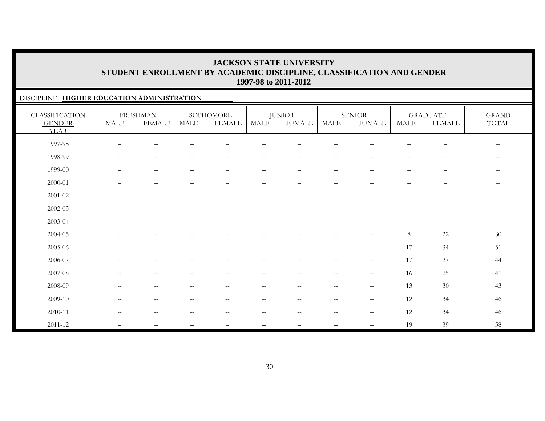### DISCIPLINE: **HIGHER EDUCATION ADMINISTRATION**

| <b>CLASSIFICATION</b><br><b>GENDER</b><br><b>YEAR</b> | MALE                                                | <b>FRESHMAN</b><br><b>FEMALE</b> | <b>MALE</b>                                         | SOPHOMORE<br><b>FEMALE</b> | <b>MALE</b>              | <b>JUNIOR</b><br><b>FEMALE</b>                | MALE                                                | <b>SENIOR</b><br><b>FEMALE</b>                      | <b>MALE</b>              | <b>GRADUATE</b><br><b>FEMALE</b> | <b>GRAND</b><br>TOTAL    |
|-------------------------------------------------------|-----------------------------------------------------|----------------------------------|-----------------------------------------------------|----------------------------|--------------------------|-----------------------------------------------|-----------------------------------------------------|-----------------------------------------------------|--------------------------|----------------------------------|--------------------------|
| 1997-98                                               |                                                     |                                  |                                                     |                            |                          |                                               |                                                     |                                                     |                          |                                  | $\overline{\phantom{m}}$ |
| 1998-99                                               | $\overline{\phantom{0}}$                            | $\qquad \qquad -$                |                                                     |                            |                          | $\qquad \qquad -$                             | $\qquad \qquad -$                                   |                                                     | $\overline{\phantom{0}}$ | $\overline{\phantom{0}}$         | $--$                     |
| 1999-00                                               | $\overline{\phantom{0}}$                            | $\qquad \qquad -$                | $\overline{\phantom{0}}$                            | $\qquad \qquad -$          | $\qquad \qquad$          | $\overline{\phantom{m}}$                      | $\qquad \qquad -$                                   | $\overbrace{\phantom{1232211}}$                     | $\qquad \qquad -$        | $\overline{\phantom{m}}$         | $\overline{\phantom{m}}$ |
| 2000-01                                               |                                                     | $\overline{\phantom{m}}$         |                                                     | $\overline{\phantom{0}}$   | $\overline{\phantom{0}}$ | $\qquad \qquad -$                             | $\overline{\phantom{m}}$                            | $\overbrace{\phantom{1232211}}$                     | $\overline{\phantom{0}}$ | $\qquad \qquad -$                | $\overline{\phantom{m}}$ |
| $2001 - 02$                                           |                                                     | -                                |                                                     |                            |                          |                                               |                                                     |                                                     |                          |                                  | --                       |
| 2002-03                                               |                                                     | $\overline{\phantom{m}}$         |                                                     |                            | $\overline{\phantom{0}}$ |                                               | $\qquad \qquad -$                                   |                                                     |                          | $\qquad \qquad -$                | $\overline{\phantom{m}}$ |
| 2003-04                                               |                                                     | -                                |                                                     |                            | -                        |                                               | $\overline{\phantom{m}}$                            |                                                     |                          | $\qquad \qquad -$                | $--$                     |
| 2004-05                                               |                                                     | $\overline{\phantom{0}}$         |                                                     |                            | $\qquad \qquad -$        |                                               | $\qquad \qquad -$                                   | $\overbrace{\phantom{1232211}}$                     | $8\,$                    | $22\,$                           | $30\,$                   |
| 2005-06                                               |                                                     | $\qquad \qquad -$                |                                                     |                            |                          | $\overline{\phantom{0}}$                      | $\overline{\phantom{m}}$                            | $\qquad \qquad -$                                   | 17                       | 34                               | 51                       |
| 2006-07                                               |                                                     | -                                |                                                     |                            |                          |                                               |                                                     | $\overbrace{\phantom{1232211}}$                     | 17                       | 27                               | 44                       |
| 2007-08                                               | $- -$                                               | $\overline{\phantom{m}}$         | $\sim$ $-$                                          | $\overline{\phantom{a}}$   | $- -$                    | $--$                                          | $--$                                                | $\hspace{0.05cm} -\hspace{0.05cm} -\hspace{0.05cm}$ | 16                       | $25\,$                           | 41                       |
| 2008-09                                               | $\hspace{0.05cm} -\hspace{0.05cm} -\hspace{0.05cm}$ | $\overline{\phantom{m}}$         | $\hspace{0.05cm} -\hspace{0.05cm} -\hspace{0.05cm}$ | $\overline{\phantom{a}}$   | $\overline{\phantom{m}}$ | $\overline{\phantom{m}}$                      | $\hspace{0.05cm} -\hspace{0.05cm} -\hspace{0.05cm}$ | $-\,-$                                              | 13                       | 30                               | 43                       |
| 2009-10                                               | $\overline{\phantom{m}}$                            | $\overline{\phantom{m}}$         | $\hspace{0.05cm} -\hspace{0.05cm} -\hspace{0.05cm}$ | $\overline{\phantom{m}}$   | $\overline{\phantom{m}}$ | $\mathord{\hspace{1pt}\text{--}\hspace{1pt}}$ | $--$                                                | $\hspace{0.05cm} -\hspace{0.05cm} -\hspace{0.05cm}$ | 12                       | 34                               | 46                       |
| 2010-11                                               | $-$                                                 | --                               |                                                     |                            | --                       |                                               |                                                     | $\overline{\phantom{m}}$                            | 12                       | 34                               | 46                       |
| 2011-12                                               |                                                     |                                  |                                                     |                            |                          |                                               |                                                     | $\overbrace{\phantom{1232211}}$                     | 19                       | 39                               | 58                       |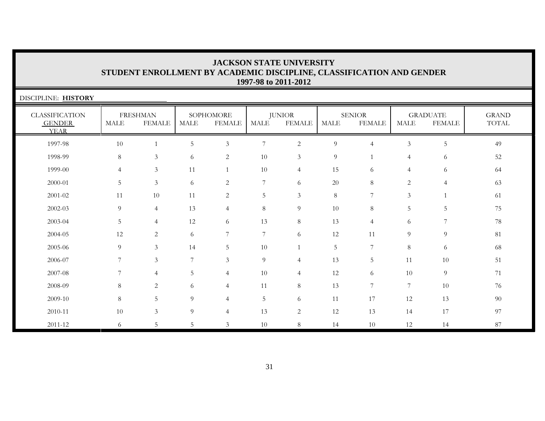| <b>JACKSON STATE UNIVERSITY</b>                                      |
|----------------------------------------------------------------------|
| STUDENT ENROLLMENT BY ACADEMIC DISCIPLINE, CLASSIFICATION AND GENDER |
| 1997-98 to 2011-2012                                                 |

| DISCIPLINE: HISTORY                                   |                |                                  |      |                            |                |                                |             |                                |                |                                  |                       |
|-------------------------------------------------------|----------------|----------------------------------|------|----------------------------|----------------|--------------------------------|-------------|--------------------------------|----------------|----------------------------------|-----------------------|
| <b>CLASSIFICATION</b><br><b>GENDER</b><br><b>YEAR</b> | MALE           | <b>FRESHMAN</b><br><b>FEMALE</b> | MALE | SOPHOMORE<br><b>FEMALE</b> | MALE           | <b>JUNIOR</b><br><b>FEMALE</b> | <b>MALE</b> | <b>SENIOR</b><br><b>FEMALE</b> | <b>MALE</b>    | <b>GRADUATE</b><br><b>FEMALE</b> | <b>GRAND</b><br>TOTAL |
| 1997-98                                               | 10             | 1                                | 5    | $\mathfrak{Z}$             | 7              | 2                              | 9           | $\overline{4}$                 | $\mathfrak{Z}$ | 5                                | 49                    |
| 1998-99                                               | 8              | 3                                | 6    | 2                          | 10             | $\mathfrak{Z}$                 | 9           |                                | $\overline{4}$ | 6                                | 52                    |
| 1999-00                                               | $\overline{4}$ | 3                                | 11   |                            | 10             | $\overline{4}$                 | 15          | 6                              | $\overline{4}$ | 6                                | 64                    |
| 2000-01                                               | 5              | 3                                | 6    | 2                          | $\overline{7}$ | 6                              | 20          | 8                              | 2              | $\overline{4}$                   | 63                    |
| 2001-02                                               | 11             | 10                               | 11   | $\overline{2}$             | 5              | $\mathfrak{Z}$                 | 8           | 7                              | 3              |                                  | 61                    |
| 2002-03                                               | 9              | $\overline{4}$                   | 13   | $\overline{4}$             | $8\,$          | $\overline{9}$                 | 10          | 8                              | 5              | $5\,$                            | 75                    |
| 2003-04                                               | 5              | $\overline{4}$                   | 12   | 6                          | 13             | $8\,$                          | 13          | $\overline{4}$                 | 6              | $\overline{7}$                   | 78                    |
| 2004-05                                               | 12             | $\overline{2}$                   | 6    | 7                          | 7              | 6                              | 12          | 11                             | 9              | 9                                | 81                    |
| 2005-06                                               | 9              | 3                                | 14   | 5                          | 10             |                                | 5           | 7                              | 8              | 6                                | 68                    |
| 2006-07                                               | 7              | 3                                | 7    | 3                          | 9              | $\overline{4}$                 | 13          | 5 <sub>1</sub>                 | 11             | 10                               | 51                    |
| 2007-08                                               | 7              | $\overline{4}$                   | 5    | $\overline{4}$             | 10             | $\overline{4}$                 | 12          | 6                              | 10             | 9                                | 71                    |
| 2008-09                                               | $\,8\,$        | 2                                | 6    | $\overline{4}$             | 11             | $8\,$                          | 13          | 7                              | $\overline{7}$ | 10                               | 76                    |
| 2009-10                                               | $\,8\,$        | 5                                | 9    | $\overline{4}$             | 5              | 6                              | 11          | 17                             | 12             | 13                               | 90                    |
| 2010-11                                               | 10             | $\mathfrak{Z}$                   | 9    | $\overline{4}$             | 13             | $\overline{c}$                 | 12          | 13                             | 14             | 17                               | 97                    |
| 2011-12                                               | 6              | 5                                | 5    | 3                          | 10             | 8                              | 14          | 10                             | 12             | 14                               | 87                    |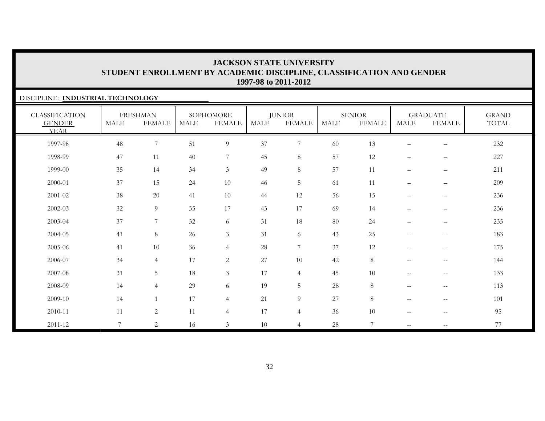### DISCIPLINE: **INDUSTRIAL TECHNOLOGY**

| <b>CLASSIFICATION</b><br><b>GENDER</b><br><b>YEAR</b> | <b>MALE</b>    | <b>FRESHMAN</b><br><b>FEMALE</b> | <b>MALE</b> | SOPHOMORE<br><b>FEMALE</b> | MALE | <b>JUNIOR</b><br><b>FEMALE</b> | <b>MALE</b> | <b>SENIOR</b><br><b>FEMALE</b> | <b>MALE</b>                                         | <b>GRADUATE</b><br><b>FEMALE</b>                    | <b>GRAND</b><br>TOTAL |
|-------------------------------------------------------|----------------|----------------------------------|-------------|----------------------------|------|--------------------------------|-------------|--------------------------------|-----------------------------------------------------|-----------------------------------------------------|-----------------------|
| 1997-98                                               | 48             | $\overline{7}$                   | 51          | $\overline{9}$             | 37   | $\boldsymbol{7}$               | 60          | 13                             |                                                     |                                                     | 232                   |
| 1998-99                                               | 47             | 11                               | 40          | $\overline{7}$             | 45   | $\,8\,$                        | 57          | 12                             |                                                     | $\qquad \qquad -$                                   | 227                   |
| 1999-00                                               | 35             | 14                               | 34          | $\mathfrak{Z}$             | 49   | $8\,$                          | 57          | 11                             |                                                     | $\overline{\phantom{m}}$                            | 211                   |
| 2000-01                                               | 37             | 15                               | 24          | 10                         | 46   | 5                              | 61          | 11                             | $\overline{\phantom{0}}$                            | $\overline{\phantom{m}}$                            | 209                   |
| $2001 - 02$                                           | 38             | $20\,$                           | 41          | 10                         | 44   | 12                             | 56          | 15                             | $\overline{\phantom{0}}$                            | $\qquad \qquad -$                                   | 236                   |
| 2002-03                                               | 32             | $\overline{9}$                   | 35          | 17                         | 43   | 17                             | 69          | 14                             | $-$                                                 | $\overline{\phantom{m}}$                            | 236                   |
| 2003-04                                               | 37             | $\overline{7}$                   | 32          | 6                          | 31   | 18                             | 80          | 24                             | $\overline{\phantom{m}}$                            | $\overline{\phantom{m}}$                            | 235                   |
| 2004-05                                               | 41             | $\,8\,$                          | 26          | $\mathfrak{Z}$             | 31   | 6                              | 43          | 25                             | $\overline{\phantom{0}}$                            | $\qquad \qquad -$                                   | 183                   |
| 2005-06                                               | 41             | 10                               | 36          | $\overline{4}$             | 28   | $\boldsymbol{7}$               | 37          | 12                             | $\qquad \qquad -$                                   | $\qquad \qquad -$                                   | 175                   |
| 2006-07                                               | 34             | $\overline{4}$                   | 17          | $\overline{c}$             | 27   | 10                             | 42          | $\,8\,$                        | $\overline{\phantom{m}}$                            | $- -$                                               | 144                   |
| 2007-08                                               | 31             | 5                                | 18          | $\mathfrak{Z}$             | 17   | $\overline{4}$                 | 45          | 10                             | $\hspace{0.05cm} -\hspace{0.05cm} -\hspace{0.05cm}$ | $\hspace{0.05cm} -\hspace{0.05cm} -\hspace{0.05cm}$ | 133                   |
| 2008-09                                               | 14             | $\overline{4}$                   | 29          | 6                          | 19   | 5                              | 28          | 8                              | $\overline{\phantom{m}}$                            | $\hspace{0.05cm} -\hspace{0.05cm} -\hspace{0.05cm}$ | 113                   |
| 2009-10                                               | 14             | $\mathbf{1}$                     | 17          | $\overline{4}$             | 21   | $\overline{9}$                 | 27          | 8                              | $\overline{\phantom{m}}$                            | $\overline{\phantom{m}}$                            | 101                   |
| 2010-11                                               | 11             | $\sqrt{2}$                       | 11          | $\overline{4}$             | 17   | $\overline{4}$                 | 36          | 10                             | $\overline{\phantom{m}}$                            | $\overline{\phantom{m}}$                            | 95                    |
| 2011-12                                               | $\overline{7}$ | 2                                | 16          | $\mathfrak{Z}$             | 10   | $\overline{4}$                 | 28          | 7                              | $\overline{\phantom{m}}$                            | $\hspace{0.05cm} -\hspace{0.05cm} -\hspace{0.05cm}$ | 77                    |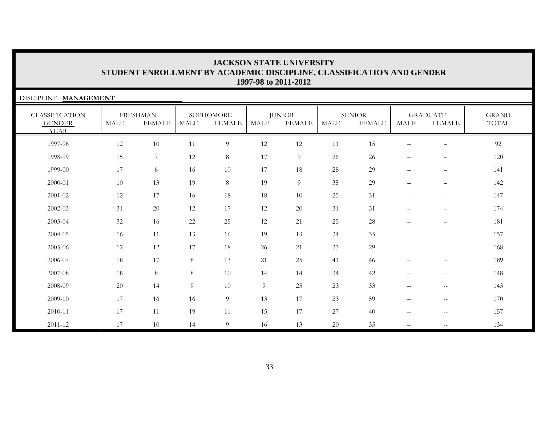| DISCIPLINE: MANAGEMENT                                |             |                                  |                |                            |                |                                |             |                                |                          |                                  |                       |
|-------------------------------------------------------|-------------|----------------------------------|----------------|----------------------------|----------------|--------------------------------|-------------|--------------------------------|--------------------------|----------------------------------|-----------------------|
| <b>CLASSIFICATION</b><br><b>GENDER</b><br><b>YEAR</b> | <b>MALE</b> | <b>FRESHMAN</b><br><b>FEMALE</b> | MALE           | SOPHOMORE<br><b>FEMALE</b> | MALE           | <b>JUNIOR</b><br><b>FEMALE</b> | <b>MALE</b> | <b>SENIOR</b><br><b>FEMALE</b> | <b>MALE</b>              | <b>GRADUATE</b><br><b>FEMALE</b> | <b>GRAND</b><br>TOTAL |
| 1997-98                                               | 12          | 10                               | 11             | 9                          | 12             | 12                             | 11          | 15                             | $\overline{\phantom{m}}$ | $\qquad \qquad -$                | 92                    |
| 1998-99                                               | 15          | 7                                | 12             | 8                          | 17             | 9                              | 26          | 26                             | $\overline{\phantom{m}}$ | $\qquad \qquad -$                | 120                   |
| 1999-00                                               | 17          | 6                                | 16             | 10                         | 17             | 18                             | 28          | 29                             | $\overline{\phantom{m}}$ | $\qquad \qquad -$                | 141                   |
| 2000-01                                               | 10          | 13                               | 19             | 8                          | 19             | 9                              | 35          | 29                             | $\overline{\phantom{m}}$ | $\qquad \qquad -$                | 142                   |
| 2001-02                                               | 12          | 17                               | 16             | 18                         | 18             | 10                             | 25          | 31                             | $\qquad \qquad -$        | $\qquad \qquad -$                | 147                   |
| 2002-03                                               | 31          | 20                               | 12             | 17                         | 12             | 20                             | 31          | 31                             | $\overline{\phantom{m}}$ | $\qquad \qquad -$                | 174                   |
| 2003-04                                               | 32          | 16                               | 22             | 25                         | 12             | 21                             | 25          | 28                             |                          | $\overline{\phantom{0}}$         | 181                   |
| 2004-05                                               | 16          | 11                               | 13             | 16                         | 19             | 13                             | 34          | 35                             | $\overline{\phantom{0}}$ | $\qquad \qquad -$                | 157                   |
| 2005-06                                               | 12          | 12                               | 17             | 18                         | 26             | 21                             | 33          | 29                             | $\overline{\phantom{0}}$ | $\qquad \qquad -$                | 168                   |
| 2006-07                                               | 18          | 17                               | 8              | 13                         | 21             | 25                             | 41          | 46                             | $- -$                    | $\overline{\phantom{m}}$         | 189                   |
| 2007-08                                               | 18          | 8                                | 8              | 10                         | 14             | 14                             | 34          | 42                             | $\overline{\phantom{m}}$ | $\qquad \qquad -$                | 148                   |
| 2008-09                                               | 20          | 14                               | $\overline{9}$ | $10\,$                     | $\overline{9}$ | 25                             | 23          | 33                             | $\frac{1}{2}$            | $\qquad \qquad -$                | 143                   |
| 2009-10                                               | 17          | 16                               | 16             | 9                          | 13             | 17                             | 23          | 59                             | $\overline{\phantom{m}}$ | $\qquad \qquad -$                | 170                   |
| 2010-11                                               | 17          | 11                               | 19             | 11                         | 15             | 17                             | $27\,$      | 40                             | $\overline{\phantom{a}}$ | $\qquad \qquad -$                | 157                   |
| 2011-12                                               | 17          | 10                               | 14             | 9                          | 16             | 13                             | 20          | 35                             | $\overline{\phantom{a}}$ | $- -$                            | 134                   |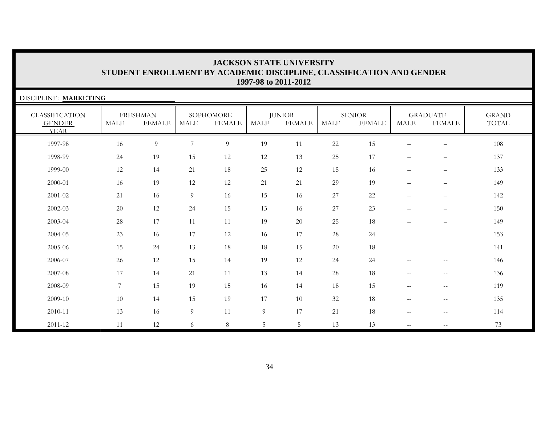| DISCIPLINE: MARKETING                                 |             |                                  |                |                            |                |                                |             |                                |                                 |                                   |                       |
|-------------------------------------------------------|-------------|----------------------------------|----------------|----------------------------|----------------|--------------------------------|-------------|--------------------------------|---------------------------------|-----------------------------------|-----------------------|
| <b>CLASSIFICATION</b><br><b>GENDER</b><br><b>YEAR</b> | <b>MALE</b> | <b>FRESHMAN</b><br><b>FEMALE</b> | <b>MALE</b>    | SOPHOMORE<br><b>FEMALE</b> | MALE           | <b>JUNIOR</b><br><b>FEMALE</b> | <b>MALE</b> | <b>SENIOR</b><br><b>FEMALE</b> | $\operatorname{MALE}$           | <b>GRADUATE</b><br><b>FEMALE</b>  | <b>GRAND</b><br>TOTAL |
| 1997-98                                               | 16          | $\overline{9}$                   | $\overline{7}$ | $\overline{9}$             | 19             | 11                             | 22          | 15                             | $\overline{\phantom{0}}$        | $\qquad \qquad -$                 | 108                   |
| 1998-99                                               | 24          | 19                               | 15             | 12                         | 12             | 13                             | 25          | 17                             | $\overbrace{\phantom{1232211}}$ | $\qquad \qquad -$                 | 137                   |
| 1999-00                                               | 12          | 14                               | 21             | 18                         | 25             | 12                             | 15          | 16                             | $\overbrace{\phantom{1232211}}$ | $\qquad \qquad -$                 | 133                   |
| 2000-01                                               | 16          | 19                               | 12             | 12                         | 21             | 21                             | 29          | 19                             | $\overbrace{\phantom{1232211}}$ | $\qquad \qquad -$                 | 149                   |
| 2001-02                                               | 21          | 16                               | 9              | 16                         | 15             | 16                             | $27\,$      | $22\,$                         | $\overline{\phantom{0}}$        | $\qquad \qquad -$                 | 142                   |
| 2002-03                                               | 20          | 12                               | 24             | 15                         | 13             | 16                             | $27\,$      | 23                             |                                 | $\qquad \qquad -$                 | 150                   |
| 2003-04                                               | 28          | 17                               | 11             | 11                         | 19             | 20                             | 25          | 18                             | $\overline{\phantom{0}}$        | $\qquad \qquad -$                 | 149                   |
| 2004-05                                               | 23          | 16                               | 17             | 12                         | 16             | 17                             | 28          | 24                             | $\overbrace{\phantom{1232211}}$ | $\overbrace{\phantom{123221111}}$ | 153                   |
| 2005-06                                               | 15          | 24                               | 13             | 18                         | 18             | 15                             | $20\,$      | 18                             | $\overline{\phantom{m}}$        | $\qquad \qquad -$                 | 141                   |
| 2006-07                                               | 26          | 12                               | 15             | 14                         | 19             | 12                             | 24          | 24                             | $\overline{\phantom{a}}$        | $- -$                             | 146                   |
| 2007-08                                               | 17          | 14                               | 21             | 11                         | 13             | 14                             | 28          | 18                             | $\overline{\phantom{a}}$        | $- -$                             | 136                   |
| 2008-09                                               | 7           | 15                               | 19             | 15                         | 16             | 14                             | 18          | 15                             | $\overline{\phantom{a}}$        | $- -$                             | 119                   |
| 2009-10                                               | 10          | 14                               | 15             | 19                         | 17             | 10                             | 32          | 18                             | $\overline{\phantom{m}}$        | $\qquad \qquad -$                 | 135                   |
| 2010-11                                               | 13          | 16                               | 9              | 11                         | $\overline{9}$ | 17                             | 21          | 18                             | $\overline{\phantom{a}}$        | $\overline{\phantom{m}}$          | 114                   |
| 2011-12                                               | 11          | 12                               | 6              | 8                          | 5              | 5                              | 13          | 13                             | $\overline{\phantom{m}}$        |                                   | 73                    |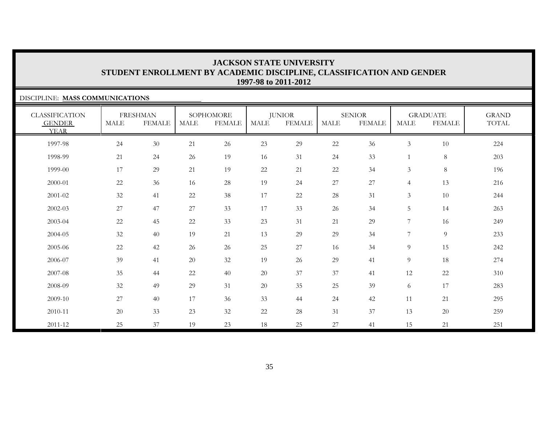### DISCIPLINE: **MASS COMMUNICATIONS**

| <b>CLASSIFICATION</b><br><b>GENDER</b><br><b>YEAR</b> | MALE   | <b>FRESHMAN</b><br><b>FEMALE</b> | <b>MALE</b> | SOPHOMORE<br><b>FEMALE</b> | MALE   | <b>JUNIOR</b><br><b>FEMALE</b> | MALE   | <b>SENIOR</b><br><b>FEMALE</b> | MALE           | <b>GRADUATE</b><br><b>FEMALE</b> | <b>GRAND</b><br>TOTAL |
|-------------------------------------------------------|--------|----------------------------------|-------------|----------------------------|--------|--------------------------------|--------|--------------------------------|----------------|----------------------------------|-----------------------|
| 1997-98                                               | 24     | $30\,$                           | 21          | 26                         | 23     | 29                             | $22\,$ | 36                             | $\mathfrak{Z}$ | $10\,$                           | 224                   |
| 1998-99                                               | 21     | 24                               | 26          | 19                         | 16     | 31                             | 24     | 33                             |                | $\,8\,$                          | 203                   |
| 1999-00                                               | 17     | 29                               | 21          | 19                         | $22\,$ | 21                             | $22\,$ | 34                             | $\mathfrak{Z}$ | $\,8\,$                          | 196                   |
| 2000-01                                               | $22\,$ | 36                               | 16          | 28                         | 19     | 24                             | $27\,$ | 27                             | $\overline{4}$ | 13                               | 216                   |
| 2001-02                                               | 32     | 41                               | 22          | 38                         | 17     | 22                             | 28     | 31                             | $\mathfrak{Z}$ | 10                               | 244                   |
| 2002-03                                               | 27     | 47                               | 27          | 33                         | 17     | 33                             | 26     | 34                             | 5              | 14                               | 263                   |
| 2003-04                                               | 22     | 45                               | 22          | 33                         | 23     | 31                             | 21     | 29                             | 7              | 16                               | 249                   |
| 2004-05                                               | 32     | 40                               | 19          | 21                         | 13     | 29                             | 29     | 34                             | 7              | $\overline{9}$                   | 233                   |
| 2005-06                                               | $22\,$ | 42                               | 26          | 26                         | 25     | $27\,$                         | 16     | 34                             | 9              | 15                               | 242                   |
| 2006-07                                               | 39     | 41                               | 20          | 32                         | 19     | 26                             | 29     | 41                             | 9              | 18                               | 274                   |
| 2007-08                                               | 35     | 44                               | 22          | 40                         | 20     | 37                             | 37     | 41                             | 12             | 22                               | 310                   |
| 2008-09                                               | 32     | 49                               | 29          | 31                         | 20     | 35                             | 25     | 39                             | 6              | 17                               | 283                   |
| 2009-10                                               | 27     | 40                               | 17          | 36                         | 33     | 44                             | 24     | 42                             | 11             | 21                               | 295                   |
| 2010-11                                               | 20     | 33                               | 23          | 32                         | $22\,$ | 28                             | 31     | 37                             | 13             | 20                               | 259                   |
| 2011-12                                               | 25     | 37                               | 19          | 23                         | 18     | 25                             | $27\,$ | 41                             | 15             | 21                               | 251                   |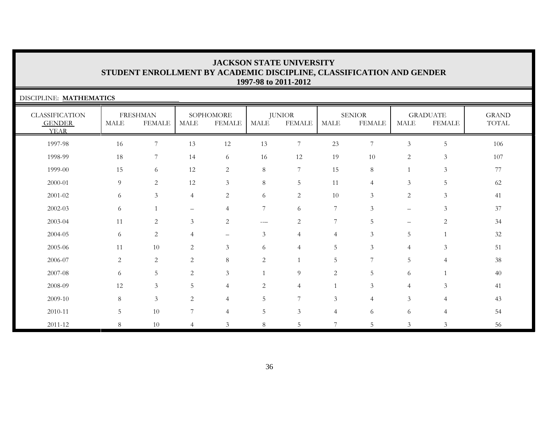| DISCIPLINE: MATHEMATICS                               |             |                                  |                |                            |                  |                                |                |                                |                          |                                  |                       |
|-------------------------------------------------------|-------------|----------------------------------|----------------|----------------------------|------------------|--------------------------------|----------------|--------------------------------|--------------------------|----------------------------------|-----------------------|
| <b>CLASSIFICATION</b><br><b>GENDER</b><br><b>YEAR</b> | <b>MALE</b> | <b>FRESHMAN</b><br><b>FEMALE</b> | <b>MALE</b>    | SOPHOMORE<br><b>FEMALE</b> | MALE             | <b>JUNIOR</b><br><b>FEMALE</b> | MALE           | <b>SENIOR</b><br><b>FEMALE</b> | <b>MALE</b>              | <b>GRADUATE</b><br><b>FEMALE</b> | <b>GRAND</b><br>TOTAL |
| 1997-98                                               | 16          | $\tau$                           | 13             | 12                         | 13               | 7                              | 23             | 7                              | $\mathfrak{Z}$           | 5                                | 106                   |
| 1998-99                                               | 18          | 7                                | 14             | 6                          | 16               | 12                             | 19             | 10                             | $\overline{c}$           | $\mathfrak{Z}$                   | 107                   |
| 1999-00                                               | 15          | 6                                | 12             | $\overline{c}$             | $\,8\,$          | $\overline{7}$                 | 15             | 8                              | $\mathbf{1}$             | $\mathfrak{Z}$                   | 77                    |
| 2000-01                                               | 9           | 2                                | 12             | $\mathfrak{Z}$             | $\,8\,$          | $\overline{5}$                 | 11             | $\overline{4}$                 | $\mathfrak{Z}$           | 5                                | 62                    |
| 2001-02                                               | 6           | $\mathfrak{Z}$                   | $\overline{4}$ | $\overline{c}$             | 6                | $\overline{2}$                 | 10             | 3                              | $\overline{2}$           | $\mathfrak{Z}$                   | 41                    |
| $2002 - 03$                                           | 6           |                                  | -              | $\overline{4}$             | $\boldsymbol{7}$ | 6                              | $\overline{7}$ | $\mathfrak{Z}$                 | $\overline{\phantom{0}}$ | $\mathfrak{Z}$                   | 37                    |
| 2003-04                                               | 11          | $\overline{c}$                   | 3              | $\overline{c}$             | ---              | $\sqrt{2}$                     | $\overline{7}$ | 5                              | $\overline{\phantom{0}}$ | $\mathbf{2}$                     | 34                    |
| 2004-05                                               | 6           | $\overline{c}$                   | $\overline{4}$ | $\qquad \qquad -$          | $\mathfrak{Z}$   | $\overline{4}$                 | $\overline{4}$ | 3                              | 5                        | $\mathbf{1}$                     | 32                    |
| 2005-06                                               | 11          | 10                               | $\mathbf{2}$   | 3                          | 6                | $\overline{4}$                 | 5              | 3                              | $\overline{4}$           | $\mathfrak{Z}$                   | 51                    |
| 2006-07                                               | 2           | 2                                | $\overline{c}$ | 8                          | $\overline{2}$   |                                | 5              | 7                              | 5                        | $\overline{4}$                   | 38                    |
| 2007-08                                               | 6           | 5                                | $\overline{c}$ | $\mathfrak{Z}$             | $\mathbf{1}$     | 9                              | $\sqrt{2}$     | 5                              | 6                        |                                  | 40                    |
| 2008-09                                               | 12          | $\mathfrak{Z}$                   | 5              | $\overline{4}$             | $\sqrt{2}$       | $\overline{4}$                 | 1              | 3                              | $\overline{4}$           | $\mathfrak{Z}$                   | 41                    |
| 2009-10                                               | 8           | $\mathfrak{Z}$                   | $\mathbf{2}$   | 4                          | 5                | $\overline{7}$                 | $\mathfrak{Z}$ | $\overline{4}$                 | $\mathfrak{Z}$           | $\overline{4}$                   | 43                    |
| 2010-11                                               | 5           | 10                               | $\overline{7}$ | $\overline{4}$             | $\mathbf 5$      | $\mathfrak{Z}$                 | $\overline{4}$ | 6                              | 6                        | $\overline{4}$                   | 54                    |
| $2011 - 12$                                           | 8           | 10                               | $\overline{4}$ | 3                          | $\,8\,$          | 5                              | 7              | 5                              | $\mathfrak{Z}$           | $\mathfrak{Z}$                   | 56                    |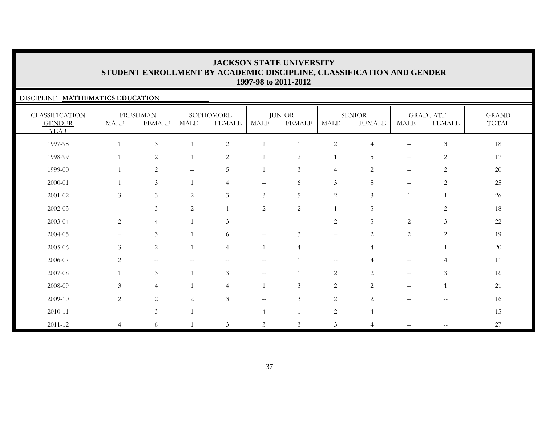### DISCIPLINE: **MATHEMATICS EDUCATION**

| <b>CLASSIFICATION</b><br><b>GENDER</b><br><b>YEAR</b> | MALE              | <b>FRESHMAN</b><br><b>FEMALE</b> | MALE                     | SOPHOMORE<br><b>FEMALE</b> | MALE                            | <b>JUNIOR</b><br><b>FEMALE</b> | <b>MALE</b>                                         | <b>SENIOR</b><br><b>FEMALE</b> | MALE                                                | <b>GRADUATE</b><br><b>FEMALE</b> | <b>GRAND</b><br>TOTAL |
|-------------------------------------------------------|-------------------|----------------------------------|--------------------------|----------------------------|---------------------------------|--------------------------------|-----------------------------------------------------|--------------------------------|-----------------------------------------------------|----------------------------------|-----------------------|
| 1997-98                                               |                   | $\mathfrak{Z}$                   |                          | $\sqrt{2}$                 |                                 |                                | $\overline{c}$                                      | $\overline{4}$                 | $\qquad \qquad -$                                   | $\ensuremath{\mathfrak{Z}}$      | 18                    |
| 1998-99                                               |                   | 2                                | $\overline{1}$           | 2                          |                                 | $\overline{2}$                 | $\mathbf{1}$                                        | 5                              | $\qquad \qquad -$                                   | $\overline{2}$                   | 17                    |
| 1999-00                                               |                   | $\overline{2}$                   | $\overline{\phantom{0}}$ | 5                          |                                 | 3                              | $\overline{4}$                                      | $\overline{2}$                 | $\qquad \qquad -$                                   | $\overline{c}$                   | $20\,$                |
| 2000-01                                               |                   | $\mathfrak{Z}$                   | $\overline{1}$           | 4                          | $\overline{\phantom{m}}$        | 6                              | $\mathfrak{Z}$                                      | 5                              | $\qquad \qquad -$                                   | 2                                | 25                    |
| $2001 - 02$                                           | $\mathfrak{Z}$    | $\mathfrak{Z}$                   | 2                        | $\mathfrak{Z}$             | 3                               | 5                              | 2                                                   | 3                              |                                                     |                                  | 26                    |
| $2002 - 03$                                           |                   | 3                                | $\overline{c}$           |                            | $\sqrt{2}$                      | $\sqrt{2}$                     |                                                     | 5                              |                                                     | $\overline{c}$                   | 18                    |
| 2003-04                                               | 2                 | $\overline{4}$                   |                          | 3                          | $\qquad \qquad -$               | $\qquad \qquad -$              | $\sqrt{2}$                                          | 5                              | $\overline{c}$                                      | $\mathfrak{Z}$                   | $22\,$                |
| 2004-05                                               | $\qquad \qquad -$ | 3                                |                          | 6                          | $\overbrace{\phantom{1232211}}$ | 3                              | $\qquad \qquad -$                                   | $\overline{2}$                 | $\overline{c}$                                      | $\sqrt{2}$                       | 19                    |
| 2005-06                                               | $\mathfrak{Z}$    | $\overline{2}$                   | $\mathbf{1}$             | $\overline{4}$             |                                 | $\overline{4}$                 | $\qquad \qquad -$                                   | $\overline{4}$                 | $\qquad \qquad -$                                   |                                  | $20\,$                |
| 2006-07                                               | 2                 | $\overline{\phantom{m}}$         |                          | $\qquad \qquad -$          | $\overline{\phantom{m}}$        |                                | $\hspace{0.05cm} -\hspace{0.05cm} -\hspace{0.05cm}$ |                                | $\hspace{0.05cm} -\hspace{0.05cm} -\hspace{0.05cm}$ | 4                                | 11                    |
| 2007-08                                               |                   | 3                                | $\overline{1}$           | $\mathfrak{Z}$             | $--$                            |                                | 2                                                   | $\overline{2}$                 | $--$                                                | 3                                | 16                    |
| 2008-09                                               | 3                 | $\overline{4}$                   | $\overline{1}$           | $\overline{4}$             |                                 | 3                              | 2                                                   | 2                              | $\mathbf{u}$                                        | $\mathbf{1}$                     | 21                    |
| 2009-10                                               | $\overline{2}$    | $\overline{2}$                   | 2                        | $\mathfrak{Z}$             | $- -$                           | $\mathfrak{Z}$                 | 2                                                   | 2                              |                                                     |                                  | 16                    |
| $2010 - 11$                                           | $--$              | 3                                |                          | $--$                       | 4                               |                                | $\overline{c}$                                      | $\overline{4}$                 |                                                     |                                  | 15                    |
| 2011-12                                               | $\overline{4}$    | 6                                |                          | $\mathfrak{Z}$             | 3                               | $\mathfrak{Z}$                 | $\mathfrak{Z}$                                      |                                | $\qquad \qquad -$                                   | $\overline{\phantom{m}}$         | 27                    |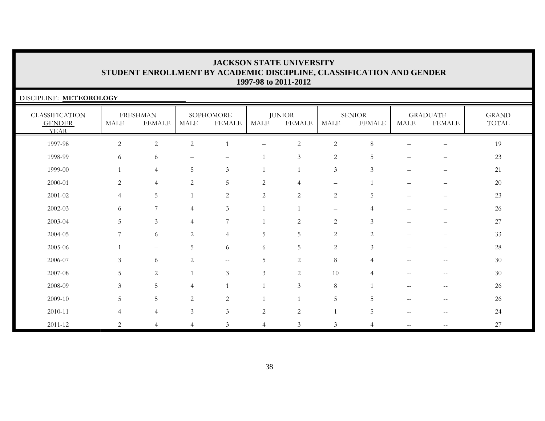| DISCIPLINE: METEOROLOGY                               |                          |                                  |                |                            |                |                                |                          |                                |                   |                                  |                       |
|-------------------------------------------------------|--------------------------|----------------------------------|----------------|----------------------------|----------------|--------------------------------|--------------------------|--------------------------------|-------------------|----------------------------------|-----------------------|
| <b>CLASSIFICATION</b><br><b>GENDER</b><br><b>YEAR</b> | <b>MALE</b>              | <b>FRESHMAN</b><br><b>FEMALE</b> | MALE           | SOPHOMORE<br><b>FEMALE</b> | MALE           | <b>JUNIOR</b><br><b>FEMALE</b> | <b>MALE</b>              | <b>SENIOR</b><br><b>FEMALE</b> | <b>MALE</b>       | <b>GRADUATE</b><br><b>FEMALE</b> | <b>GRAND</b><br>TOTAL |
| 1997-98                                               | $\overline{2}$           | $\overline{c}$                   | $\overline{c}$ |                            | -              | $\sqrt{2}$                     | $\overline{c}$           | 8                              |                   | -                                | 19                    |
| 1998-99                                               | 6                        | 6                                |                | $\overline{\phantom{0}}$   |                | $\mathfrak{Z}$                 | $\overline{2}$           | 5                              |                   |                                  | 23                    |
| 1999-00                                               |                          | $\overline{4}$                   | 5              | $\mathfrak{Z}$             | 1              |                                | $\mathfrak{Z}$           | 3                              |                   |                                  | 21                    |
| 2000-01                                               | 2                        | $\overline{4}$                   | $\overline{c}$ | 5                          | $\overline{2}$ | $\overline{4}$                 | $\overline{\phantom{0}}$ | $\overline{1}$                 |                   |                                  | 20                    |
| 2001-02                                               | $\overline{4}$           | 5                                |                | $\overline{2}$             | $\overline{c}$ | $\overline{2}$                 | $\sqrt{2}$               | 5                              |                   | $\overline{\phantom{0}}$         | 23                    |
| 2002-03                                               | 6                        | $\overline{7}$                   | 4              | 3                          | $\mathbf{1}$   |                                | $\overline{\phantom{0}}$ | 4                              |                   |                                  | 26                    |
| 2003-04                                               | .5                       | $\mathfrak{Z}$                   | 4              | $\overline{7}$             |                | $\overline{2}$                 | $\overline{c}$           | 3                              |                   |                                  | $27\,$                |
| 2004-05                                               | $\overline{7}$           | 6                                | $\overline{c}$ | $\overline{4}$             | 5              | 5                              | $\overline{c}$           | 2                              |                   |                                  | 33                    |
| 2005-06                                               |                          | $\qquad \qquad -$                | 5              | 6                          | 6              | 5                              | $\overline{2}$           | 3                              |                   | $\overline{\phantom{0}}$         | 28                    |
| 2006-07                                               | 3                        | 6                                | $\overline{c}$ | $\mathbf{u}$               | 5              | $\mathbf{2}$                   | $\,8\,$                  | 4                              | $-$               | $-$                              | 30                    |
| 2007-08                                               | 5                        | 2                                |                | 3                          | 3              | 2                              | 10                       | 4                              | $-$               | $\overline{\phantom{m}}$         | 30                    |
| 2008-09                                               | 3                        | 5                                | 4              |                            |                | $\mathfrak{Z}$                 | $\,8\,$                  |                                |                   | --                               | 26                    |
| 2009-10                                               | .5                       | 5                                | 2              | 2                          |                |                                | 5                        | 5                              | $- -$             | --                               | 26                    |
| 2010-11                                               | $\boldsymbol{\varDelta}$ | 4                                | $\mathfrak{Z}$ | 3                          | 2              | $\sqrt{2}$                     |                          | 5                              | $-$               |                                  | 24                    |
| 2011-12                                               | 2                        | 4                                | $\overline{4}$ | 3                          | $\overline{4}$ | 3                              | 3                        | $\overline{4}$                 | $\qquad \qquad -$ | --                               | 27                    |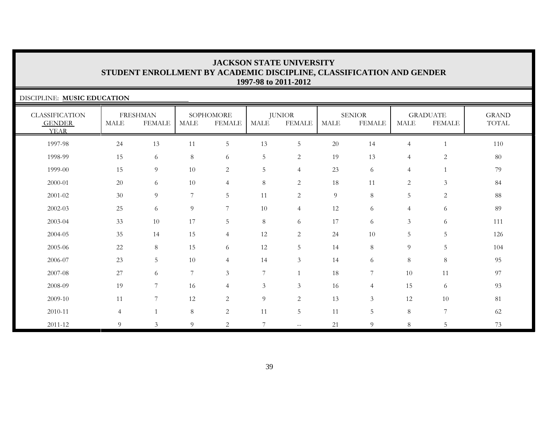| DISCIPLINE: MUSIC EDUCATION                           |                |                                  |             |                            |                 |                         |             |                                |                |                                  |                       |
|-------------------------------------------------------|----------------|----------------------------------|-------------|----------------------------|-----------------|-------------------------|-------------|--------------------------------|----------------|----------------------------------|-----------------------|
| <b>CLASSIFICATION</b><br><b>GENDER</b><br><b>YEAR</b> | MALE           | <b>FRESHMAN</b><br><b>FEMALE</b> | <b>MALE</b> | SOPHOMORE<br><b>FEMALE</b> | <b>MALE</b>     | <b>JUNIOR</b><br>FEMALE | <b>MALE</b> | <b>SENIOR</b><br><b>FEMALE</b> | <b>MALE</b>    | <b>GRADUATE</b><br><b>FEMALE</b> | <b>GRAND</b><br>TOTAL |
| 1997-98                                               | 24             | 13                               | 11          | $\overline{5}$             | 13              | $\overline{5}$          | 20          | 14                             | $\overline{4}$ | $\mathbf{1}$                     | 110                   |
| 1998-99                                               | 15             | 6                                | $8\,$       | 6                          | $\overline{5}$  | $\overline{c}$          | 19          | 13                             | $\overline{4}$ | $\mathbf{2}$                     | 80                    |
| 1999-00                                               | 15             | 9                                | 10          | 2                          | $\overline{5}$  | $\overline{4}$          | 23          | 6                              | $\overline{4}$ |                                  | 79                    |
| 2000-01                                               | 20             | 6                                | 10          | $\overline{4}$             | 8               | 2                       | 18          | 11                             | 2              | 3                                | 84                    |
| 2001-02                                               | 30             | 9                                | 7           | 5                          | 11              | 2                       | 9           | 8                              | 5              | 2                                | 88                    |
| 2002-03                                               | 25             | 6                                | 9           | $\overline{7}$             | $10\,$          | $\overline{4}$          | 12          | 6                              | $\overline{4}$ | 6                                | 89                    |
| 2003-04                                               | 33             | 10                               | 17          | 5                          | $\,8\,$         | 6                       | 17          | 6                              | $\mathfrak{Z}$ | 6                                | 111                   |
| 2004-05                                               | 35             | 14                               | 15          | $\overline{4}$             | 12              | $\overline{2}$          | 24          | 10                             | 5              | 5                                | 126                   |
| 2005-06                                               | 22             | 8                                | 15          | 6                          | 12              | 5                       | 14          | 8                              | 9              | 5                                | 104                   |
| 2006-07                                               | 23             | 5                                | 10          | $\overline{4}$             | 14              | 3                       | 14          | 6                              | 8              | $\,8\,$                          | 95                    |
| 2007-08                                               | 27             | 6                                | 7           | 3                          | $\overline{7}$  |                         | 18          | 7                              | 10             | 11                               | 97                    |
| 2008-09                                               | 19             | 7                                | 16          | $\overline{4}$             | $\mathfrak{Z}$  | $\mathfrak{Z}$          | 16          | $\overline{4}$                 | 15             | 6                                | 93                    |
| 2009-10                                               | 11             | 7                                | 12          | 2                          | $\overline{9}$  | $\overline{c}$          | 13          | $\mathfrak{Z}$                 | 12             | 10                               | 81                    |
| 2010-11                                               | $\overline{4}$ |                                  | $8\,$       | $\overline{c}$             | 11              | $\overline{5}$          | 11          | 5                              | $8\phantom{.}$ | 7                                | 62                    |
| 2011-12                                               | 9              | 3                                | 9           | 2                          | $7\phantom{.0}$ | $--$                    | 21          | 9                              | 8              | 5                                | 73                    |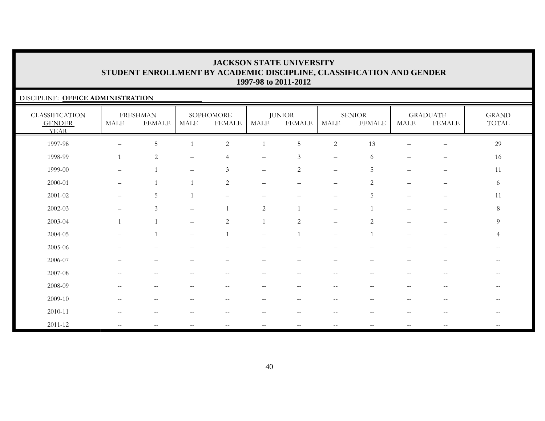### DISCIPLINE: **OFFICE ADMINISTRATION**

| <b>CLASSIFICATION</b><br><b>GENDER</b><br><b>YEAR</b> | <b>MALE</b>              | <b>FRESHMAN</b><br><b>FEMALE</b> | MALE                                           | SOPHOMORE<br><b>FEMALE</b>                            | MALE                     | <b>JUNIOR</b><br><b>FEMALE</b> | <b>MALE</b>              | <b>SENIOR</b><br><b>FEMALE</b> | MALE                     | <b>GRADUATE</b><br><b>FEMALE</b>                      | <b>GRAND</b><br>TOTAL    |
|-------------------------------------------------------|--------------------------|----------------------------------|------------------------------------------------|-------------------------------------------------------|--------------------------|--------------------------------|--------------------------|--------------------------------|--------------------------|-------------------------------------------------------|--------------------------|
| 1997-98                                               | $\overline{\phantom{0}}$ | $\mathbf 5$                      |                                                | $\overline{c}$                                        |                          | $\mathbf 5$                    | $\sqrt{2}$               | 13                             |                          | $\qquad \qquad -$                                     | 29                       |
| 1998-99                                               | $\mathbf{1}$             | $\overline{c}$                   |                                                |                                                       |                          | $\mathfrak{Z}$                 | $\overline{\phantom{m}}$ | 6                              |                          |                                                       | 16                       |
| 1999-00                                               | $\overline{\phantom{0}}$ |                                  | $\qquad \qquad -$                              | $\mathfrak{Z}$                                        | $\qquad \qquad -$        | $\overline{2}$                 | $\overline{\phantom{m}}$ | 5                              |                          | $\qquad \qquad -$                                     | 11                       |
| 2000-01                                               | $\overline{\phantom{0}}$ |                                  |                                                | $\overline{2}$                                        | $\qquad \qquad -$        |                                | $\overline{\phantom{m}}$ | $\overline{2}$                 | -                        |                                                       | 6                        |
| $2001 - 02$                                           | $\overline{\phantom{0}}$ | $\overline{5}$                   |                                                | $\qquad \qquad -$                                     | -                        |                                | $\overline{\phantom{m}}$ | 5                              | $\overline{\phantom{0}}$ | $\overline{\phantom{0}}$                              | 11                       |
| $2002 - 03$                                           | $\qquad \qquad$          | $\mathfrak{Z}$                   |                                                | $\overline{1}$                                        | 2                        |                                | $\overline{\phantom{m}}$ |                                |                          |                                                       | $8\,$                    |
| 2003-04                                               | $\mathbf{1}$             | $\overline{1}$                   |                                                | $\overline{c}$                                        |                          | $\overline{2}$                 | $\overline{\phantom{0}}$ | $\overline{2}$                 |                          |                                                       | 9                        |
| 2004-05                                               | $\qquad \qquad$          |                                  | $\qquad \qquad -$                              |                                                       | $\overline{\phantom{0}}$ |                                | $\overline{\phantom{m}}$ |                                | $\overline{\phantom{0}}$ | —                                                     | $\overline{4}$           |
| 2005-06                                               |                          |                                  |                                                |                                                       |                          |                                |                          |                                |                          |                                                       |                          |
| 2006-07                                               |                          |                                  |                                                |                                                       |                          |                                |                          |                                |                          |                                                       |                          |
| 2007-08                                               | $-$                      | $-$                              |                                                | --                                                    | --                       | $-$                            | $ -$                     |                                | --                       | $\hspace{0.05cm} - \hspace{0.05cm} - \hspace{0.05cm}$ | $\qquad \qquad -$        |
| 2008-09                                               | $\overline{\phantom{a}}$ | $\sim$ $-$                       | $\hspace{0.1mm}-\hspace{0.1mm}-\hspace{0.1mm}$ | $\hspace{0.05cm} - \hspace{0.05cm} - \hspace{0.05cm}$ | $\overline{\phantom{m}}$ | $--$                           | $--$                     | $- -$                          | $\overline{\phantom{m}}$ | $\hspace{0.05cm} -\hspace{0.05cm} -\hspace{0.05cm}$   | $\qquad \qquad -$        |
| 2009-10                                               | --                       | $-$                              |                                                |                                                       | --                       | $- -$                          | $- -$                    |                                | $- -$                    | $\hspace{0.05cm} -$                                   |                          |
| 2010-11                                               | $-$                      | $- -$                            |                                                | --                                                    | $- -$                    | $\overline{\phantom{m}}$       | $\overline{\phantom{m}}$ | $-$                            | $-$                      | $\hspace{0.05cm} - \hspace{0.05cm} - \hspace{0.05cm}$ | $\overline{\phantom{m}}$ |
| 2011-12                                               | $-$                      |                                  |                                                |                                                       | $\qquad \qquad -$        | $\overline{\phantom{m}}$       |                          |                                | $\qquad \qquad -$        |                                                       |                          |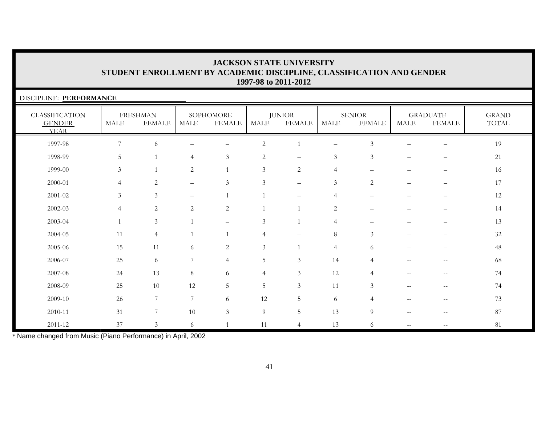| DISCIPLINE: PERFORMANCE                               |                |                                  |                          |                            |                |                                |                   |                                |      |                                  |                       |
|-------------------------------------------------------|----------------|----------------------------------|--------------------------|----------------------------|----------------|--------------------------------|-------------------|--------------------------------|------|----------------------------------|-----------------------|
| <b>CLASSIFICATION</b><br><b>GENDER</b><br><b>YEAR</b> | MALE           | <b>FRESHMAN</b><br><b>FEMALE</b> | MALE                     | SOPHOMORE<br><b>FEMALE</b> | <b>MALE</b>    | <b>JUNIOR</b><br><b>FEMALE</b> | <b>MALE</b>       | <b>SENIOR</b><br><b>FEMALE</b> | MALE | <b>GRADUATE</b><br><b>FEMALE</b> | <b>GRAND</b><br>TOTAL |
| 1997-98                                               | 7              | 6                                |                          | $\overline{\phantom{0}}$   | $\overline{2}$ | $\mathbf{1}$                   | $\qquad \qquad -$ | $\mathfrak{Z}$                 |      | $\overline{\phantom{0}}$         | 19                    |
| 1998-99                                               | 5              |                                  | 4                        | $\mathfrak{Z}$             | $\overline{c}$ | $\overline{\phantom{0}}$       | 3                 | 3                              |      |                                  | 21                    |
| 1999-00                                               | 3              |                                  | $\overline{c}$           |                            | 3              | $\overline{c}$                 | $\overline{4}$    |                                |      |                                  | 16                    |
| 2000-01                                               | $\overline{4}$ | 2                                | —                        | 3                          | 3              |                                | 3                 | 2                              |      |                                  | 17                    |
| 2001-02                                               | 3              | $\mathfrak{Z}$                   | $\overline{\phantom{0}}$ |                            |                |                                | $\overline{4}$    |                                |      |                                  | 12                    |
| 2002-03                                               | $\overline{4}$ | 2                                | $\overline{2}$           | 2                          | $\mathbf{1}$   | $\overline{1}$                 | $\overline{2}$    |                                |      |                                  | 14                    |
| 2003-04                                               |                | $\mathfrak{Z}$                   |                          | $\qquad \qquad -$          | 3              | $\overline{1}$                 | $\overline{4}$    |                                |      |                                  | 13                    |
| $2004 - 05$                                           | 11             | $\overline{4}$                   |                          | $\mathbf{1}$               | $\overline{4}$ |                                | $\,8\,$           | $\mathfrak{Z}$                 |      |                                  | 32                    |
| 2005-06                                               | 15             | 11                               | 6                        | $\sqrt{2}$                 | 3              | $\mathbf{1}$                   | $\overline{4}$    | 6                              |      |                                  | 48                    |
| 2006-07                                               | 25             | 6                                | 7                        | $\overline{4}$             | 5              | 3                              | 14                | 4                              |      |                                  | 68                    |
| 2007-08                                               | 24             | 13                               | 8                        | 6                          | $\overline{4}$ | $\mathfrak{Z}$                 | 12                | 4                              |      |                                  | 74                    |
| 2008-09                                               | 25             | 10                               | 12                       | 5                          | 5              | $\mathfrak{Z}$                 | 11                | 3                              | $-$  | $-$                              | 74                    |
| 2009-10                                               | 26             | 7                                | 7                        | 6                          | 12             | 5                              | 6                 | Δ                              | $-$  | $\overline{\phantom{m}}$         | 73                    |
| 2010-11                                               | 31             | 7                                | 10                       | $\mathfrak{Z}$             | $\overline{9}$ | 5                              | 13                | 9                              | $-$  | --                               | 87                    |
| 2011-12                                               | 37             | $\mathfrak{Z}$                   | 6                        |                            | 11             | $\overline{4}$                 | 13                | 6                              | $-$  | --                               | 81                    |

\* Name changed from Music (Piano Performance) in April, 2002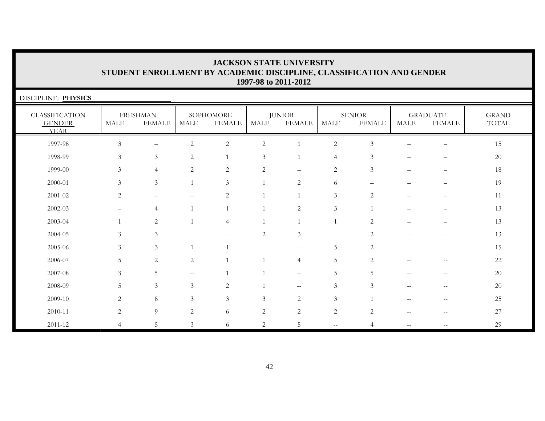| DISCIPLINE: PHYSICS                                   |                |                                  |                   |                            |                |                                                     |                |                                |                                                       |                                  |                       |
|-------------------------------------------------------|----------------|----------------------------------|-------------------|----------------------------|----------------|-----------------------------------------------------|----------------|--------------------------------|-------------------------------------------------------|----------------------------------|-----------------------|
| <b>CLASSIFICATION</b><br><b>GENDER</b><br><b>YEAR</b> | <b>MALE</b>    | <b>FRESHMAN</b><br><b>FEMALE</b> | MALE              | SOPHOMORE<br><b>FEMALE</b> | MALE           | <b>JUNIOR</b><br><b>FEMALE</b>                      | <b>MALE</b>    | <b>SENIOR</b><br><b>FEMALE</b> | <b>MALE</b>                                           | <b>GRADUATE</b><br><b>FEMALE</b> | <b>GRAND</b><br>TOTAL |
| 1997-98                                               | $\mathfrak{Z}$ | $\qquad \qquad -$                | $\overline{c}$    | $\overline{c}$             | $\sqrt{2}$     |                                                     | $\overline{2}$ | $\mathfrak{Z}$                 |                                                       |                                  | 15                    |
| 1998-99                                               | 3              | $\mathfrak{Z}$                   | 2                 |                            | 3              |                                                     | $\overline{4}$ | 3                              |                                                       |                                  | 20                    |
| 1999-00                                               | 3              | $\overline{4}$                   | $\overline{c}$    | $\overline{2}$             | $\overline{2}$ | $\equiv$                                            | 2              | 3                              |                                                       |                                  | 18                    |
| 2000-01                                               | 3              | $\mathfrak{Z}$                   | $\mathbf{1}$      | 3                          | $\mathbf{1}$   | 2                                                   | 6              |                                |                                                       |                                  | 19                    |
| 2001-02                                               | 2              | $\overline{\phantom{0}}$         |                   | $\overline{c}$             | $\mathbf{1}$   |                                                     | $\mathfrak{Z}$ | 2                              |                                                       |                                  | 11                    |
| $2002 - 03$                                           |                | 4                                |                   |                            | $\mathbf{1}$   | $\overline{2}$                                      | $\mathfrak{Z}$ | $\overline{1}$                 |                                                       |                                  | 13                    |
| 2003-04                                               |                | 2                                |                   | $\overline{4}$             | $\mathbf{1}$   |                                                     | $\mathbf{1}$   | $\overline{c}$                 |                                                       |                                  | 13                    |
| 2004-05                                               | 3              | $\mathfrak{Z}$                   |                   |                            | $\overline{2}$ | 3                                                   |                | 2                              |                                                       |                                  | 13                    |
| 2005-06                                               | 3              | 3                                |                   |                            |                |                                                     | 5              | $\overline{c}$                 |                                                       |                                  | 15                    |
| 2006-07                                               | .5             | 2                                | $\overline{c}$    |                            | $\mathbf{1}$   | $\overline{4}$                                      | 5              | 2                              | $\qquad \qquad -$                                     | $-\,-$                           | 22                    |
| 2007-08                                               | 3              | 5                                | $\qquad \qquad -$ |                            |                | $\hspace{0.05cm} -\hspace{0.05cm} -\hspace{0.05cm}$ | 5              | 5                              | $-$                                                   | --                               | 20                    |
| 2008-09                                               | 5              | $\mathfrak{Z}$                   | $\mathfrak{Z}$    | $\overline{2}$             |                | $- -$                                               | $\mathfrak{Z}$ | 3                              | $-$                                                   | $\overline{\phantom{m}}$         | 20                    |
| 2009-10                                               | 2              | 8                                | 3                 | 3                          | $\mathfrak{Z}$ | 2                                                   | $\mathfrak{Z}$ |                                |                                                       |                                  | 25                    |
| 2010-11                                               | 2              | $\overline{9}$                   | $\mathbf{2}$      | 6                          | 2              | $\mathbf{2}$                                        | $\sqrt{2}$     | $\overline{c}$                 | $\hspace{0.05cm} - \hspace{0.05cm} - \hspace{0.05cm}$ | $\overline{\phantom{m}}$         | 27                    |
| 2011-12                                               | $\overline{4}$ | 5                                | 3                 | 6                          | $\overline{2}$ | 5                                                   | --             | 4                              |                                                       |                                  | 29                    |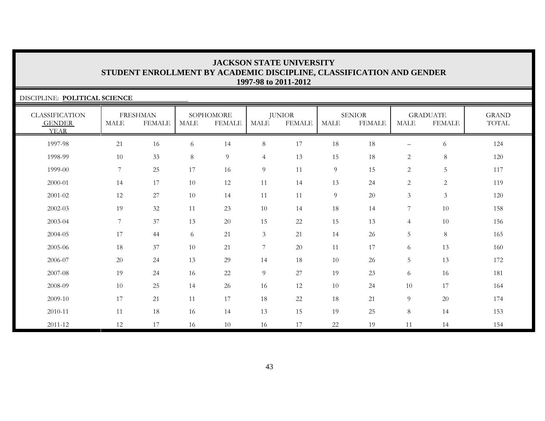| DISCIPLINE: POLITICAL SCIENCE                         |                |                                  |             |                            |                |                                |             |                                |                 |                                  |                       |
|-------------------------------------------------------|----------------|----------------------------------|-------------|----------------------------|----------------|--------------------------------|-------------|--------------------------------|-----------------|----------------------------------|-----------------------|
| <b>CLASSIFICATION</b><br><b>GENDER</b><br><b>YEAR</b> | <b>MALE</b>    | <b>FRESHMAN</b><br><b>FEMALE</b> | <b>MALE</b> | SOPHOMORE<br><b>FEMALE</b> | MALE           | <b>JUNIOR</b><br><b>FEMALE</b> | <b>MALE</b> | <b>SENIOR</b><br><b>FEMALE</b> | MALE            | <b>GRADUATE</b><br><b>FEMALE</b> | <b>GRAND</b><br>TOTAL |
| 1997-98                                               | 21             | 16                               | 6           | 14                         | $8\,$          | 17                             | 18          | 18                             |                 | 6                                | 124                   |
| 1998-99                                               | 10             | 33                               | 8           | 9                          | $\overline{4}$ | 13                             | 15          | 18                             | $\overline{2}$  | $8\,$                            | 120                   |
| 1999-00                                               | $\overline{7}$ | 25                               | $17\,$      | 16                         | 9              | 11                             | 9           | 15                             | $\overline{c}$  | $\overline{5}$                   | 117                   |
| 2000-01                                               | 14             | 17                               | 10          | 12                         | 11             | 14                             | 13          | 24                             | 2               | 2                                | 119                   |
| 2001-02                                               | 12             | 27                               | 10          | 14                         | 11             | 11                             | 9           | 20                             | $\mathfrak{Z}$  | $\mathfrak{Z}$                   | 120                   |
| 2002-03                                               | 19             | 32                               | 11          | 23                         | 10             | 14                             | 18          | 14                             | $\overline{7}$  | 10                               | 158                   |
| 2003-04                                               | 7              | 37                               | 13          | 20                         | 15             | 22                             | 15          | 13                             | $\overline{4}$  | 10                               | 156                   |
| 2004-05                                               | 17             | 44                               | 6           | 21                         | $\mathfrak{Z}$ | 21                             | 14          | 26                             | $5\phantom{.0}$ | $8\,$                            | 165                   |
| 2005-06                                               | 18             | 37                               | 10          | 21                         | $\overline{7}$ | 20                             | 11          | 17                             | 6               | 13                               | 160                   |
| 2006-07                                               | 20             | 24                               | 13          | 29                         | 14             | 18                             | 10          | 26                             | $\overline{5}$  | 13                               | 172                   |
| 2007-08                                               | 19             | 24                               | 16          | 22                         | $\overline{9}$ | 27                             | 19          | 23                             | 6               | 16                               | 181                   |
| 2008-09                                               | 10             | 25                               | 14          | 26                         | 16             | 12                             | 10          | 24                             | 10              | 17                               | 164                   |
| 2009-10                                               | 17             | 21                               | 11          | 17                         | 18             | 22                             | 18          | 21                             | $\overline{9}$  | 20                               | 174                   |
| 2010-11                                               | 11             | 18                               | 16          | 14                         | 13             | 15                             | 19          | 25                             | 8               | 14                               | 153                   |
| 2011-12                                               | 12             | 17                               | 16          | 10                         | 16             | 17                             | 22          | 19                             | 11              | 14                               | 154                   |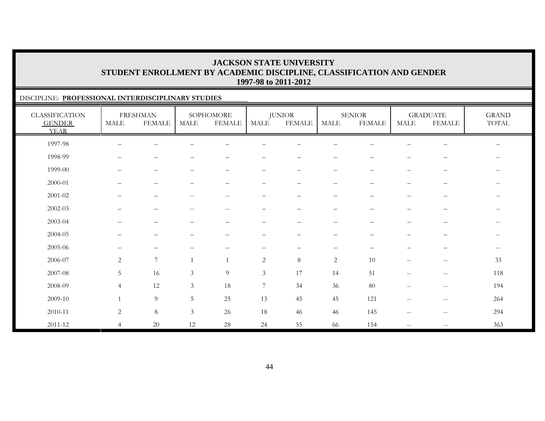### DISCIPLINE: **PROFESSIONAL INTERDISCIPLINARY STUDIES**

| <b>CLASSIFICATION</b><br><b>GENDER</b><br><b>YEAR</b> | MALE                     | <b>FRESHMAN</b><br><b>FEMALE</b> | MALE                                           | SOPHOMORE<br><b>FEMALE</b> | MALE              | <b>JUNIOR</b><br><b>FEMALE</b> | MALE                     | <b>SENIOR</b><br><b>FEMALE</b> | <b>MALE</b>              | <b>GRADUATE</b><br><b>FEMALE</b>                    | <b>GRAND</b><br>$\operatorname{TOTAL}$ |
|-------------------------------------------------------|--------------------------|----------------------------------|------------------------------------------------|----------------------------|-------------------|--------------------------------|--------------------------|--------------------------------|--------------------------|-----------------------------------------------------|----------------------------------------|
| 1997-98                                               | —                        |                                  |                                                |                            |                   |                                |                          |                                |                          |                                                     |                                        |
| 1998-99                                               | —                        | -                                |                                                |                            |                   | $\qquad \qquad -$              | $\qquad \qquad -$        |                                | —                        | —                                                   | $--$                                   |
| 1999-00                                               | $\overline{\phantom{0}}$ | $\qquad \qquad -$                |                                                | $\overline{\phantom{0}}$   | $\qquad \qquad -$ | $\overline{\phantom{m}}$       | $\qquad \qquad -$        | $\overline{\phantom{m}}$       | $\qquad \qquad -$        | $\qquad \qquad -$                                   | $--$                                   |
| 2000-01                                               |                          | -                                |                                                |                            |                   |                                |                          |                                | -                        |                                                     | $- -$                                  |
| $2001 - 02$                                           |                          | -                                |                                                | $-$                        |                   |                                |                          |                                | $\overline{\phantom{0}}$ |                                                     | $\qquad \qquad -$                      |
| 2002-03                                               | $\qquad \qquad -$        | $\qquad \qquad -$                | $\hspace{0.1mm}-\hspace{0.1mm}-\hspace{0.1mm}$ | $\overline{\phantom{a}}$   | $\qquad \qquad -$ | $\overline{\phantom{0}}$       | $\qquad \qquad -$        | $\overline{\phantom{m}}$       | $\qquad \qquad -$        | $\qquad \qquad -$                                   | $--$                                   |
| 2003-04                                               |                          | -                                |                                                |                            |                   |                                |                          |                                |                          |                                                     | $\qquad \qquad -$                      |
| 2004-05                                               |                          | -                                |                                                |                            |                   |                                | $\qquad \qquad -$        |                                |                          |                                                     | $--$                                   |
| 2005-06                                               | —                        | -                                |                                                |                            |                   |                                | $\overline{\phantom{0}}$ |                                |                          |                                                     | $--$                                   |
| 2006-07                                               | 2                        | $\overline{7}$                   |                                                | $\mathbf{1}$               | $\overline{2}$    | 8                              | 2                        | 10                             | $\sim$ $\sim$            | $\overline{\phantom{m}}$                            | 33                                     |
| 2007-08                                               | 5                        | 16                               | 3                                              | $\overline{9}$             | 3                 | 17                             | 14                       | 51                             | $\sim$ $\sim$            | $\hspace{0.05cm} -\hspace{0.05cm} -\hspace{0.05cm}$ | 118                                    |
| 2008-09                                               | $\overline{4}$           | 12                               | 3                                              | 18                         | 7                 | 34                             | 36                       | 80                             | $\sim$ $\sim$            | $\sim$ $\sim$                                       | 194                                    |
| 2009-10                                               | $\overline{1}$           | $\overline{9}$                   | 5                                              | 25                         | 13                | 45                             | 45                       | 121                            | $\qquad \qquad -$        | $\hspace{0.05cm} -\hspace{0.05cm} -\hspace{0.05cm}$ | 264                                    |
| 2010-11                                               | $\sqrt{2}$               | $\,8\,$                          | $\mathfrak{Z}$                                 | 26                         | 18                | 46                             | 46                       | 145                            | $\overline{\phantom{m}}$ | $\overline{\phantom{m}}$                            | 294                                    |
| $2011 - 12$                                           | $\overline{4}$           | $20\,$                           | $12\,$                                         | $28\,$                     | 24                | 55                             | 66                       | 154                            | $- -$                    | $- -$                                               | 363                                    |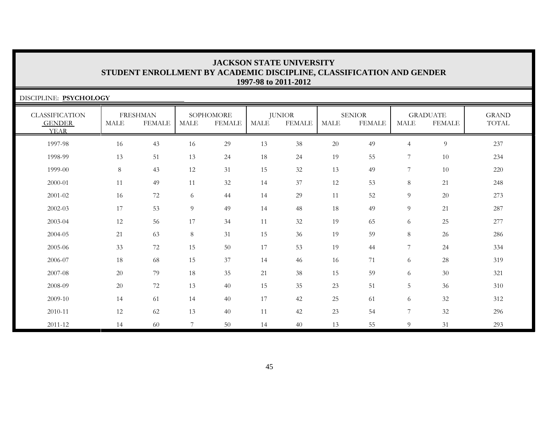| DISCIPLINE: PSYCHOLOGY                                |             |                                  |             |                            |             |                                |             |                                |                |                                  |                       |
|-------------------------------------------------------|-------------|----------------------------------|-------------|----------------------------|-------------|--------------------------------|-------------|--------------------------------|----------------|----------------------------------|-----------------------|
| <b>CLASSIFICATION</b><br><b>GENDER</b><br><b>YEAR</b> | <b>MALE</b> | <b>FRESHMAN</b><br><b>FEMALE</b> | <b>MALE</b> | SOPHOMORE<br><b>FEMALE</b> | <b>MALE</b> | <b>JUNIOR</b><br><b>FEMALE</b> | <b>MALE</b> | <b>SENIOR</b><br><b>FEMALE</b> | <b>MALE</b>    | <b>GRADUATE</b><br><b>FEMALE</b> | <b>GRAND</b><br>TOTAL |
| 1997-98                                               | 16          | 43                               | 16          | 29                         | 13          | 38                             | $20\,$      | 49                             | 4              | $\overline{9}$                   | 237                   |
| 1998-99                                               | 13          | 51                               | 13          | 24                         | 18          | 24                             | 19          | 55                             | 7              | 10                               | 234                   |
| 1999-00                                               | 8           | 43                               | 12          | 31                         | 15          | 32                             | 13          | 49                             | 7              | 10                               | 220                   |
| 2000-01                                               | 11          | 49                               | 11          | 32                         | 14          | 37                             | 12          | 53                             | 8              | 21                               | 248                   |
| 2001-02                                               | 16          | 72                               | 6           | 44                         | 14          | 29                             | 11          | 52                             | 9              | 20                               | 273                   |
| 2002-03                                               | 17          | 53                               | 9           | 49                         | 14          | 48                             | 18          | 49                             | 9              | 21                               | 287                   |
| 2003-04                                               | 12          | 56                               | 17          | 34                         | 11          | 32                             | 19          | 65                             | 6              | 25                               | 277                   |
| 2004-05                                               | 21          | 63                               | 8           | 31                         | 15          | 36                             | 19          | 59                             | 8              | 26                               | 286                   |
| 2005-06                                               | 33          | 72                               | 15          | 50                         | 17          | 53                             | 19          | 44                             | 7              | 24                               | 334                   |
| 2006-07                                               | 18          | 68                               | 15          | 37                         | 14          | 46                             | 16          | 71                             | 6              | $28\,$                           | 319                   |
| 2007-08                                               | 20          | 79                               | 18          | 35                         | 21          | 38                             | 15          | 59                             | 6              | 30                               | 321                   |
| 2008-09                                               | 20          | 72                               | 13          | 40                         | 15          | 35                             | 23          | 51                             | 5              | 36                               | 310                   |
| 2009-10                                               | 14          | 61                               | 14          | 40                         | 17          | 42                             | 25          | 61                             | 6              | 32                               | 312                   |
| 2010-11                                               | 12          | 62                               | 13          | 40                         | 11          | 42                             | 23          | 54                             | $\overline{7}$ | 32                               | 296                   |
| 2011-12                                               | 14          | 60                               | 7           | 50                         | 14          | 40                             | 13          | 55                             | 9              | 31                               | 293                   |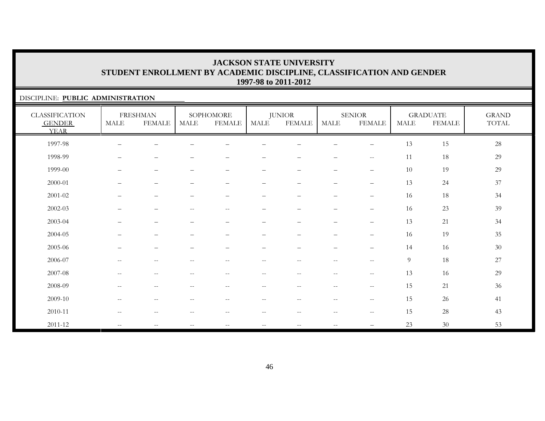### DISCIPLINE: **PUBLIC ADMINISTRATION**

| <b>CLASSIFICATION</b><br><b>GENDER</b><br><b>YEAR</b> | <b>MALE</b>                                         | <b>FRESHMAN</b><br><b>FEMALE</b>                    | <b>MALE</b>                                           | SOPHOMORE<br><b>FEMALE</b>                          | MALE                     | <b>JUNIOR</b><br><b>FEMALE</b> | <b>MALE</b>              | <b>SENIOR</b><br><b>FEMALE</b>                      | <b>MALE</b>    | <b>GRADUATE</b><br><b>FEMALE</b> | <b>GRAND</b><br>TOTAL |
|-------------------------------------------------------|-----------------------------------------------------|-----------------------------------------------------|-------------------------------------------------------|-----------------------------------------------------|--------------------------|--------------------------------|--------------------------|-----------------------------------------------------|----------------|----------------------------------|-----------------------|
| 1997-98                                               |                                                     | $\overline{\phantom{0}}$                            |                                                       |                                                     |                          |                                |                          | $\overline{\phantom{0}}$                            | 13             | 15                               | $28\,$                |
| 1998-99                                               | $\qquad \qquad -$                                   | $\qquad \qquad -$                                   |                                                       |                                                     |                          |                                |                          | $\overline{\phantom{m}}$                            | 11             | 18                               | 29                    |
| 1999-00                                               | —                                                   | $\qquad \qquad -$                                   | $\overline{\phantom{a}}$                              | $\qquad \qquad -$                                   | $\qquad \qquad -$        | $\qquad \qquad -$              | $\overline{\phantom{0}}$ | $\qquad \qquad -$                                   | 10             | 19                               | 29                    |
| 2000-01                                               | —                                                   | $\qquad \qquad -$                                   | $\overline{\phantom{m}}$                              | $\overline{\phantom{0}}$                            | $\qquad \qquad -$        | $\overline{\phantom{0}}$       | $\overline{\phantom{m}}$ | $\overline{\phantom{m}}$                            | 13             | 24                               | $37\,$                |
| 2001-02                                               | —                                                   | $\qquad \qquad -$                                   | $\overline{\phantom{m}}$                              | $\qquad \qquad -$                                   | -                        | $\qquad \qquad -$              | -                        | $\overline{\phantom{0}}$                            | 16             | 18                               | 34                    |
| $2002 - 03$                                           | —                                                   | $\qquad \qquad -$                                   | $\hspace{0.05cm} - \hspace{0.05cm} - \hspace{0.05cm}$ | $\overline{\phantom{m}}$                            | -                        | $\qquad \qquad -$              | $\qquad \qquad -$        | $\qquad \qquad -$                                   | 16             | 23                               | 39                    |
| 2003-04                                               | —                                                   | $\qquad \qquad -$                                   | $\overline{\phantom{m}}$                              | $\qquad \qquad -$                                   | -                        | -                              | $\qquad \qquad -$        | $\overline{\phantom{0}}$                            | 13             | 21                               | 34                    |
| 2004-05                                               | —                                                   | $\qquad \qquad -$                                   | $\overline{\phantom{m}}$                              | $\qquad \qquad -$                                   | $\qquad \qquad -$        | $\overline{\phantom{0}}$       | $\overline{\phantom{0}}$ | $\overline{\phantom{m}}$                            | 16             | 19                               | $35\,$                |
| 2005-06                                               |                                                     | $\qquad \qquad -$                                   |                                                       | $\qquad \qquad -$                                   | —                        | $\overline{\phantom{0}}$       | $\qquad \qquad$          | $\overline{\phantom{m}}$                            | 14             | 16                               | $30\,$                |
| 2006-07                                               | $-$                                                 | $\qquad \qquad -$                                   |                                                       | $-$                                                 | $-$                      | $- -$                          | $-$                      | $\hspace{0.05cm} -\hspace{0.05cm} -\hspace{0.05cm}$ | $\overline{9}$ | 18                               | $27\,$                |
| 2007-08                                               | $\sim$ $\sim$                                       | $\overline{\phantom{m}}$                            | $\sim$                                                | $\sim$ $-$                                          | $\overline{\phantom{a}}$ | $\overline{\phantom{m}}$       | $--$                     | $-\,-$                                              | 13             | 16                               | 29                    |
| 2008-09                                               | $\hspace{0.05cm} -\hspace{0.05cm} -\hspace{0.05cm}$ | $\hspace{0.05cm} -\hspace{0.05cm} -\hspace{0.05cm}$ | $\hspace{0.05cm} -\hspace{0.05cm} -\hspace{0.05cm}$   | $\overline{\phantom{m}}$                            | $-\,-$                   | $\overline{\phantom{m}}$       | $--$                     | $- -$                                               | 15             | 21                               | 36                    |
| 2009-10                                               | $\sim$ $\sim$                                       | $\overline{\phantom{m}}$                            | $\sim$ $-$                                            | $\overline{\phantom{m}}$                            | $ -$                     | $- -$                          | $--$                     | $-\,-$                                              | 15             | 26                               | 41                    |
| 2010-11                                               | $\hspace{0.05cm} -\hspace{0.05cm} -\hspace{0.05cm}$ | $\overline{\phantom{m}}$                            | $\hspace{0.05cm} -\hspace{0.05cm} -\hspace{0.05cm}$   | $\hspace{0.05cm} -\hspace{0.05cm} -\hspace{0.05cm}$ | $ -$                     | $- -$                          | $\overline{\phantom{m}}$ | $-\,-$                                              | 15             | 28                               | 43                    |
| $2011 - 12$                                           | $\mathcal{L}=\mathcal{L}$                           | $\qquad \qquad -$                                   | $\hspace{0.05cm} -\hspace{0.05cm} -\hspace{0.05cm}$   | $\overline{\phantom{m}}$                            | $-\,-$                   | $-\,-$                         | $\overline{\phantom{m}}$ |                                                     | 23             | $30\,$                           | 53                    |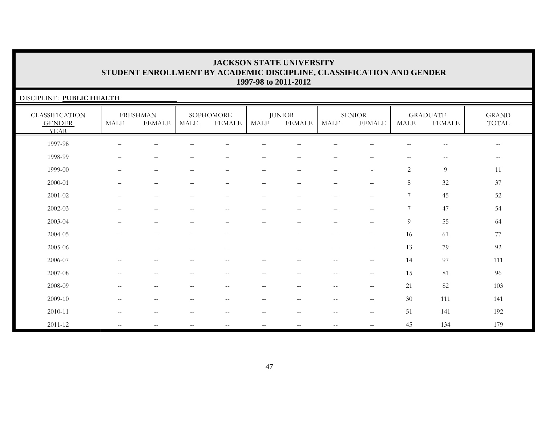| DISCIPLINE: PUBLIC HEALTH                             |                          |                                  |                          |                            |                          |                                |                                                       |                                |                          |                                  |                                        |
|-------------------------------------------------------|--------------------------|----------------------------------|--------------------------|----------------------------|--------------------------|--------------------------------|-------------------------------------------------------|--------------------------------|--------------------------|----------------------------------|----------------------------------------|
| <b>CLASSIFICATION</b><br><b>GENDER</b><br><b>YEAR</b> | $\operatorname{MALE}$    | <b>FRESHMAN</b><br><b>FEMALE</b> | MALE                     | SOPHOMORE<br><b>FEMALE</b> | <b>MALE</b>              | <b>JUNIOR</b><br><b>FEMALE</b> | <b>MALE</b>                                           | <b>SENIOR</b><br><b>FEMALE</b> | <b>MALE</b>              | <b>GRADUATE</b><br><b>FEMALE</b> | <b>GRAND</b><br>$\operatorname{TOTAL}$ |
| 1997-98                                               | $\overline{\phantom{0}}$ |                                  |                          |                            |                          |                                |                                                       |                                | $\overline{\phantom{m}}$ | $\overline{\phantom{m}}$         | $\overline{\phantom{m}}$               |
| 1998-99                                               |                          | -                                | —                        | $\overline{\phantom{0}}$   | $\overline{\phantom{0}}$ | $\qquad \qquad$                | -                                                     | -                              | $- -$                    | $\overline{\phantom{m}}$         | $--$                                   |
| 1999-00                                               |                          | $\overline{\phantom{0}}$         | —                        |                            | $\overline{\phantom{0}}$ |                                | $\overline{\phantom{0}}$                              | $\overline{\phantom{a}}$       | $\overline{c}$           | 9                                | 11                                     |
| 2000-01                                               |                          | $\qquad \qquad -$                | $\overline{\phantom{0}}$ | $\qquad \qquad -$          | $\qquad \qquad -$        | $\qquad \qquad$                | $\overline{\phantom{0}}$                              | $\qquad \qquad -$              | $5\phantom{.0}$          | 32                               | 37                                     |
| 2001-02                                               |                          | $\overline{\phantom{0}}$         | —                        | $\overline{\phantom{0}}$   | $\overline{\phantom{0}}$ | $\overline{\phantom{0}}$       | $\overline{\phantom{0}}$                              | $\qquad \qquad -$              | $7\phantom{.0}$          | 45                               | 52                                     |
| 2002-03                                               |                          |                                  | $\qquad \qquad -$        | $-$                        |                          |                                |                                                       | —                              | $7\phantom{.0}$          | 47                               | 54                                     |
| 2003-04                                               |                          | $\overline{\phantom{0}}$         | $\overline{\phantom{0}}$ | $\qquad \qquad -$          | –                        | $\qquad \qquad -$              | $\overline{\phantom{m}}$                              | $-$                            | $\overline{9}$           | 55                               | 64                                     |
| 2004-05                                               |                          |                                  |                          |                            |                          |                                |                                                       |                                | 16                       | 61                               | 77                                     |
| $2005 - 06$                                           |                          |                                  |                          |                            |                          |                                |                                                       |                                | 13                       | 79                               | 92                                     |
| 2006-07                                               | $-$                      | $\overline{\phantom{m}}$         | --                       | $-$                        | $\overline{\phantom{m}}$ | --                             | $\sim$ -                                              | $--$                           | 14                       | 97                               | 111                                    |
| 2007-08                                               | $-$                      | $\overline{\phantom{m}}$         | --                       | $-$                        | $\overline{\phantom{m}}$ | $- -$                          | $\hspace{0.05cm} - \hspace{0.05cm} - \hspace{0.05cm}$ | $--$                           | 15                       | 81                               | 96                                     |
| 2008-09                                               | $\sim$ $-$               | $\overline{\phantom{a}}$         | $\qquad \qquad -$        | $\overline{\phantom{m}}$   | $\overline{\phantom{m}}$ | $--$                           | $\overline{\phantom{m}}$                              | $--$                           | 21                       | 82                               | 103                                    |
| 2009-10                                               | $\sim$ $-$               | $\qquad \qquad -$                | $\qquad \qquad -$        | $\qquad \qquad -$          | $\overline{\phantom{m}}$ | $\overline{\phantom{m}}$       | $-\,-$                                                | $\overline{\phantom{m}}$       | 30                       | 111                              | 141                                    |
| 2010-11                                               | $-$                      | $\overline{\phantom{m}}$         | --                       | $-$                        | $- -$                    |                                | $\mathrel{{-}{-}}$                                    | $\overline{\phantom{m}}$       | 51                       | 141                              | 192                                    |
| 2011-12                                               | $\mathbf{u}$             | $--$                             | $\qquad \qquad -$        | $\mathbf{u}$               | $\sim$ $-$               | $\sim$ $\sim$                  | $\overline{\phantom{m}}$                              | —                              | 45                       | 134                              | 179                                    |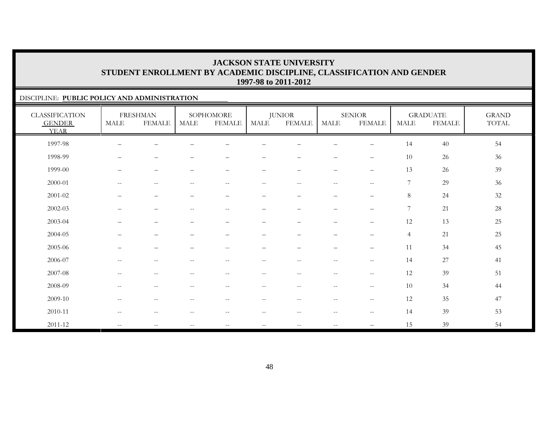### DISCIPLINE: **PUBLIC POLICY AND ADMINISTRATION**

| <b>CLASSIFICATION</b><br><b>GENDER</b><br><b>YEAR</b> | MALE                                                  | <b>FRESHMAN</b><br><b>FEMALE</b>                      | <b>MALE</b>                                         | SOPHOMORE<br><b>FEMALE</b>                            | MALE                                                | <b>JUNIOR</b><br><b>FEMALE</b> | <b>MALE</b>              | <b>SENIOR</b><br><b>FEMALE</b>                      | <b>MALE</b>    | <b>GRADUATE</b><br><b>FEMALE</b> | <b>GRAND</b><br>TOTAL |
|-------------------------------------------------------|-------------------------------------------------------|-------------------------------------------------------|-----------------------------------------------------|-------------------------------------------------------|-----------------------------------------------------|--------------------------------|--------------------------|-----------------------------------------------------|----------------|----------------------------------|-----------------------|
| 1997-98                                               | $\qquad \qquad$                                       |                                                       |                                                     |                                                       |                                                     |                                |                          | $\overline{\phantom{0}}$                            | 14             | 40                               | 54                    |
| 1998-99                                               |                                                       | -                                                     |                                                     |                                                       |                                                     |                                |                          | $\qquad \qquad -$                                   | 10             | 26                               | 36                    |
| 1999-00                                               | $\qquad \qquad -$                                     | $\overline{\phantom{m}}$                              | $\qquad \qquad -$                                   | $\overline{\phantom{m}}$                              | -                                                   | $\qquad \qquad -$              | $\qquad \qquad -$        | $\qquad \qquad -$                                   | 13             | 26                               | 39                    |
| 2000-01                                               | $\mathcal{L}=\mathcal{L}$                             | $\hspace{0.1mm}-\hspace{0.1mm}-\hspace{0.1mm}$        | $\hspace{0.05cm} -\hspace{0.05cm} -\hspace{0.05cm}$ | $\hspace{0.05cm} -\hspace{0.05cm} -\hspace{0.05cm}$   | $\mathbf{u}$                                        | $\overline{\phantom{m}}$       | $\overline{\phantom{a}}$ | $\sim$ $\sim$                                       | 7              | 29                               | 36                    |
| 2001-02                                               | $\qquad \qquad -$                                     | $\qquad \qquad -$                                     | $\qquad \qquad -$                                   | $\qquad \qquad -$                                     | $\overline{\phantom{0}}$                            | $\qquad \qquad -$              | $\qquad \qquad -$        | $\qquad \qquad -$                                   | 8              | 24                               | $32\,$                |
| $2002 - 03$                                           |                                                       | $\overline{\phantom{0}}$                              | $\overline{\phantom{m}}$                            | $--$                                                  | $\overline{\phantom{0}}$                            | $\overline{\phantom{0}}$       | -                        | $\overline{\phantom{0}}$                            | 7              | 21                               | $28\,$                |
| 2003-04                                               |                                                       | $\qquad \qquad -$                                     | $\overbrace{\phantom{1232211}}$                     | $\overline{\phantom{m}}$                              | $\overline{\phantom{0}}$                            |                                | —                        | $\overline{\phantom{0}}$                            | 12             | 13                               | $25\,$                |
| 2004-05                                               | $\qquad \qquad -$                                     | $\qquad \qquad -$                                     | $\overline{\phantom{0}}$                            | $\qquad \qquad -$                                     | $\overline{\phantom{0}}$                            | $\overline{\phantom{0}}$       | $\qquad \qquad -$        | $\qquad \qquad -$                                   | $\overline{4}$ | 21                               | $25\,$                |
| 2005-06                                               | $\qquad \qquad$                                       | $\overline{\phantom{0}}$                              |                                                     | $\hspace{0.1mm}-\hspace{0.1mm}-\hspace{0.1mm}$        | $\overline{\phantom{0}}$                            | $\overline{\phantom{0}}$       | $\overline{\phantom{0}}$ | $\overline{\phantom{m}}$                            | 11             | 34                               | 45                    |
| 2006-07                                               | $\sim$ $-$                                            | $\qquad \qquad -$                                     |                                                     | $\hspace{0.05cm} - \hspace{0.05cm} - \hspace{0.05cm}$ | $- -$                                               | $-$                            | $\overline{\phantom{m}}$ | $\hspace{0.05cm} -\hspace{0.05cm} -\hspace{0.05cm}$ | 14             | 27                               | 41                    |
| 2007-08                                               | $\hspace{0.05cm} -\hspace{0.05cm} -\hspace{0.05cm}$   | $--$                                                  | $\hspace{0.05cm} -\hspace{0.05cm} -\hspace{0.05cm}$ | $\hspace{0.05cm} -\hspace{0.05cm} -\hspace{0.05cm}$   | $\hspace{0.05cm} -\hspace{0.05cm} -\hspace{0.05cm}$ | $- -$                          | $\overline{\phantom{a}}$ | $\hspace{0.05cm} -\hspace{0.05cm} -\hspace{0.05cm}$ | 12             | 39                               | 51                    |
| 2008-09                                               | $\hspace{0.05cm} -\hspace{0.05cm} -\hspace{0.05cm}$   | $- -$                                                 | $\overline{\phantom{m}}$                            | $\hspace{0.1mm}-\hspace{0.1mm}-\hspace{0.1mm}$        | $\overline{\phantom{m}}$                            | $- -$                          | $\qquad \qquad -$        | $\hspace{0.05cm} -\hspace{0.05cm} -\hspace{0.05cm}$ | 10             | 34                               | 44                    |
| 2009-10                                               | $\hspace{0.05cm} - \hspace{0.05cm} - \hspace{0.05cm}$ | $\hspace{0.05cm} - \hspace{0.05cm} - \hspace{0.05cm}$ | $-$                                                 | $\hspace{0.1mm}-\hspace{0.1mm}-\hspace{0.1mm}$        | $\qquad \qquad -$                                   | $-$                            | $\overline{\phantom{m}}$ | $-\,-$                                              | 12             | 35                               | 47                    |
| 2010-11                                               | $-$                                                   | $- -$                                                 | --                                                  | $-$                                                   | --                                                  | $-$                            | $-$                      | $\hspace{0.05cm} -\hspace{0.05cm} -\hspace{0.05cm}$ | 14             | 39                               | 53                    |
| 2011-12                                               | $\mathcal{L}=\mathcal{L}$                             | $\mathbf{u}$                                          | $\hspace{0.05cm} -\hspace{0.05cm} -\hspace{0.05cm}$ | $--$                                                  | $- -$                                               | $\overline{\phantom{m}}$       | $\overline{\phantom{m}}$ | $\overline{\phantom{0}}$                            | 15             | 39                               | 54                    |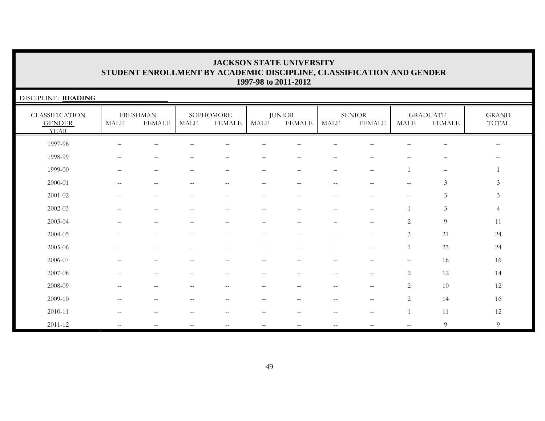| DISCIPLINE: READING                                   |                       |                                  |                          |                            |        |                                |             |                                |                          |                                  |                          |
|-------------------------------------------------------|-----------------------|----------------------------------|--------------------------|----------------------------|--------|--------------------------------|-------------|--------------------------------|--------------------------|----------------------------------|--------------------------|
| <b>CLASSIFICATION</b><br><b>GENDER</b><br><b>YEAR</b> | $\operatorname{MALE}$ | <b>FRESHMAN</b><br><b>FEMALE</b> | MALE                     | SOPHOMORE<br><b>FEMALE</b> | MALE   | <b>JUNIOR</b><br><b>FEMALE</b> | <b>MALE</b> | <b>SENIOR</b><br><b>FEMALE</b> | $\operatorname{MALE}$    | <b>GRADUATE</b><br><b>FEMALE</b> | <b>GRAND</b><br>TOTAL    |
| 1997-98                                               |                       |                                  |                          |                            |        |                                |             |                                |                          | $\overline{\phantom{m}}$         | $\overline{\phantom{m}}$ |
| 1998-99                                               |                       |                                  |                          |                            |        |                                |             |                                |                          |                                  |                          |
| 1999-00                                               |                       |                                  |                          |                            |        |                                |             | $\overline{\phantom{0}}$       |                          | $\overline{\phantom{m}}$         |                          |
| 2000-01                                               | $-$                   | --                               | --                       | $-$                        | $-$    | $- -$                          | $-$         | $-$                            | $\overline{\phantom{m}}$ | $\mathfrak{Z}$                   | 3                        |
| 2001-02                                               |                       |                                  |                          |                            |        |                                |             |                                | $\qquad \qquad -$        | $\mathfrak{Z}$                   | $\mathfrak{Z}$           |
| $2002 - 03$                                           |                       |                                  | $\qquad \qquad -$        | $\overline{\phantom{m}}$   |        |                                |             |                                | $\mathbf{1}$             | $\mathfrak{Z}$                   | $\overline{4}$           |
| 2003-04                                               |                       |                                  |                          |                            |        |                                |             |                                | 2                        | $\overline{9}$                   | 11                       |
| 2004-05                                               |                       |                                  |                          |                            |        |                                |             |                                | 3                        | 21                               | 24                       |
| 2005-06                                               |                       |                                  |                          |                            |        |                                |             |                                |                          | 23                               | 24                       |
| 2006-07                                               |                       |                                  |                          |                            |        |                                |             |                                |                          | 16                               | 16                       |
| 2007-08                                               | $-$                   | $-$                              | $- -$                    | $-$                        | --     | $- -$                          | $-$         | $\qquad \qquad -$              | 2                        | 12                               | 14                       |
| 2008-09                                               | $-$                   | $-$                              | $- -$                    | $-$                        | $- -$  | $-$                            | $\sim$ $-$  | $\mathbf{u}$                   | 2                        | 10                               | $12\,$                   |
| 2009-10                                               | --                    | $- -$                            | --                       | $\qquad \qquad -$          | $-\,-$ | $\overline{\phantom{m}}$       | $-\, -$     | $--$                           | $\overline{c}$           | 14                               | 16                       |
| 2010-11                                               |                       | --                               |                          |                            | --     |                                | --          | $\qquad \qquad -$              |                          | 11                               | 12                       |
| 2011-12                                               | $\mathbf{u}$          | $-$                              | $\overline{\phantom{m}}$ | $\overline{\phantom{m}}$   | $- -$  | $\sim$ $\sim$                  | $\sim$ $-$  |                                | $\mathbf{u}$             | $\overline{9}$                   | 9                        |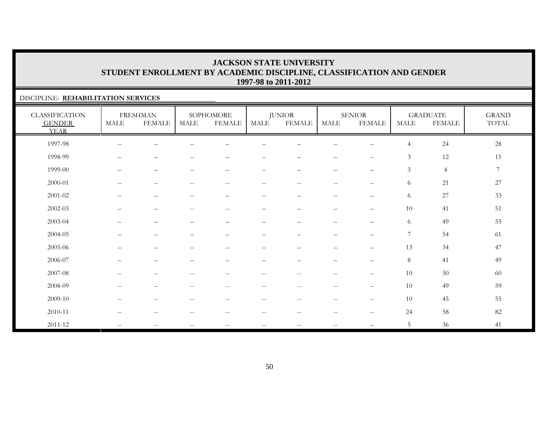### DISCIPLINE: **REHABILITATION SERVICES**

| <b>CLASSIFICATION</b><br><b>GENDER</b><br><b>YEAR</b> | <b>MALE</b>              | <b>FRESHMAN</b><br><b>FEMALE</b> | MALE                                                  | SOPHOMORE<br><b>FEMALE</b> | MALE                     | <b>JUNIOR</b><br><b>FEMALE</b> | <b>MALE</b>              | <b>SENIOR</b><br><b>FEMALE</b>        | MALE           | <b>GRADUATE</b><br><b>FEMALE</b> | <b>GRAND</b><br>TOTAL |
|-------------------------------------------------------|--------------------------|----------------------------------|-------------------------------------------------------|----------------------------|--------------------------|--------------------------------|--------------------------|---------------------------------------|----------------|----------------------------------|-----------------------|
| 1997-98                                               | $\overline{\phantom{m}}$ |                                  |                                                       |                            |                          |                                |                          |                                       | $\overline{4}$ | 24                               | $28\,$                |
| 1998-99                                               |                          |                                  |                                                       |                            |                          |                                |                          | $\overline{\phantom{m}}$              | $\mathfrak{Z}$ | 12                               | 15                    |
| 1999-00                                               | $\qquad \qquad -$        | $\qquad \qquad -$                | $\overline{\phantom{0}}$                              | $\overline{\phantom{0}}$   | $\overline{\phantom{0}}$ | $\qquad \qquad -$              | $\qquad \qquad -$        | $\overline{\phantom{m}}$              | 3              | $\overline{4}$                   | $\overline{7}$        |
| 2000-01                                               | $\overline{\phantom{m}}$ | $\overline{\phantom{m}}$         | $\hspace{0.1mm}-\hspace{0.1mm}-\hspace{0.1mm}$        | $\qquad \qquad -$          | $\overline{\phantom{m}}$ | $\overline{\phantom{m}}$       | $--$                     | $-\,-$                                | 6              | 21                               | $27\,$                |
| $2001 - 02$                                           | $\overline{\phantom{0}}$ | $\overbrace{\phantom{1232211}}$  |                                                       | $\overline{\phantom{0}}$   | $\qquad \qquad$          |                                | $\qquad \qquad -$        | $\qquad \qquad -$                     | 6              | 27                               | 33                    |
| $2002 - 03$                                           |                          | $\overline{\phantom{0}}$         | $\hspace{0.05cm} - \hspace{0.05cm} - \hspace{0.05cm}$ | $\overline{\phantom{m}}$   | $\overline{\phantom{0}}$ | $\overline{\phantom{0}}$       | $\qquad \qquad -$        | $\overline{\phantom{0}}$              | 10             | 41                               | 51                    |
| 2003-04                                               | -                        | $\qquad \qquad -$                |                                                       | $\overline{\phantom{0}}$   | $\qquad \qquad -$        | $\overline{\phantom{0}}$       | $\qquad \qquad -$        | $\qquad \qquad -$                     | 6              | 49                               | 55                    |
| 2004-05                                               |                          | $\overline{\phantom{0}}$         |                                                       | $\overline{\phantom{0}}$   | $\qquad \qquad -$        | $\overline{\phantom{0}}$       | $\qquad \qquad -$        | $\qquad \qquad -$                     | $\overline{7}$ | 54                               | 61                    |
| 2005-06                                               |                          | $\overline{\phantom{0}}$         |                                                       |                            |                          |                                | $\qquad \qquad -$        | $\qquad \qquad -$                     | 13             | 34                               | 47                    |
| 2006-07                                               |                          |                                  |                                                       |                            |                          |                                |                          | $\qquad \qquad -$                     | $8\,$          | 41                               | 49                    |
| 2007-08                                               | $\overline{\phantom{m}}$ | $\overline{\phantom{m}}$         | $ -$                                                  | $-$                        | $- -$                    | $- -$                          | $\overline{\phantom{a}}$ | $-\,-$                                | 10             | 50                               | 60                    |
| 2008-09                                               | $\overline{\phantom{a}}$ | $\overline{\phantom{m}}$         | $\hspace{0.05cm} - \hspace{0.05cm} - \hspace{0.05cm}$ | $\qquad \qquad -$          | $\overline{\phantom{m}}$ | $--$                           | $--$                     | $-\,-$                                | 10             | 49                               | 59                    |
| 2009-10                                               | $\overline{\phantom{m}}$ | $-\,-$                           | $\hspace{0.05cm} - \hspace{0.05cm} - \hspace{0.05cm}$ | $\overline{\phantom{m}}$   | $-\,-$                   | $\overline{\phantom{m}}$       | $\overline{\phantom{m}}$ | $\hspace{0.05cm}$ – $\hspace{0.05cm}$ | 10             | 45                               | 55                    |
| 2010-11                                               | $-$                      | --                               |                                                       | --                         | --                       | --                             | $\qquad \qquad -$        | $\hspace{0.05cm} -$                   | 24             | 58                               | $82\,$                |
| $2011 - 12$                                           | $\overline{\phantom{m}}$ | $\overline{\phantom{m}}$         | $\overline{\phantom{m}}$                              | $\overline{\phantom{a}}$   | $- -$                    | $\sim$ $\sim$                  | $\overline{\phantom{a}}$ |                                       | 5              | 36                               | 41                    |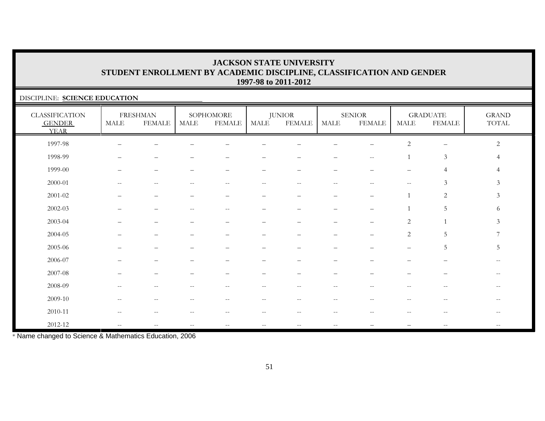### DISCIPLINE: **SCIENCE EDUCATION**

| <b>CLASSIFICATION</b><br><b>GENDER</b><br><b>YEAR</b> | MALE                     | <b>FRESHMAN</b><br><b>FEMALE</b>                      | MALE                                                  | SOPHOMORE<br><b>FEMALE</b> | MALE                     | <b>JUNIOR</b><br><b>FEMALE</b>                      | MALE                                                  | <b>SENIOR</b><br><b>FEMALE</b>                      | MALE                     | <b>GRADUATE</b><br><b>FEMALE</b> | <b>GRAND</b><br>$\operatorname{TOTAL}$ |
|-------------------------------------------------------|--------------------------|-------------------------------------------------------|-------------------------------------------------------|----------------------------|--------------------------|-----------------------------------------------------|-------------------------------------------------------|-----------------------------------------------------|--------------------------|----------------------------------|----------------------------------------|
| 1997-98                                               |                          |                                                       |                                                       |                            |                          |                                                     |                                                       |                                                     | $\sqrt{2}$               |                                  | 2                                      |
| 1998-99                                               |                          |                                                       |                                                       |                            |                          |                                                     |                                                       | $-$                                                 |                          | $\mathfrak{Z}$                   |                                        |
| 1999-00                                               |                          |                                                       |                                                       |                            |                          |                                                     |                                                       |                                                     |                          | 4                                |                                        |
| 2000-01                                               | $\frac{1}{2}$            | $\mathrel{{-}{-}}$                                    | $-$                                                   | $-$                        | $\overline{\phantom{m}}$ | $\hspace{0.05cm} -\hspace{0.05cm} -\hspace{0.05cm}$ | $\hspace{0.05cm} - \hspace{0.05cm} - \hspace{0.05cm}$ | $\hspace{0.05cm} -\hspace{0.05cm} -\hspace{0.05cm}$ | $\mathbf{u}$             | 3                                | 3                                      |
| 2001-02                                               |                          | $\overline{\phantom{m}}$                              |                                                       | -                          | -                        | $\qquad \qquad -$                                   | -                                                     | $\overbrace{\phantom{1232211}}$                     |                          | 2                                | 3                                      |
| $2002 - 03$                                           |                          |                                                       |                                                       | $-$                        |                          |                                                     |                                                       |                                                     |                          | 5                                | 6                                      |
| 2003-04                                               |                          |                                                       |                                                       |                            |                          |                                                     |                                                       |                                                     | $\overline{c}$           |                                  | $\mathfrak{Z}$                         |
| 2004-05                                               |                          |                                                       |                                                       |                            | $\overline{\phantom{0}}$ |                                                     |                                                       |                                                     | $\overline{c}$           | 5                                | 7                                      |
| 2005-06                                               |                          |                                                       |                                                       |                            | $\overline{\phantom{0}}$ |                                                     | -                                                     |                                                     | $\overline{\phantom{0}}$ | 5                                | 5                                      |
| 2006-07                                               |                          |                                                       |                                                       |                            |                          |                                                     |                                                       |                                                     |                          |                                  |                                        |
| 2007-08                                               |                          |                                                       |                                                       |                            |                          |                                                     |                                                       |                                                     |                          |                                  |                                        |
| 2008-09                                               | $-$                      | --                                                    |                                                       | --                         |                          | $- -$                                               | $- -$                                                 |                                                     |                          | $\sim$ $\sim$                    |                                        |
| 2009-10                                               | $\qquad \qquad -$        | $\hspace{0.05cm} - \hspace{0.05cm} - \hspace{0.05cm}$ |                                                       | $ -$                       |                          | $- -$                                               | $- -$                                                 |                                                     | --                       | $\overline{\phantom{m}}$         |                                        |
| 2010-11                                               | $\overline{\phantom{m}}$ | $-\,-$                                                | $\hspace{0.05cm} - \hspace{0.05cm} - \hspace{0.05cm}$ | $-\,-$                     | $-\,-$                   | $-\,-$                                              | $-\,-$                                                | $-$                                                 | $-\,-$                   | $-\,-$                           | $\overline{\phantom{m}}$               |
| 2012-12                                               | $\overline{\phantom{a}}$ | н.                                                    |                                                       |                            |                          |                                                     | $\qquad \qquad -$                                     |                                                     |                          |                                  |                                        |

\* Name changed to Science & Mathematics Education, 2006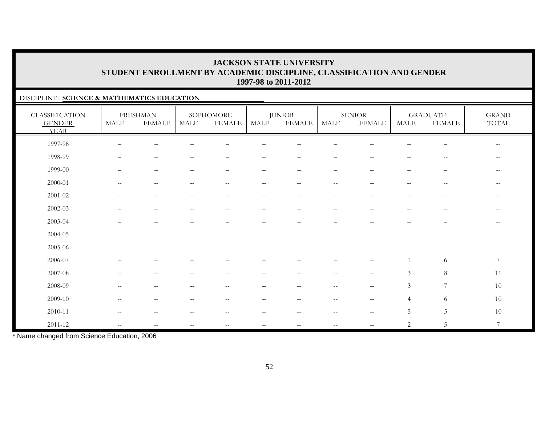### DISCIPLINE: **SCIENCE & MATHEMATICS EDUCATION**

| <b>CLASSIFICATION</b><br><b>GENDER</b><br><b>YEAR</b> | MALE                                                | <b>FRESHMAN</b><br><b>FEMALE</b> | MALE                                                  | SOPHOMORE<br><b>FEMALE</b>                            | MALE                     | <b>JUNIOR</b><br><b>FEMALE</b> | MALE                     | <b>SENIOR</b><br><b>FEMALE</b>                      | MALE                     | <b>GRADUATE</b><br><b>FEMALE</b>                    | <b>GRAND</b><br>TOTAL                               |
|-------------------------------------------------------|-----------------------------------------------------|----------------------------------|-------------------------------------------------------|-------------------------------------------------------|--------------------------|--------------------------------|--------------------------|-----------------------------------------------------|--------------------------|-----------------------------------------------------|-----------------------------------------------------|
| 1997-98                                               |                                                     |                                  |                                                       |                                                       |                          |                                |                          |                                                     |                          |                                                     | $\sim$ $\sim$                                       |
| 1998-99                                               | $\overline{\phantom{0}}$                            | -                                |                                                       |                                                       |                          |                                |                          | $\qquad \qquad -$                                   |                          | $\overline{\phantom{m}}$                            | $\overline{\phantom{m}}$                            |
| 1999-00                                               | $\overline{\phantom{0}}$                            | $\overline{\phantom{m}}$         |                                                       |                                                       | -                        | -                              | $\overline{\phantom{0}}$ | -                                                   | $\overline{\phantom{0}}$ | $\overline{\phantom{m}}$                            |                                                     |
| 2000-01                                               | $\hspace{0.05cm} -\hspace{0.05cm} -\hspace{0.05cm}$ | $\overline{\phantom{m}}$         | $-$                                                   | $-$                                                   | $ -$                     | $\overline{\phantom{m}}$       | $-$                      | $\hspace{0.05cm} -\hspace{0.05cm} -\hspace{0.05cm}$ | $\qquad \qquad -$        | $\hspace{0.05cm} -\hspace{0.05cm} -\hspace{0.05cm}$ |                                                     |
| $2001 - 02$                                           |                                                     | -                                |                                                       |                                                       | -                        | $\overline{\phantom{0}}$       |                          | -                                                   |                          | $\overline{\phantom{m}}$                            | $\qquad \qquad -$                                   |
| $2002 - 03$                                           |                                                     |                                  |                                                       | --                                                    |                          |                                |                          |                                                     |                          |                                                     |                                                     |
| 2003-04                                               |                                                     | $\qquad \qquad -$                |                                                       |                                                       | $\overline{\phantom{0}}$ |                                | $\overline{\phantom{0}}$ | -                                                   |                          | $\overline{\phantom{m}}$                            | $\hspace{0.05cm} -\hspace{0.05cm} -\hspace{0.05cm}$ |
| 2004-05                                               |                                                     |                                  |                                                       |                                                       |                          |                                |                          |                                                     |                          |                                                     |                                                     |
| 2005-06                                               |                                                     | -                                |                                                       |                                                       |                          |                                |                          |                                                     |                          |                                                     | $\overline{\phantom{m}}$                            |
| 2006-07                                               |                                                     |                                  |                                                       |                                                       |                          |                                |                          |                                                     |                          | 6                                                   | 7                                                   |
| 2007-08                                               | --                                                  | --                               |                                                       |                                                       |                          |                                | $- -$                    | $\hspace{0.05cm} -\hspace{0.05cm} -\hspace{0.05cm}$ | $\mathfrak{Z}$           | $\,8\,$                                             | 11                                                  |
| 2008-09                                               | $\overline{\phantom{m}}$                            | $- -$                            | $\hspace{0.05cm} -$                                   | $\hspace{0.05cm} - \hspace{0.05cm} - \hspace{0.05cm}$ | $-\,-$                   | $\overline{\phantom{m}}$       | $\overline{\phantom{m}}$ | $\mathord{\hspace{1pt}\text{--}\hspace{1pt}}$       | $\mathfrak{Z}$           | $\overline{7}$                                      | $10\,$                                              |
| 2009-10                                               | $\qquad \qquad -$                                   | $\overline{\phantom{m}}$         | $-$                                                   | $-$                                                   | $\qquad \qquad -$        | --                             | $-$                      | $\hspace{0.05cm} -\hspace{0.05cm} -\hspace{0.05cm}$ | $\overline{4}$           | 6                                                   | $10\,$                                              |
| 2010-11                                               | $\hspace{0.05cm} -\hspace{0.05cm} -\hspace{0.05cm}$ | $\qquad \qquad -$                |                                                       | $-$                                                   | $ -$                     | --                             | $-$                      | $\hspace{0.05cm} -\hspace{0.05cm} -\hspace{0.05cm}$ | 5                        | 5                                                   | $10\,$                                              |
| $2011 - 12$                                           | $\overline{\phantom{m}}$                            | $\qquad \qquad -$                | $\hspace{0.05cm} - \hspace{0.05cm} - \hspace{0.05cm}$ | $\qquad \qquad -$                                     | $-\,-$                   | $\overline{\phantom{m}}$       | $\qquad \qquad -$        |                                                     | 2                        | 5                                                   | 7                                                   |

\* Name changed from Science Education, 2006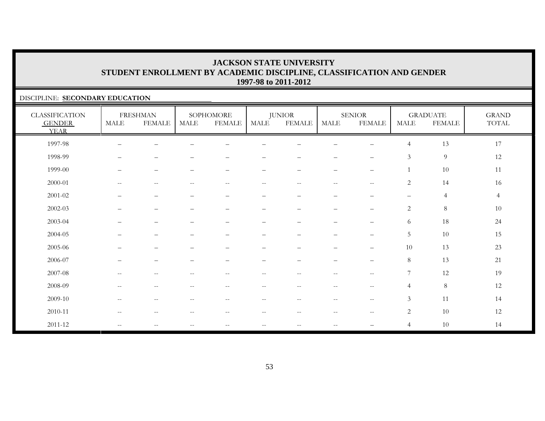### DISCIPLINE: **SECONDARY EDUCATION**

| <b>CLASSIFICATION</b><br><b>GENDER</b><br><b>YEAR</b> | <b>MALE</b>              | <b>FRESHMAN</b><br><b>FEMALE</b> | <b>MALE</b>                                           | SOPHOMORE<br><b>FEMALE</b>                          | <b>MALE</b>              | <b>JUNIOR</b><br><b>FEMALE</b>                | <b>MALE</b>              | <b>SENIOR</b><br><b>FEMALE</b>                      | <b>MALE</b>              | <b>GRADUATE</b><br><b>FEMALE</b> | <b>GRAND</b><br>TOTAL |
|-------------------------------------------------------|--------------------------|----------------------------------|-------------------------------------------------------|-----------------------------------------------------|--------------------------|-----------------------------------------------|--------------------------|-----------------------------------------------------|--------------------------|----------------------------------|-----------------------|
| 1997-98                                               |                          |                                  |                                                       |                                                     |                          |                                               |                          |                                                     | $\overline{4}$           | 13                               | 17                    |
| 1998-99                                               | ▃                        | $\qquad \qquad -$                |                                                       |                                                     |                          |                                               | $\overline{\phantom{0}}$ | $\qquad \qquad -$                                   | $\mathfrak{Z}$           | $\overline{9}$                   | 12                    |
| 1999-00                                               | $\qquad \qquad -$        | $\overline{\phantom{m}}$         | $\overline{\phantom{a}}$                              | $\qquad \qquad -$                                   | $\qquad \qquad -$        | $\overline{\phantom{m}}$                      | $\overline{\phantom{m}}$ | $\overline{\phantom{m}}$                            | $\mathbf{1}$             | 10                               | 11                    |
| 2000-01                                               | $\qquad \qquad -$        | $\overline{\phantom{m}}$         | $\sim$ $-$                                            | $\hspace{0.05cm} -\hspace{0.05cm} -\hspace{0.05cm}$ | $- -$                    | $\mathord{\hspace{1pt}\text{--}\hspace{1pt}}$ | $--$                     | $\hspace{0.05cm} -$                                 | 2                        | 14                               | 16                    |
| 2001-02                                               | $\overline{\phantom{0}}$ | $\qquad \qquad -$                | $\overline{\phantom{0}}$                              | $\qquad \qquad -$                                   | -                        | $\qquad \qquad -$                             | $\qquad \qquad -$        | $\overline{\phantom{m}}$                            | $\overline{\phantom{m}}$ | $\overline{4}$                   | $\overline{4}$        |
| $2002 - 03$                                           | —                        | $\qquad \qquad -$                |                                                       | $\qquad \qquad -$                                   | $\overline{\phantom{0}}$ | $\qquad \qquad -$                             | $\qquad \qquad -$        | $\overline{\phantom{0}}$                            | 2                        | $\,8\,$                          | 10                    |
| 2003-04                                               |                          | $\qquad \qquad -$                |                                                       |                                                     | $\equiv$                 |                                               | $\equiv$                 | $\overline{\phantom{0}}$                            | 6                        | 18                               | 24                    |
| 2004-05                                               | —                        | $\overline{\phantom{m}}$         | $\overline{\phantom{m}}$                              | $\overline{\phantom{m}}$                            | $\qquad \qquad -$        | $\qquad \qquad -$                             | $\qquad \qquad -$        | $\overline{\phantom{m}}$                            | 5                        | 10                               | 15                    |
| 2005-06                                               |                          | $\qquad \qquad -$                |                                                       | -                                                   | $\overline{\phantom{0}}$ |                                               | $\equiv$                 | $\qquad \qquad -$                                   | 10                       | 13                               | 23                    |
| 2006-07                                               | $-$                      |                                  |                                                       |                                                     | $\overline{\phantom{0}}$ | $\overline{\phantom{0}}$                      | $\qquad \qquad -$        | $\overline{\phantom{0}}$                            | $8\,$                    | 13                               | 21                    |
| 2007-08                                               | $\overline{\phantom{m}}$ | $\overline{\phantom{m}}$         | $\sim$ $-$                                            | $\hspace{0.05cm} -\hspace{0.05cm} -\hspace{0.05cm}$ | $-$                      | $\mathord{\hspace{1pt}\text{--}\hspace{1pt}}$ | $\overline{\phantom{m}}$ | $\hspace{0.05cm} -$                                 | $7\phantom{.0}$          | 12                               | 19                    |
| 2008-09                                               | $\qquad \qquad -$        | $-\,-$                           | $\hspace{0.05cm} - \hspace{0.05cm} - \hspace{0.05cm}$ | $-\,-$                                              | $-\,-$                   | $\hspace{0.05cm}$ – $\hspace{0.05cm}$         | $--$                     | $\hspace{0.05cm}$ – $\hspace{0.05cm}$               | $\overline{4}$           | $\,8\,$                          | 12                    |
| 2009-10                                               | $\overline{\phantom{m}}$ | $\overline{\phantom{m}}$         | $\hspace{0.05cm} -$                                   | $\overline{\phantom{m}}$                            | $- -$                    | $--$                                          | $--$                     | $\hspace{0.05cm} -\hspace{0.05cm} -\hspace{0.05cm}$ | $\mathfrak{Z}$           | 11                               | 14                    |
| 2010-11                                               | $\mathbf{u}$             | $\overline{\phantom{m}}$         | $\hspace{0.05cm} -\hspace{0.05cm} -\hspace{0.05cm}$   | $--$                                                | $- -$                    | $- -$                                         | $- -$                    | $-\,-$                                              | 2                        | 10                               | 12                    |
| 2011-12                                               | $\overline{\phantom{m}}$ | $-\,-$                           | $\hspace{0.05cm}$ – $\hspace{0.05cm}$                 | $\overline{\phantom{m}}$                            | $-\,-$                   | $\overline{\phantom{m}}$                      | $--$                     | $\overbrace{\phantom{123221111}}$                   | $\overline{4}$           | $10\,$                           | 14                    |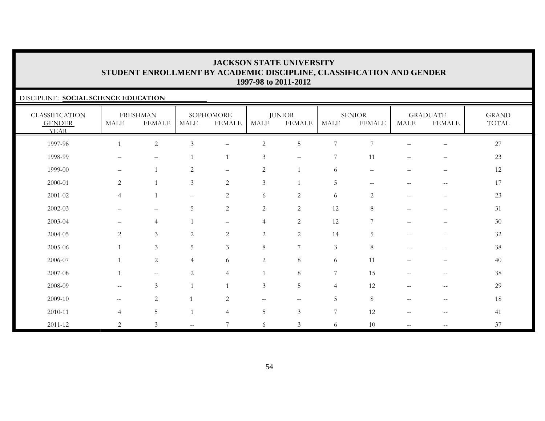### DISCIPLINE: **SOCIAL SCIENCE EDUCATION**

| <b>CLASSIFICATION</b><br><b>GENDER</b><br><b>YEAR</b> | MALE                     | <b>FRESHMAN</b><br><b>FEMALE</b>                    | MALE                                                | SOPHOMORE<br><b>FEMALE</b> | MALE                     | <b>JUNIOR</b><br><b>FEMALE</b> | <b>MALE</b>    | <b>SENIOR</b><br><b>FEMALE</b> | MALE                                                | <b>GRADUATE</b><br><b>FEMALE</b>      | <b>GRAND</b><br>$\operatorname{TOTAL}$ |
|-------------------------------------------------------|--------------------------|-----------------------------------------------------|-----------------------------------------------------|----------------------------|--------------------------|--------------------------------|----------------|--------------------------------|-----------------------------------------------------|---------------------------------------|----------------------------------------|
| 1997-98                                               |                          | $\sqrt{2}$                                          | 3                                                   | $\overline{\phantom{0}}$   | $\sqrt{2}$               | $\mathbf 5$                    | $\overline{7}$ | 7                              |                                                     |                                       | $27\,$                                 |
| 1998-99                                               |                          | $\overline{\phantom{0}}$                            |                                                     | $\mathbf{1}$               | $\mathfrak{Z}$           | $\qquad \qquad -$              | 7              | 11                             |                                                     |                                       | 23                                     |
| 1999-00                                               | $\overline{\phantom{m}}$ | $\mathbf{1}$                                        | 2                                                   | $\qquad \qquad -$          | $\sqrt{2}$               |                                | 6              | $\qquad \qquad -$              | $\overline{\phantom{0}}$                            | $\overline{\phantom{m}}$              | 12                                     |
| 2000-01                                               | 2                        | $\mathbf{1}$                                        | $\mathfrak{Z}$                                      | $\overline{2}$             | 3                        |                                | $\overline{5}$ | $\overline{\phantom{m}}$       | $-$                                                 | $ -$                                  | 17                                     |
| $2001 - 02$                                           | $\overline{4}$           | $\mathbf{1}$                                        | $\hspace{0.05cm} -\hspace{0.05cm} -\hspace{0.05cm}$ | $\mathbf{2}$               | 6                        | $\sqrt{2}$                     | 6              | $\overline{c}$                 | $\qquad \qquad -$                                   | $\qquad \qquad -$                     | 23                                     |
| 2002-03                                               |                          |                                                     | 5                                                   | 2                          | $\overline{2}$           | $\overline{2}$                 | 12             | 8                              |                                                     |                                       | 31                                     |
| 2003-04                                               | $\qquad \qquad$          | $\overline{4}$                                      |                                                     | $\qquad \qquad -$          | $\overline{4}$           | $\overline{c}$                 | 12             | $\overline{7}$                 | $\qquad \qquad -$                                   | $\overline{\phantom{m}}$              | 30                                     |
| 2004-05                                               | 2                        | 3                                                   | 2                                                   | 2                          | 2                        | $\overline{c}$                 | 14             | 5                              |                                                     | —                                     | 32                                     |
| 2005-06                                               | $\mathbf{1}$             | $\mathfrak{Z}$                                      | $\overline{5}$                                      | $\mathfrak{Z}$             | $\,8\,$                  | $\overline{7}$                 | $\mathfrak{Z}$ | $\,8\,$                        |                                                     |                                       | $38\,$                                 |
| 2006-07                                               |                          | $\sqrt{2}$                                          | $\overline{4}$                                      | 6                          | $\sqrt{2}$               | $8\,$                          | 6              | 11                             |                                                     |                                       | 40                                     |
| 2007-08                                               | $\mathbf{1}$             | $\hspace{0.05cm} -\hspace{0.05cm} -\hspace{0.05cm}$ | $\overline{2}$                                      | $\overline{4}$             | $\mathbf{1}$             | $\,8\,$                        | $\overline{7}$ | 15                             | $\hspace{0.05cm} -\hspace{0.05cm} -\hspace{0.05cm}$ | $\overline{\phantom{m}}$              | 38                                     |
| 2008-09                                               | $\overline{\phantom{a}}$ | $\mathfrak{Z}$                                      |                                                     | $\mathbf{1}$               | $\mathfrak{Z}$           | 5                              | $\overline{4}$ | 12                             | $\hspace{0.05cm} -\hspace{0.05cm} -\hspace{0.05cm}$ | $\overline{\phantom{m}}$              | 29                                     |
| 2009-10                                               | $--$                     | $\overline{2}$                                      |                                                     | 2                          | $\overline{\phantom{m}}$ | $--$                           | 5              | 8                              | $\overline{\phantom{m}}$                            | $\hspace{0.05cm}$ – $\hspace{0.05cm}$ | 18                                     |
| 2010-11                                               | $\overline{4}$           | $\mathbf 5$                                         |                                                     | $\overline{4}$             | 5                        | 3                              | 7              | 12                             | $\hspace{0.05cm} -\hspace{0.05cm} -\hspace{0.05cm}$ | $\overline{\phantom{m}}$              | 41                                     |
| 2011-12                                               | $\overline{2}$           | $\mathfrak{Z}$                                      | $\hspace{0.05cm} -\hspace{0.05cm} -\hspace{0.05cm}$ | $\overline{7}$             | 6                        | 3                              | 6              | 10                             | $\overline{\phantom{a}}$                            | $-\,-$                                | 37                                     |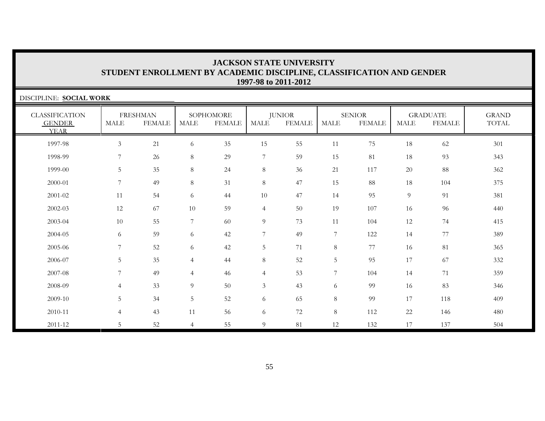| DISCIPLINE: SOCIAL WORK                               |                |                                  |                |                            |                |                                |                |                                |                       |                                  |                       |
|-------------------------------------------------------|----------------|----------------------------------|----------------|----------------------------|----------------|--------------------------------|----------------|--------------------------------|-----------------------|----------------------------------|-----------------------|
| <b>CLASSIFICATION</b><br><b>GENDER</b><br><b>YEAR</b> | <b>MALE</b>    | <b>FRESHMAN</b><br><b>FEMALE</b> | MALE           | SOPHOMORE<br><b>FEMALE</b> | MALE           | <b>JUNIOR</b><br><b>FEMALE</b> | <b>MALE</b>    | <b>SENIOR</b><br><b>FEMALE</b> | $\operatorname{MALE}$ | <b>GRADUATE</b><br><b>FEMALE</b> | <b>GRAND</b><br>TOTAL |
| 1997-98                                               | 3              | 21                               | 6              | 35                         | 15             | 55                             | 11             | 75                             | 18                    | 62                               | 301                   |
| 1998-99                                               | 7              | 26                               | 8              | 29                         | $\overline{7}$ | 59                             | 15             | 81                             | 18                    | 93                               | 343                   |
| 1999-00                                               | 5              | 35                               | 8              | 24                         | $8\,$          | 36                             | 21             | 117                            | 20                    | 88                               | 362                   |
| 2000-01                                               | 7              | 49                               | 8              | 31                         | $8\,$          | 47                             | 15             | 88                             | 18                    | 104                              | 375                   |
| 2001-02                                               | 11             | 54                               | 6              | 44                         | 10             | 47                             | 14             | 95                             | 9                     | 91                               | 381                   |
| 2002-03                                               | 12             | 67                               | 10             | 59                         | $\overline{4}$ | 50                             | 19             | 107                            | 16                    | 96                               | 440                   |
| 2003-04                                               | 10             | 55                               | $\overline{7}$ | 60                         | 9              | 73                             | 11             | 104                            | 12                    | 74                               | 415                   |
| 2004-05                                               | 6              | 59                               | 6              | 42                         | $\overline{7}$ | 49                             | $\overline{7}$ | 122                            | 14                    | 77                               | 389                   |
| 2005-06                                               | $\overline{7}$ | 52                               | 6              | 42                         | $\overline{5}$ | 71                             | $\,8\,$        | 77                             | 16                    | 81                               | 365                   |
| 2006-07                                               | 5              | 35                               | 4              | 44                         | $\,8\,$        | 52                             | $\mathbf 5$    | 95                             | 17                    | 67                               | 332                   |
| 2007-08                                               | 7              | 49                               | $\overline{4}$ | 46                         | $\overline{4}$ | 53                             | 7              | 104                            | 14                    | 71                               | 359                   |
| 2008-09                                               | $\overline{4}$ | 33                               | 9              | 50                         | $\mathfrak{Z}$ | 43                             | 6              | 99                             | 16                    | 83                               | 346                   |
| 2009-10                                               | 5              | 34                               | 5              | 52                         | 6              | 65                             | $\,8\,$        | 99                             | 17                    | 118                              | 409                   |
| 2010-11                                               | $\overline{4}$ | 43                               | 11             | 56                         | 6              | 72                             | $\,8\,$        | 112                            | 22                    | 146                              | 480                   |
| 2011-12                                               | 5              | 52                               | $\overline{4}$ | 55                         | $\overline{9}$ | 81                             | 12             | 132                            | 17                    | 137                              | 504                   |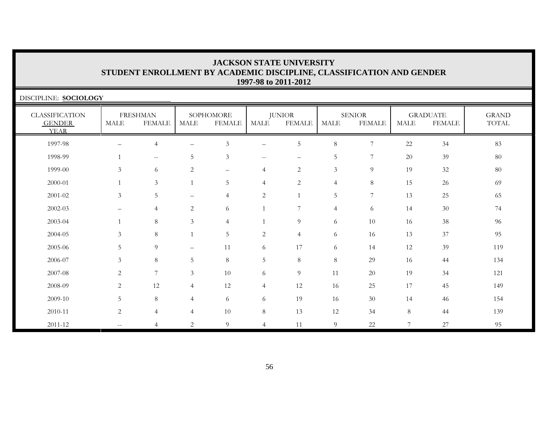| DISCIPLINE: SOCIOLOGY                                 |                          |                                  |                          |                            |                   |                                |                |                                |                |                                  |                       |
|-------------------------------------------------------|--------------------------|----------------------------------|--------------------------|----------------------------|-------------------|--------------------------------|----------------|--------------------------------|----------------|----------------------------------|-----------------------|
| <b>CLASSIFICATION</b><br><b>GENDER</b><br><b>YEAR</b> | MALE                     | <b>FRESHMAN</b><br><b>FEMALE</b> | <b>MALE</b>              | SOPHOMORE<br><b>FEMALE</b> | MALE              | <b>JUNIOR</b><br><b>FEMALE</b> | <b>MALE</b>    | <b>SENIOR</b><br><b>FEMALE</b> | MALE           | <b>GRADUATE</b><br><b>FEMALE</b> | <b>GRAND</b><br>TOTAL |
| 1997-98                                               | $\overline{\phantom{a}}$ | $\overline{4}$                   | $\overline{\phantom{0}}$ | 3                          | $\qquad \qquad -$ | 5                              | 8              | 7                              | 22             | 34                               | 83                    |
| 1998-99                                               |                          | $--$                             | 5                        | $\mathfrak{Z}$             | $--$              | $\overline{\phantom{m}}$       | 5              | 7                              | 20             | 39                               | 80                    |
| 1999-00                                               | 3                        | 6                                | 2                        |                            | $\overline{4}$    | 2                              | 3              | 9                              | 19             | 32                               | 80                    |
| 2000-01                                               | $\mathbf{1}$             | $\mathfrak{Z}$                   | $\mathbf{1}$             | 5                          | $\overline{4}$    | 2                              | $\overline{4}$ | 8                              | 15             | 26                               | 69                    |
| 2001-02                                               | 3                        | 5                                | $\overline{\phantom{0}}$ | $\overline{4}$             | $\sqrt{2}$        |                                | 5              | $\overline{7}$                 | 13             | 25                               | 65                    |
| $2002 - 03$                                           |                          | $\overline{4}$                   | 2                        | 6                          |                   | 7                              | $\overline{4}$ | 6                              | 14             | 30                               | 74                    |
| 2003-04                                               |                          | $8\,$                            | 3                        | $\overline{4}$             |                   | 9                              | 6              | 10                             | 16             | 38                               | 96                    |
| 2004-05                                               | $\mathfrak{Z}$           | 8                                |                          | 5                          | $\overline{c}$    | $\overline{4}$                 | 6              | 16                             | 13             | 37                               | 95                    |
| 2005-06                                               | 5                        | 9                                | $\overline{\phantom{0}}$ | 11                         | 6                 | 17                             | 6              | 14                             | 12             | 39                               | 119                   |
| 2006-07                                               | 3                        | $8\,$                            | 5                        | $\,8\,$                    | 5                 | $8\,$                          | $\,8\,$        | 29                             | 16             | 44                               | 134                   |
| 2007-08                                               | 2                        | 7                                | $\mathfrak{Z}$           | 10                         | 6                 | 9                              | 11             | $20\,$                         | 19             | 34                               | 121                   |
| 2008-09                                               | 2                        | 12                               | $\overline{4}$           | 12                         | $\overline{4}$    | 12                             | 16             | 25                             | 17             | 45                               | 149                   |
| 2009-10                                               | 5                        | $8\,$                            | $\overline{4}$           | 6                          | 6                 | 19                             | 16             | $30\,$                         | 14             | 46                               | 154                   |
| 2010-11                                               | 2                        | $\overline{4}$                   | $\overline{4}$           | 10                         | $8\,$             | 13                             | 12             | 34                             | 8              | 44                               | 139                   |
| $2011 - 12$                                           |                          | $\overline{4}$                   | $\overline{2}$           | 9                          | $\overline{4}$    | 11                             | 9              | 22                             | $\overline{7}$ | 27                               | 95                    |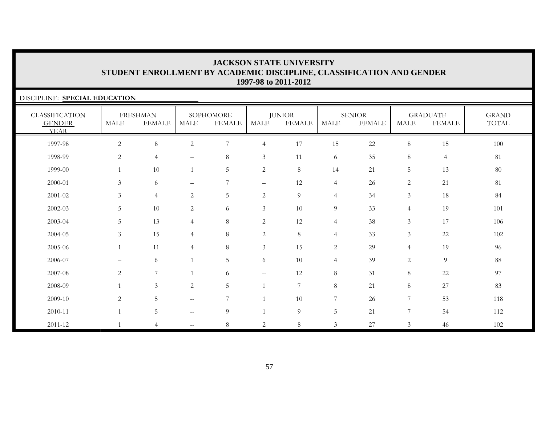| DISCIPLINE: SPECIAL EDUCATION                         |                |                                  |                          |                            |                          |                                |                |                                |                |                                  |                       |
|-------------------------------------------------------|----------------|----------------------------------|--------------------------|----------------------------|--------------------------|--------------------------------|----------------|--------------------------------|----------------|----------------------------------|-----------------------|
| <b>CLASSIFICATION</b><br><b>GENDER</b><br><b>YEAR</b> | MALE           | <b>FRESHMAN</b><br><b>FEMALE</b> | MALE                     | SOPHOMORE<br><b>FEMALE</b> | <b>MALE</b>              | <b>JUNIOR</b><br><b>FEMALE</b> | MALE           | <b>SENIOR</b><br><b>FEMALE</b> | MALE           | <b>GRADUATE</b><br><b>FEMALE</b> | <b>GRAND</b><br>TOTAL |
| 1997-98                                               | $\overline{c}$ | 8                                | $\mathbf{2}$             | 7                          | $\overline{4}$           | 17                             | 15             | 22                             | $8\,$          | 15                               | 100                   |
| 1998-99                                               | 2              | $\overline{4}$                   |                          | 8                          | $\mathfrak{Z}$           | 11                             | 6              | 35                             | 8              | $\overline{4}$                   | 81                    |
| 1999-00                                               |                | 10                               |                          | $5\phantom{.0}$            | $\overline{c}$           | 8                              | 14             | 21                             | 5              | 13                               | 80                    |
| 2000-01                                               | 3              | 6                                | $\qquad \qquad -$        | 7                          | $\overline{\phantom{m}}$ | 12                             | $\overline{4}$ | 26                             | 2              | 21                               | 81                    |
| $2001 - 02$                                           | $\mathfrak{Z}$ | $\overline{4}$                   | 2                        | 5                          | 2                        | $\overline{9}$                 | $\overline{4}$ | 34                             | 3              | 18                               | 84                    |
| $2002 - 03$                                           | 5 <sup>5</sup> | 10                               | $\overline{c}$           | 6                          | $\mathfrak{Z}$           | 10                             | 9              | 33                             | $\overline{4}$ | 19                               | 101                   |
| 2003-04                                               | 5 <sup>5</sup> | 13                               | $\overline{4}$           | 8                          | $\overline{c}$           | 12                             | $\overline{4}$ | 38                             | 3              | 17                               | 106                   |
| 2004-05                                               | $\mathfrak{Z}$ | 15                               | $\overline{4}$           | $8\phantom{.}$             | 2                        | 8                              | $\overline{4}$ | 33                             | $\mathfrak{Z}$ | 22                               | 102                   |
| 2005-06                                               | $\overline{1}$ | 11                               | $\overline{4}$           | 8                          | $\mathfrak{Z}$           | 15                             | 2              | 29                             | $\overline{4}$ | 19                               | 96                    |
| 2006-07                                               |                | 6                                |                          | 5                          | 6                        | 10                             | $\overline{4}$ | 39                             | $\mathbf{2}$   | 9                                | 88                    |
| 2007-08                                               | 2              | 7                                |                          | 6                          | $--$                     | 12                             | 8              | 31                             | 8              | 22                               | 97                    |
| 2008-09                                               |                | 3 <sup>7</sup>                   | $\overline{c}$           | 5                          |                          | $\overline{7}$                 | 8              | 21                             | 8              | 27                               | 83                    |
| 2009-10                                               | 2              | 5                                | $--$                     | $7\phantom{.0}$            |                          | 10                             | $\overline{7}$ | 26                             | $\overline{7}$ | 53                               | 118                   |
| 2010-11                                               | $\mathbf{1}$   | 5                                | $\overline{\phantom{m}}$ | 9                          |                          | $\overline{9}$                 | 5              | 21                             | $\overline{7}$ | 54                               | 112                   |
| 2011-12                                               |                | 4                                |                          | 8                          | 2                        | 8                              | 3              | 27                             | 3              | 46                               | 102                   |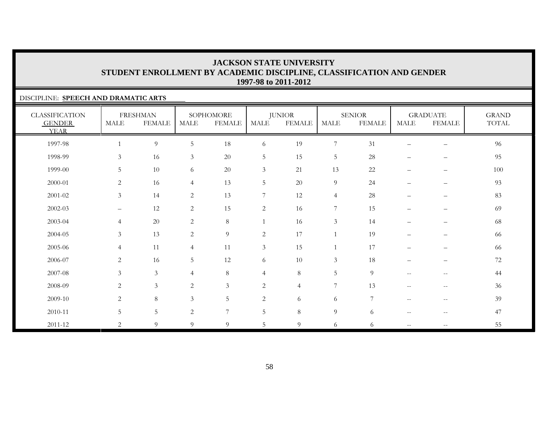### DISCIPLINE: **SPEECH AND DRAMATIC ARTS**

| <b>CLASSIFICATION</b><br><b>GENDER</b><br><b>YEAR</b> | $\operatorname{MALE}$ | <b>FRESHMAN</b><br><b>FEMALE</b> | $\operatorname{MALE}$ | SOPHOMORE<br><b>FEMALE</b> | <b>MALE</b>    | <b>JUNIOR</b><br><b>FEMALE</b> | <b>MALE</b>      | <b>SENIOR</b><br><b>FEMALE</b> | MALE              | <b>GRADUATE</b><br><b>FEMALE</b>      | <b>GRAND</b><br>TOTAL |
|-------------------------------------------------------|-----------------------|----------------------------------|-----------------------|----------------------------|----------------|--------------------------------|------------------|--------------------------------|-------------------|---------------------------------------|-----------------------|
| 1997-98                                               |                       | $\overline{9}$                   | $\overline{5}$        | 18                         | 6              | 19                             | $\boldsymbol{7}$ | 31                             |                   |                                       | 96                    |
| 1998-99                                               | $\mathfrak{Z}$        | 16                               | $\mathfrak{Z}$        | $20\,$                     | $\mathbf 5$    | 15                             | $5\phantom{.0}$  | 28                             |                   | $\qquad \qquad -$                     | 95                    |
| 1999-00                                               | $5\phantom{.}$        | 10                               | 6                     | $20\,$                     | $\mathfrak{Z}$ | 21                             | 13               | 22                             | $\qquad \qquad -$ | $\qquad \qquad -$                     | $100\,$               |
| 2000-01                                               | $\overline{2}$        | 16                               | $\overline{4}$        | 13                         | 5              | 20                             | $\overline{9}$   | 24                             | $\qquad \qquad -$ | $\qquad \qquad -$                     | 93                    |
| 2001-02                                               | $\mathfrak{Z}$        | 14                               | 2                     | 13                         | 7              | 12                             | $\overline{4}$   | 28                             | $\qquad \qquad -$ | $\qquad \qquad -$                     | 83                    |
| 2002-03                                               | $\qquad \qquad -$     | 12                               | 2                     | 15                         | 2              | 16                             | 7                | 15                             | $\qquad \qquad -$ | $\qquad \qquad -$                     | 69                    |
| 2003-04                                               | $\overline{4}$        | $20\,$                           | $\overline{2}$        | $\,8\,$                    |                | 16                             | $\mathfrak{Z}$   | 14                             | $\qquad \qquad -$ | $\qquad \qquad -$                     | 68                    |
| 2004-05                                               | $\mathfrak{Z}$        | 13                               | 2                     | 9                          | $\sqrt{2}$     | 17                             | $\mathbf{1}$     | 19                             | $\qquad \qquad -$ | $\overline{\phantom{0}}$              | 66                    |
| 2005-06                                               | $\overline{4}$        | 11                               | $\overline{4}$        | 11                         | $\mathfrak{Z}$ | 15                             | $\mathbf{1}$     | 17                             | $\qquad \qquad -$ | $\qquad \qquad -$                     | 66                    |
| 2006-07                                               | $\sqrt{2}$            | 16                               | $5\phantom{.0}$       | 12                         | 6              | 10                             | $\mathfrak{Z}$   | 18                             |                   | $\qquad \qquad -$                     | $72\,$                |
| 2007-08                                               | $\mathfrak{Z}$        | $\mathfrak{Z}$                   | $\overline{4}$        | 8                          | $\overline{4}$ | $\,8\,$                        | $\overline{5}$   | $\overline{9}$                 | $\mathbf{u}$      | $\overline{\phantom{m}}$              | 44                    |
| 2008-09                                               | 2                     | $\mathfrak{Z}$                   | 2                     | $\mathfrak{Z}$             | 2              | $\overline{4}$                 | 7                | 13                             | $--$              | $\overline{\phantom{m}}$              | 36                    |
| 2009-10                                               | $\overline{2}$        | $\,8\,$                          | 3                     | 5                          | 2              | 6                              | 6                | $\overline{7}$                 | $\sim$ $\sim$     | $-\,-$                                | 39                    |
| 2010-11                                               | 5                     | 5                                | $\overline{2}$        | $7\phantom{.0}$            | 5              | 8                              | $\overline{9}$   | 6                              | $--$              | $\hspace{0.05cm}$ – $\hspace{0.05cm}$ | 47                    |
| 2011-12                                               | 2                     | 9                                | 9                     | 9                          | 5              | 9                              | 6                | 6                              | $--$              | $\hspace{0.05cm} -$                   | 55                    |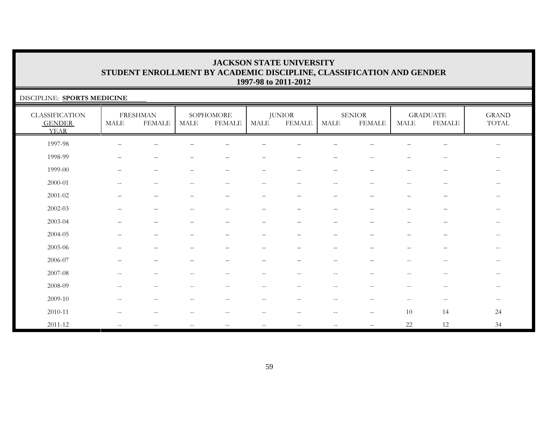| DISCIPLINE: SPORTS MEDICINE                           |                          |                                  |                          |                          |                          |                          |                                                     |                                |                          |                                                     |                                                     |
|-------------------------------------------------------|--------------------------|----------------------------------|--------------------------|--------------------------|--------------------------|--------------------------|-----------------------------------------------------|--------------------------------|--------------------------|-----------------------------------------------------|-----------------------------------------------------|
| <b>CLASSIFICATION</b><br><b>GENDER</b><br><b>YEAR</b> | MALE                     | <b>FRESHMAN</b><br><b>FEMALE</b> | MALE                     | SOPHOMORE<br>FEMALE      | MALE                     | <b>JUNIOR</b><br>FEMALE  | MALE                                                | <b>SENIOR</b><br><b>FEMALE</b> | <b>MALE</b>              | <b>GRADUATE</b><br><b>FEMALE</b>                    | <b>GRAND</b><br>TOTAL                               |
| 1997-98                                               |                          |                                  |                          |                          |                          |                          |                                                     |                                |                          |                                                     | $\hspace{0.05cm} -$                                 |
| 1998-99                                               |                          |                                  |                          |                          |                          |                          |                                                     |                                |                          | $-$                                                 | $- -$                                               |
| 1999-00                                               |                          |                                  |                          | $\overline{\phantom{0}}$ | $\overline{\phantom{0}}$ |                          |                                                     |                                |                          | $\qquad \qquad -$                                   | $\overline{\phantom{m}}$                            |
| 2000-01                                               | $-$                      |                                  | --                       | $- -$                    | $ -$                     | $-$                      |                                                     |                                | $- -$                    | $\overline{\phantom{m}}$                            | $\overline{\phantom{m}}$                            |
| 2001-02                                               |                          |                                  | -                        | $\overline{\phantom{0}}$ | $\qquad \qquad -$        |                          |                                                     |                                | $\overline{\phantom{0}}$ |                                                     | $\hspace{0.05cm} -$                                 |
| $2002 - 03$                                           |                          |                                  | $\overline{\phantom{m}}$ | $\overline{\phantom{a}}$ |                          |                          |                                                     |                                |                          | -                                                   | $-\,-$                                              |
| 2003-04                                               |                          |                                  |                          | $\overline{\phantom{0}}$ |                          |                          |                                                     |                                |                          | -                                                   | $\hspace{0.05cm}$ – $\hspace{0.05cm}$               |
| 2004-05                                               |                          |                                  |                          |                          |                          |                          |                                                     |                                |                          |                                                     | $\qquad \qquad -$                                   |
| 2005-06                                               |                          |                                  |                          |                          |                          |                          |                                                     |                                |                          |                                                     | $-$                                                 |
| 2006-07                                               |                          |                                  |                          |                          |                          |                          |                                                     |                                |                          | $\qquad \qquad -$                                   | $\hspace{0.05cm} -\hspace{0.05cm} -\hspace{0.05cm}$ |
| 2007-08                                               | $\sim$ $\sim$            | $--$                             | $\overline{\phantom{m}}$ | $\mathbf{u}$             | $- -$                    | $\overline{\phantom{a}}$ | $\sim$ $-$                                          | $\sim$ $\sim$                  | $\qquad \qquad -$        | $\hspace{0.05cm} -\hspace{0.05cm} -\hspace{0.05cm}$ | $--$                                                |
| 2008-09                                               | $\qquad \qquad -$        | $\qquad \qquad -$                | $\overline{\phantom{m}}$ | $\overline{\phantom{m}}$ | $- -$                    |                          |                                                     | $-\,-$                         | $-$                      | $\hspace{0.05cm} -\hspace{0.05cm} -\hspace{0.05cm}$ | $\overline{\phantom{m}}$                            |
| 2009-10                                               | $\sim$                   |                                  | --                       |                          | $-$                      |                          |                                                     |                                |                          |                                                     | $--$                                                |
| 2010-11                                               | $\overline{\phantom{m}}$ | $\overline{\phantom{m}}$         | --                       | $\overline{\phantom{m}}$ | $- -$                    |                          | $\sim$                                              | $-\,-$                         | 10                       | 14                                                  | 24                                                  |
| 2011-12                                               | $--$                     | $--$                             | $\overline{\phantom{m}}$ | $\overline{\phantom{a}}$ | $--$                     | $- -$                    | $\hspace{0.05cm} -\hspace{0.05cm} -\hspace{0.05cm}$ |                                | 22                       | 12                                                  | 34                                                  |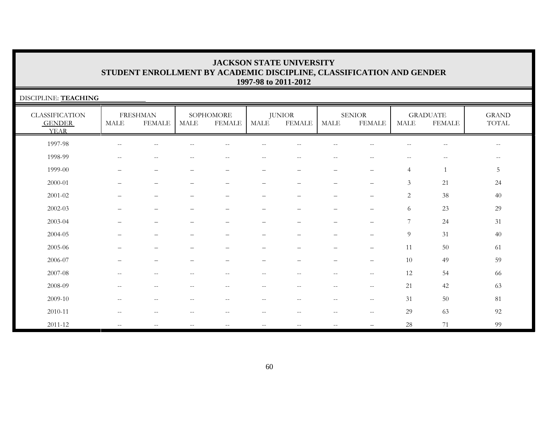| DISCIPLINE: TEACHING                                  |                          |                                  |                          |                            |                          |                                 |                          |                                |                          |                                                     |                                                |  |
|-------------------------------------------------------|--------------------------|----------------------------------|--------------------------|----------------------------|--------------------------|---------------------------------|--------------------------|--------------------------------|--------------------------|-----------------------------------------------------|------------------------------------------------|--|
| <b>CLASSIFICATION</b><br><b>GENDER</b><br><b>YEAR</b> | $\operatorname{MALE}$    | <b>FRESHMAN</b><br><b>FEMALE</b> | <b>MALE</b>              | SOPHOMORE<br><b>FEMALE</b> | <b>MALE</b>              | <b>JUNIOR</b><br><b>FEMALE</b>  | <b>MALE</b>              | <b>SENIOR</b><br><b>FEMALE</b> | $\operatorname{MALE}$    | <b>GRADUATE</b><br><b>FEMALE</b>                    | <b>GRAND</b><br>TOTAL                          |  |
| 1997-98                                               | $-\,-$                   | $\overline{\phantom{m}}$         | $\overline{\phantom{m}}$ | $\overline{\phantom{m}}$   | $- -$                    | $\qquad \qquad -$               | $\sim$ $-$               | $\qquad \qquad -$              | $\overline{\phantom{m}}$ | $\hspace{0.05cm} -\hspace{0.05cm} -\hspace{0.05cm}$ | $\hspace{0.1mm}-\hspace{0.1mm}-\hspace{0.1mm}$ |  |
| 1998-99                                               | $-$                      | $-$                              | $-$                      | $-$                        | $-$                      | $- -$                           | $-$                      | $-$                            | $ -$                     | $-$                                                 | $- -$                                          |  |
| 1999-00                                               |                          |                                  | $\overline{\phantom{0}}$ | $\overline{\phantom{0}}$   | $\overline{\phantom{0}}$ | $\overbrace{\phantom{1232211}}$ | $\overline{\phantom{0}}$ | $\overline{\phantom{0}}$       | $\overline{4}$           |                                                     | 5                                              |  |
| 2000-01                                               |                          | $\overline{\phantom{0}}$         | —                        | -                          | $\overline{\phantom{0}}$ | $\overline{\phantom{0}}$        | $\overline{\phantom{0}}$ | $\overline{\phantom{0}}$       | 3                        | 21                                                  | 24                                             |  |
| $2001 - 02$                                           |                          |                                  |                          |                            |                          |                                 |                          | $\equiv$                       | 2                        | 38                                                  | 40                                             |  |
| 2002-03                                               |                          |                                  |                          | $\overline{\phantom{0}}$   | $\overline{\phantom{0}}$ | $\overline{\phantom{0}}$        | $\overline{\phantom{0}}$ | $\qquad \qquad -$              | 6                        | 23                                                  | 29                                             |  |
| 2003-04                                               |                          |                                  |                          | $\overline{\phantom{0}}$   | -                        | $\overline{\phantom{0}}$        | $\overline{\phantom{0}}$ |                                | $\overline{7}$           | 24                                                  | 31                                             |  |
| 2004-05                                               |                          |                                  |                          |                            |                          |                                 |                          |                                | $\overline{9}$           | 31                                                  | 40                                             |  |
| 2005-06                                               |                          |                                  |                          |                            |                          |                                 |                          |                                | 11                       | 50                                                  | 61                                             |  |
| 2006-07                                               |                          |                                  |                          |                            |                          |                                 |                          |                                | 10                       | 49                                                  | 59                                             |  |
| 2007-08                                               | $\qquad \qquad -$        | $-$                              | $- -$                    | $-$                        | $-\,-$                   | $-\,-$                          | $-$                      | $\overline{\phantom{a}}$       | 12                       | 54                                                  | 66                                             |  |
| 2008-09                                               | $\overline{\phantom{m}}$ | $-$                              | $\overline{\phantom{a}}$ | $\overline{\phantom{m}}$   | $- -$                    | $- -$                           | $\sim$ $-$               | $- -$                          | 21                       | 42                                                  | 63                                             |  |
| 2009-10                                               | $\sim$ $\sim$            | $-$                              | $\qquad \qquad -$        | $\overline{\phantom{a}}$   | $- -$                    | $- -$                           | $\overline{\phantom{m}}$ | $- -$                          | 31                       | 50                                                  | 81                                             |  |
| 2010-11                                               | $\qquad \qquad -$        | $\qquad \qquad -$                | --                       | --                         | $-\,-$                   | $-\,-$                          | $- \, -$                 | $- -$                          | 29                       | 63                                                  | 92                                             |  |
| 2011-12                                               | $\qquad \qquad -$        |                                  | $- -$                    | $-$                        | $\overline{\phantom{m}}$ | $- -$                           | $\qquad \qquad -$        |                                | 28                       | 71                                                  | 99                                             |  |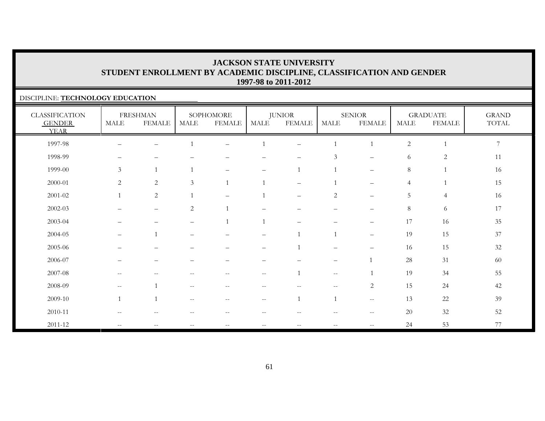### DISCIPLINE: **TECHNOLOGY EDUCATION**

| <b>CLASSIFICATION</b><br><b>GENDER</b><br><b>YEAR</b> | MALE                                                | <b>FRESHMAN</b><br><b>FEMALE</b> | <b>MALE</b>                                         | SOPHOMORE<br><b>FEMALE</b> | MALE                     | <b>JUNIOR</b><br><b>FEMALE</b> | <b>MALE</b>                                         | <b>SENIOR</b><br><b>FEMALE</b> | <b>MALE</b>    | <b>GRADUATE</b><br><b>FEMALE</b> | <b>GRAND</b><br>$\operatorname{TOTAL}$ |
|-------------------------------------------------------|-----------------------------------------------------|----------------------------------|-----------------------------------------------------|----------------------------|--------------------------|--------------------------------|-----------------------------------------------------|--------------------------------|----------------|----------------------------------|----------------------------------------|
| 1997-98                                               |                                                     | -                                |                                                     | $\overline{\phantom{0}}$   |                          | $\overline{\phantom{0}}$       | $\mathbf{1}$                                        | $\mathbf{1}$                   | $\overline{2}$ |                                  | $\boldsymbol{7}$                       |
| 1998-99                                               |                                                     |                                  |                                                     |                            |                          |                                | $\mathfrak{Z}$                                      | $\overline{\phantom{0}}$       | 6              | $\sqrt{2}$                       | 11                                     |
| 1999-00                                               | 3                                                   | 1                                |                                                     |                            | $\qquad \qquad -$        |                                | $\mathbf{1}$                                        | $\overline{\phantom{m}}$       | 8              |                                  | 16                                     |
| 2000-01                                               | 2                                                   | $\overline{2}$                   | 3                                                   | $\overline{1}$             |                          |                                | $\mathbf{1}$                                        | $\qquad \qquad -$              | $\overline{4}$ | 1                                | 15                                     |
| 2001-02                                               | $\mathbf{1}$                                        | $\sqrt{2}$                       |                                                     | $\qquad \qquad -$          |                          |                                | $\sqrt{2}$                                          | $\overline{\phantom{0}}$       | $\overline{5}$ | $\overline{4}$                   | 16                                     |
| $2002 - 03$                                           |                                                     | $\overline{\phantom{m}}$         | $\overline{2}$                                      | $\overline{1}$             |                          |                                | $\overline{\phantom{0}}$                            | $\overline{\phantom{0}}$       | $\,8\,$        | 6                                | 17                                     |
| 2003-04                                               | —                                                   | $\qquad \qquad -$                | $\qquad \qquad -$                                   | $\overline{1}$             |                          | $\qquad \qquad -$              | $\qquad \qquad -$                                   | $\overline{\phantom{m}}$       | 17             | 16                               | 35                                     |
| 2004-05                                               | $\overline{\phantom{m}}$                            | $\mathbf{1}$                     | $\overline{\phantom{0}}$                            | -                          | $\qquad \qquad -$        | $\mathbf{1}$                   | 1                                                   | $\qquad \qquad -$              | 19             | 15                               | 37                                     |
| 2005-06                                               |                                                     |                                  |                                                     |                            | $\overline{\phantom{0}}$ |                                | $\overline{\phantom{0}}$                            | -                              | 16             | 15                               | $32\,$                                 |
| 2006-07                                               |                                                     |                                  |                                                     |                            |                          |                                |                                                     |                                | 28             | 31                               | 60                                     |
| 2007-08                                               | $--$                                                | $\overline{\phantom{m}}$         | $\hspace{0.05cm} -$                                 | $\overline{\phantom{m}}$   | $-\,-$                   |                                | $\hspace{0.05cm} -\hspace{0.05cm} -\hspace{0.05cm}$ | $\mathbf{1}$                   | 19             | 34                               | 55                                     |
| 2008-09                                               | $\hspace{0.05cm} -\hspace{0.05cm} -\hspace{0.05cm}$ | $\overline{1}$                   | $\hspace{0.05cm} -\hspace{0.05cm} -\hspace{0.05cm}$ | $\qquad \qquad -$          | $- -$                    | $-$                            | $\overline{\phantom{a}}$                            | $\overline{2}$                 | 15             | 24                               | 42                                     |
| 2009-10                                               | $\overline{1}$                                      | $\overline{1}$                   | $\hspace{0.05cm} -\hspace{0.05cm} -\hspace{0.05cm}$ | $\qquad \qquad -$          | $- -$                    | $\mathbf{1}$                   | $\mathbf{1}$                                        | $\overline{\phantom{m}}$       | 13             | 22                               | 39                                     |
| 2010-11                                               | $\hspace{0.05cm} -\hspace{0.05cm} -\hspace{0.05cm}$ | $\qquad \qquad -$                | $-$                                                 | $\qquad \qquad -$          | $\qquad \qquad -$        | $-$                            | $\qquad \qquad -$                                   | $\overline{\phantom{m}}$       | 20             | 32                               | 52                                     |
| 2011-12                                               | $\hspace{0.05cm} -\hspace{0.05cm} -\hspace{0.05cm}$ | $\qquad \qquad -$                | $\overline{\phantom{m}}$                            | $\qquad \qquad -$          | $- -$                    | $-$                            | $\qquad \qquad -$                                   | $-\,-$                         | 24             | 53                               | 77                                     |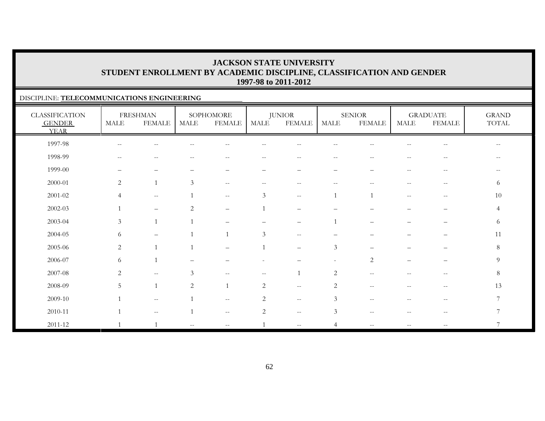### DISCIPLINE: **TELECOMMUNICATIONS ENGINEERING**

| <b>CLASSIFICATION</b><br><b>GENDER</b><br><b>YEAR</b> | <b>MALE</b>                                    | <b>FRESHMAN</b><br><b>FEMALE</b> | <b>MALE</b>              | SOPHOMORE<br><b>FEMALE</b>                          | <b>MALE</b>              | <b>JUNIOR</b><br><b>FEMALE</b> | <b>MALE</b>              | <b>SENIOR</b><br><b>FEMALE</b> | <b>MALE</b>                                         | <b>GRADUATE</b><br><b>FEMALE</b>                      | <b>GRAND</b><br>$\operatorname{TOTAL}$ |
|-------------------------------------------------------|------------------------------------------------|----------------------------------|--------------------------|-----------------------------------------------------|--------------------------|--------------------------------|--------------------------|--------------------------------|-----------------------------------------------------|-------------------------------------------------------|----------------------------------------|
| 1997-98                                               |                                                |                                  |                          |                                                     |                          |                                |                          |                                |                                                     |                                                       |                                        |
| 1998-99                                               | $\hspace{0.1mm}-\hspace{0.1mm}-\hspace{0.1mm}$ | $\overline{\phantom{m}}$         | $-$                      | $-$                                                 | $\overline{\phantom{a}}$ | $\overline{\phantom{m}}$       | $--$                     | $\overline{\phantom{a}}$       | $\qquad \qquad -$                                   | $\hspace{0.05cm} - \hspace{0.05cm} - \hspace{0.05cm}$ | $\hspace{0.05cm}$ – $\hspace{0.05cm}$  |
| 1999-00                                               | —                                              | $\qquad \qquad -$                |                          | $\overline{\phantom{0}}$                            | —                        | $\overline{\phantom{m}}$       | $\overline{\phantom{m}}$ | $\overline{\phantom{0}}$       | $- -$                                               | $-\,-$                                                | $- -$                                  |
| 2000-01                                               | 2                                              | $\overline{1}$                   | $\mathfrak{Z}$           | $\hspace{0.05cm} -\hspace{0.05cm} -\hspace{0.05cm}$ | $\qquad \qquad -$        | $\overline{\phantom{m}}$       | $-$                      | $- -$                          | $\qquad \qquad -$                                   | $\overline{\phantom{m}}$                              | 6                                      |
| $2001 - 02$                                           | $\overline{4}$                                 | $\overline{\phantom{m}}$         |                          | $\hspace{0.05cm} -\hspace{0.05cm} -\hspace{0.05cm}$ | 3                        | $\overline{\phantom{m}}$       |                          |                                | $--$                                                | $\hspace{0.05cm} -$                                   | 10                                     |
| $2002 - 03$                                           |                                                | $\qquad \qquad -$                | 2                        | $\overline{\phantom{m}}$                            |                          | $\qquad \qquad -$              |                          |                                | —                                                   | $\overline{\phantom{m}}$                              | $\overline{4}$                         |
| 2003-04                                               | $\mathfrak{Z}$                                 | $\mathbf{1}$                     |                          |                                                     |                          | $\overline{\phantom{0}}$       | 1                        |                                | —                                                   | $\qquad \qquad -$                                     | 6                                      |
| 2004-05                                               | 6                                              | $\qquad \qquad -$                | $\overline{1}$           | $\mathbf{1}$                                        | $\mathfrak{Z}$           | $- -$                          | $\overline{\phantom{0}}$ |                                |                                                     | $\overline{\phantom{0}}$                              | 11                                     |
| 2005-06                                               | $\overline{c}$                                 | $\overline{1}$                   | $\mathbf{1}$             | $\qquad \qquad -$                                   |                          | $\overline{\phantom{0}}$       | $\mathfrak{Z}$           |                                |                                                     |                                                       | $\,8\,$                                |
| 2006-07                                               | 6                                              | $\overline{1}$                   | $\overline{\phantom{a}}$ |                                                     |                          | $\qquad \qquad -$              | $\overline{\phantom{a}}$ | $\sqrt{2}$                     | $\qquad \qquad -$                                   | $\qquad \qquad -$                                     | $\overline{9}$                         |
| 2007-08                                               | $\overline{2}$                                 | $\sim$ $-$                       | 3                        | $\sim$ $\sim$                                       | $-\,-$                   |                                | $\overline{c}$           | $\overline{\phantom{m}}$       | $\hspace{0.05cm} -\hspace{0.05cm} -\hspace{0.05cm}$ | $\overline{\phantom{m}}$                              | $8\,$                                  |
| 2008-09                                               | 5                                              | $\overline{1}$                   | 2                        | $\overline{1}$                                      | $\mathbf{2}$             | $\overline{\phantom{m}}$       | 2                        | $\overline{\phantom{m}}$       | $\mathrel{{-}{-}}$                                  | $\hspace{0.05cm} - \hspace{0.05cm} - \hspace{0.05cm}$ | 13                                     |
| 2009-10                                               |                                                | $\overline{\phantom{m}}$         |                          | $\hspace{0.05cm} -\hspace{0.05cm} -\hspace{0.05cm}$ | $\mathbf{2}$             | $- -$                          | $\mathfrak{Z}$           | $-$                            |                                                     | $\hspace{0.05cm} -$                                   | $\overline{7}$                         |
| 2010-11                                               |                                                | $\mathrel{{-}{-}}$               |                          | $\hspace{0.1mm}-\hspace{0.1mm}-\hspace{0.1mm}$      | $\sqrt{2}$               | $- -$                          | 3                        | $-$                            |                                                     | $-\,-$                                                | 7                                      |
| 2011-12                                               |                                                |                                  | $\sim$ $-$               | $\overline{\phantom{m}}$                            |                          | $- -$                          | $\overline{4}$           | $\overline{\phantom{m}}$       | $\qquad \qquad -$                                   | $\overline{\phantom{m}}$                              | 7                                      |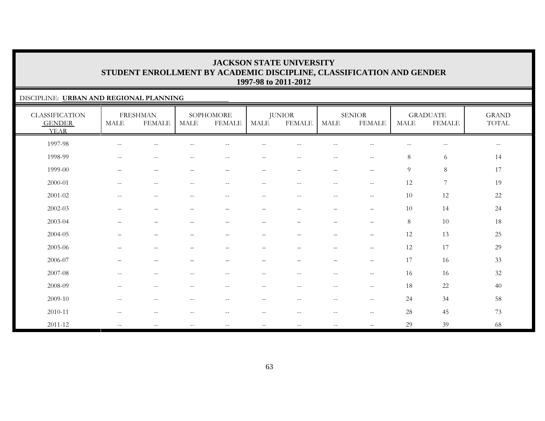### DISCIPLINE: **URBAN AND REGIONAL PLANNING**

| <b>CLASSIFICATION</b><br><b>GENDER</b><br><b>YEAR</b> | $\operatorname{MALE}$                               | <b>FRESHMAN</b><br><b>FEMALE</b> | <b>MALE</b>                                           | SOPHOMORE<br><b>FEMALE</b>                          | <b>MALE</b>              | <b>JUNIOR</b><br><b>FEMALE</b>                      | MALE                                                | <b>SENIOR</b><br><b>FEMALE</b>        | <b>MALE</b>              | <b>GRADUATE</b><br><b>FEMALE</b>      | <b>GRAND</b><br>$\operatorname{TOTAL}$ |
|-------------------------------------------------------|-----------------------------------------------------|----------------------------------|-------------------------------------------------------|-----------------------------------------------------|--------------------------|-----------------------------------------------------|-----------------------------------------------------|---------------------------------------|--------------------------|---------------------------------------|----------------------------------------|
| 1997-98                                               | $\hspace{0.05cm} -\hspace{0.05cm} -\hspace{0.05cm}$ | $-\,-$                           |                                                       | $\overline{\phantom{m}}$                            | --                       | $\qquad \qquad -$                                   | $-\,-$                                              | $\sim$ $\sim$                         | $\overline{\phantom{m}}$ | $\hspace{0.05cm}$ – $\hspace{0.05cm}$ | $\sim$ $-$                             |
| 1998-99                                               | $\hspace{0.05cm} -\hspace{0.05cm} -\hspace{0.05cm}$ | $\overline{\phantom{m}}$         |                                                       | $-$                                                 | $\qquad \qquad -$        | $\qquad \qquad -$                                   | $\overline{\phantom{a}}$                            | $\hspace{0.05cm} -$                   | 8                        | 6                                     | 14                                     |
| 1999-00                                               | $\qquad \qquad -$                                   | $\qquad \qquad -$                | $\overline{\phantom{0}}$                              | $\overline{\phantom{0}}$                            | $\qquad \qquad -$        | $\qquad \qquad -$                                   | $\qquad \qquad -$                                   | $\overline{\phantom{m}}$              | 9                        | $8\,$                                 | 17                                     |
| 2000-01                                               | $\sim$ $\sim$                                       | $--$                             | $\hspace{0.05cm} -\hspace{0.05cm} -\hspace{0.05cm}$   | $\hspace{0.05cm} -\hspace{0.05cm} -\hspace{0.05cm}$ | $\sim$ $\sim$            | $\overline{\phantom{a}}$                            | $- -$                                               | $\mathbf{u}$                          | $12\,$                   | $\boldsymbol{7}$                      | 19                                     |
| 2001-02                                               | $\hspace{0.05cm} -\hspace{0.05cm} -\hspace{0.05cm}$ | $--$                             | $\hspace{0.1mm}-\hspace{0.1mm}-\hspace{0.1mm}$        | $\hspace{0.1mm}-\hspace{0.1mm}-\hspace{0.1mm}$      | $\overline{\phantom{m}}$ | $\hspace{0.05cm} -\hspace{0.05cm} -\hspace{0.05cm}$ | $--$                                                | $\overline{\phantom{m}}$              | 10                       | $12\,$                                | 22                                     |
| 2002-03                                               |                                                     | —                                |                                                       | $\qquad \qquad -$                                   | -                        | $\overline{\phantom{0}}$                            | $\qquad \qquad -$                                   | $\overline{\phantom{0}}$              | 10                       | 14                                    | 24                                     |
| 2003-04                                               | $\overline{\phantom{m}}$                            | $\qquad \qquad -$                | $\qquad \qquad -$                                     | $\qquad \qquad -$                                   | $\qquad \qquad -$        | $\qquad \qquad -$                                   | $\overline{\phantom{m}}$                            | $\overline{\phantom{m}}$              | 8                        | 10                                    | 18                                     |
| 2004-05                                               | $\qquad \qquad -$                                   | $\qquad \qquad -$                | $\overline{\phantom{0}}$                              | $\qquad \qquad -$                                   | $\qquad \qquad -$        | $\qquad \qquad -$                                   | $\qquad \qquad -$                                   | $\qquad \qquad -$                     | 12                       | 13                                    | 25                                     |
| 2005-06                                               | $\qquad \qquad -$                                   | $\overline{\phantom{0}}$         |                                                       | $\qquad \qquad -$                                   | $\overline{\phantom{0}}$ | $\overline{\phantom{0}}$                            | $\qquad \qquad -$                                   | $\overline{\phantom{m}}$              | 12                       | 17                                    | 29                                     |
| 2006-07                                               |                                                     | $\overline{\phantom{0}}$         |                                                       |                                                     |                          |                                                     | $\overline{\phantom{0}}$                            | $\qquad \qquad -$                     | 17                       | 16                                    | 33                                     |
| 2007-08                                               | $\hspace{0.05cm} -\hspace{0.05cm} -\hspace{0.05cm}$ | $\overline{\phantom{m}}$         | $\overline{\phantom{m}}$                              | $\hspace{0.05cm} -\hspace{0.05cm} -\hspace{0.05cm}$ | $ -$                     | $\hspace{0.05cm} -\hspace{0.05cm} -\hspace{0.05cm}$ | $--$                                                | $\overline{\phantom{m}}$              | 16                       | 16                                    | $32\,$                                 |
| 2008-09                                               | $\hspace{0.05cm} -\hspace{0.05cm} -\hspace{0.05cm}$ | $--$                             | $\hspace{0.05cm} - \hspace{0.05cm} - \hspace{0.05cm}$ | $\hspace{0.05cm}$ – $\hspace{0.05cm}$               | $\overline{\phantom{m}}$ | $\overline{\phantom{m}}$                            | $--$                                                | $\overline{\phantom{m}}$              | 18                       | 22                                    | 40                                     |
| 2009-10                                               | $\overline{\phantom{m}}$                            | $\overline{\phantom{m}}$         | $\sim$ $\sim$                                         | $\overline{\phantom{m}}$                            | $-\,-$                   | $-\,-$                                              | $--$                                                | $\hspace{0.05cm}$ – $\hspace{0.05cm}$ | 24                       | 34                                    | 58                                     |
| 2010-11                                               | $-$                                                 | $\qquad \qquad -$                |                                                       | $\overline{\phantom{a}}$                            | --                       | $\overline{\phantom{m}}$                            | $\hspace{0.05cm} -\hspace{0.05cm} -\hspace{0.05cm}$ | $\hspace{0.05cm} -$                   | 28                       | 45                                    | 73                                     |
| 2011-12                                               | $\sim$ $\sim$                                       | $\mathbf{u}$                     | $\overline{\phantom{m}}$                              | $\hspace{0.05cm} -\hspace{0.05cm} -\hspace{0.05cm}$ | $ -$                     | $\mathbf{u}$                                        | $--$                                                | $\overline{\phantom{0}}$              | 29                       | 39                                    | 68                                     |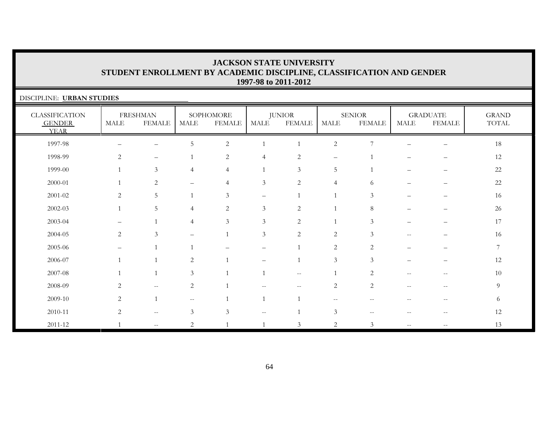| DISCIPLINE: URBAN STUDIES                             |                |                                  |                          |                            |                   |                                |                          |                                |                          |                                  |                                        |  |  |
|-------------------------------------------------------|----------------|----------------------------------|--------------------------|----------------------------|-------------------|--------------------------------|--------------------------|--------------------------------|--------------------------|----------------------------------|----------------------------------------|--|--|
| <b>CLASSIFICATION</b><br><b>GENDER</b><br><b>YEAR</b> | MALE           | <b>FRESHMAN</b><br><b>FEMALE</b> | $\operatorname{MALE}$    | SOPHOMORE<br><b>FEMALE</b> | MALE              | <b>JUNIOR</b><br><b>FEMALE</b> | MALE                     | <b>SENIOR</b><br><b>FEMALE</b> | <b>MALE</b>              | <b>GRADUATE</b><br><b>FEMALE</b> | <b>GRAND</b><br>$\operatorname{TOTAL}$ |  |  |
| 1997-98                                               |                | $\qquad \qquad -$                | 5                        | $\sqrt{2}$                 |                   |                                | $\sqrt{2}$               | 7                              |                          | $\overline{\phantom{0}}$         | 18                                     |  |  |
| 1998-99                                               | 2              | $\overline{\phantom{a}}$         |                          | $\overline{2}$             | $\overline{4}$    | $\overline{c}$                 | $\overline{\phantom{m}}$ |                                |                          |                                  | 12                                     |  |  |
| 1999-00                                               |                | $\mathfrak{Z}$                   | $\overline{4}$           | $\overline{4}$             |                   | 3                              | 5                        |                                |                          |                                  | 22                                     |  |  |
| 2000-01                                               | -1             | 2                                | $\overline{\phantom{0}}$ | $\overline{4}$             | $\mathfrak{Z}$    | 2                              | $\overline{4}$           | 6                              |                          |                                  | 22                                     |  |  |
| $2001 - 02$                                           | 2              | $5\phantom{.}$                   |                          | $\mathfrak{Z}$             | $\qquad \qquad -$ |                                |                          | 3                              |                          |                                  | 16                                     |  |  |
| $2002 - 03$                                           | $\overline{1}$ | 5                                | $\overline{4}$           | $\overline{2}$             | $\mathfrak{Z}$    | $\overline{c}$                 |                          | $\,8\,$                        |                          |                                  | 26                                     |  |  |
| 2003-04                                               |                |                                  | $\overline{4}$           | $\overline{3}$             | $\mathfrak{Z}$    | $\overline{2}$                 |                          | 3                              |                          |                                  | 17                                     |  |  |
| 2004-05                                               | 2              | 3                                |                          |                            | $\mathfrak{Z}$    | $\overline{2}$                 | $\overline{2}$           | 3                              |                          |                                  | 16                                     |  |  |
| 2005-06                                               |                |                                  |                          |                            | –                 |                                | $\overline{2}$           | 2                              |                          |                                  | $\overline{7}$                         |  |  |
| 2006-07                                               |                |                                  | 2                        |                            |                   |                                | 3                        | $\mathfrak{Z}$                 |                          |                                  | 12                                     |  |  |
| 2007-08                                               |                |                                  | 3                        |                            |                   | $- -$                          |                          | 2                              |                          | $-$                              | 10                                     |  |  |
| 2008-09                                               | 2              | $\overline{\phantom{a}}$         | $\overline{c}$           |                            | $-$               |                                | $\overline{2}$           | 2                              | $\overline{\phantom{m}}$ | $\qquad \qquad -$                | 9                                      |  |  |
| 2009-10                                               | 2              |                                  | --                       |                            |                   |                                |                          |                                |                          |                                  | 6                                      |  |  |
| 2010-11                                               | 2              | $--$                             | $\mathfrak{Z}$           | 3                          | $--$              |                                | $\mathfrak{Z}$           | --                             | $-$                      | $\overline{\phantom{m}}$         | 12                                     |  |  |
| $2011 - 12$                                           |                | $\frac{1}{2}$                    | $\overline{2}$           |                            |                   | 3                              | $\overline{c}$           | 3                              |                          |                                  | 13                                     |  |  |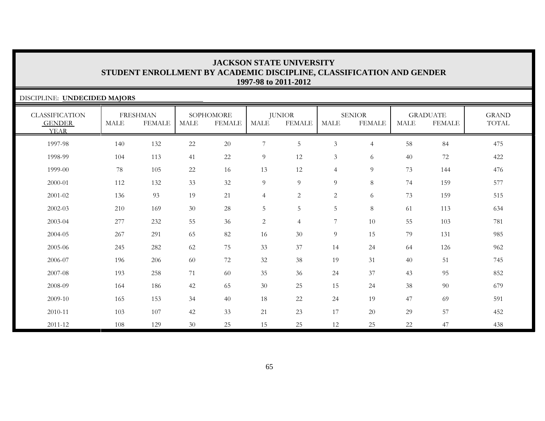| DISCIPLINE: UNDECIDED MAJORS                          |             |                                  |             |                            |                |                         |                |                                |             |                                  |                              |  |  |
|-------------------------------------------------------|-------------|----------------------------------|-------------|----------------------------|----------------|-------------------------|----------------|--------------------------------|-------------|----------------------------------|------------------------------|--|--|
| <b>CLASSIFICATION</b><br><b>GENDER</b><br><b>YEAR</b> | <b>MALE</b> | <b>FRESHMAN</b><br><b>FEMALE</b> | <b>MALE</b> | SOPHOMORE<br><b>FEMALE</b> | <b>MALE</b>    | <b>JUNIOR</b><br>FEMALE | <b>MALE</b>    | <b>SENIOR</b><br><b>FEMALE</b> | <b>MALE</b> | <b>GRADUATE</b><br><b>FEMALE</b> | <b>GRAND</b><br><b>TOTAL</b> |  |  |
| 1997-98                                               | 140         | 132                              | 22          | 20                         | 7              | 5                       | 3              | $\overline{4}$                 | 58          | 84                               | 475                          |  |  |
| 1998-99                                               | 104         | 113                              | 41          | 22                         | 9              | 12                      | 3              | 6                              | 40          | 72                               | 422                          |  |  |
| 1999-00                                               | 78          | 105                              | 22          | 16                         | 13             | 12                      | $\overline{4}$ | 9                              | 73          | 144                              | 476                          |  |  |
| 2000-01                                               | 112         | 132                              | 33          | 32                         | 9              | $\overline{9}$          | $\overline{9}$ | 8                              | 74          | 159                              | 577                          |  |  |
| 2001-02                                               | 136         | 93                               | 19          | 21                         | $\overline{4}$ | $\sqrt{2}$              | $\sqrt{2}$     | 6                              | 73          | 159                              | 515                          |  |  |
| 2002-03                                               | 210         | 169                              | 30          | 28                         | $\overline{5}$ | $\overline{5}$          | 5              | 8                              | 61          | 113                              | 634                          |  |  |
| 2003-04                                               | 277         | 232                              | 55          | 36                         | $\overline{c}$ | $\overline{4}$          | $\overline{7}$ | 10                             | 55          | 103                              | 781                          |  |  |
| 2004-05                                               | 267         | 291                              | 65          | 82                         | 16             | 30                      | $\overline{9}$ | 15                             | 79          | 131                              | 985                          |  |  |
| 2005-06                                               | 245         | 282                              | 62          | 75                         | 33             | 37                      | 14             | 24                             | 64          | 126                              | 962                          |  |  |
| 2006-07                                               | 196         | 206                              | 60          | 72                         | 32             | 38                      | 19             | 31                             | 40          | 51                               | 745                          |  |  |
| 2007-08                                               | 193         | 258                              | 71          | 60                         | 35             | 36                      | 24             | 37                             | 43          | 95                               | 852                          |  |  |
| 2008-09                                               | 164         | 186                              | 42          | 65                         | 30             | 25                      | 15             | 24                             | 38          | 90                               | 679                          |  |  |
| 2009-10                                               | 165         | 153                              | 34          | 40                         | 18             | 22                      | 24             | 19                             | 47          | 69                               | 591                          |  |  |
| 2010-11                                               | 103         | 107                              | 42          | 33                         | 21             | 23                      | 17             | 20                             | 29          | 57                               | 452                          |  |  |
| 2011-12                                               | 108         | 129                              | 30          | 25                         | 15             | 25                      | 12             | 25                             | 22          | 47                               | 438                          |  |  |